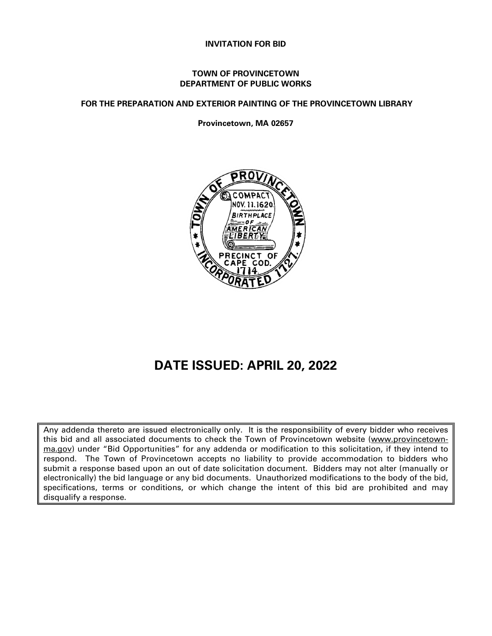### **INVITATION FOR BID**

### **TOWN OF PROVINCETOWN DEPARTMENT OF PUBLIC WORKS**

**FOR THE PREPARATION AND EXTERIOR PAINTING OF THE PROVINCETOWN LIBRARY** 

**Provincetown, MA 02657**



# **DATE ISSUED: APRIL 20, 2022**

Any addenda thereto are issued electronically only. It is the responsibility of every bidder who receives this bid and all associated documents to check the Town of Provincetown website [\(www.provincetown](http://www.provincetown-ma.gov/)[ma.gov\)](http://www.provincetown-ma.gov/) under "Bid Opportunities" for any addenda or modification to this solicitation, if they intend to respond. The Town of Provincetown accepts no liability to provide accommodation to bidders who submit a response based upon an out of date solicitation document. Bidders may not alter (manually or electronically) the bid language or any bid documents. Unauthorized modifications to the body of the bid, specifications, terms or conditions, or which change the intent of this bid are prohibited and may disqualify a response.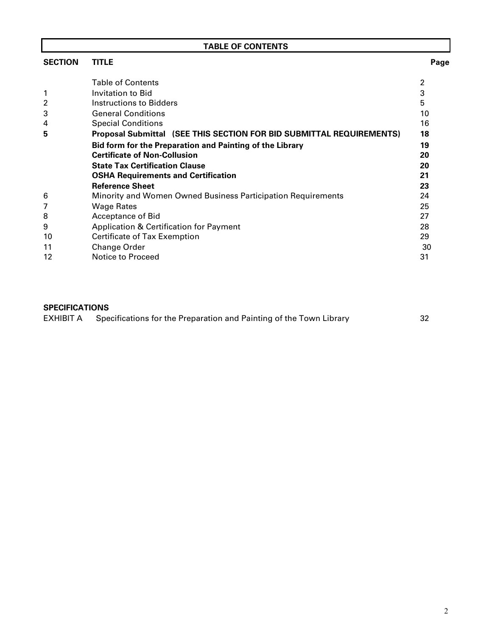| <b>TABLE OF CONTENTS</b> |                                                                      |                |  |  |
|--------------------------|----------------------------------------------------------------------|----------------|--|--|
| <b>SECTION</b>           | <b>TITLE</b>                                                         | Page           |  |  |
|                          | <b>Table of Contents</b>                                             | $\overline{2}$ |  |  |
|                          | Invitation to Bid                                                    | 3              |  |  |
| 2                        | Instructions to Bidders                                              | 5              |  |  |
| 3                        | <b>General Conditions</b>                                            | 10             |  |  |
| 4                        | <b>Special Conditions</b>                                            | 16             |  |  |
| 5                        | Proposal Submittal (SEE THIS SECTION FOR BID SUBMITTAL REQUIREMENTS) | 18             |  |  |
|                          | Bid form for the Preparation and Painting of the Library             | 19             |  |  |
|                          | <b>Certificate of Non-Collusion</b>                                  | 20             |  |  |
|                          | <b>State Tax Certification Clause</b>                                | 20             |  |  |
|                          | <b>OSHA Requirements and Certification</b>                           | 21             |  |  |
|                          | <b>Reference Sheet</b>                                               | 23             |  |  |
| 6                        | Minority and Women Owned Business Participation Requirements         | 24             |  |  |
|                          | <b>Wage Rates</b>                                                    | 25             |  |  |
| 8                        | Acceptance of Bid                                                    | 27             |  |  |
| 9                        | Application & Certification for Payment                              | 28             |  |  |
| 10                       | Certificate of Tax Exemption                                         | 29             |  |  |
| 11                       | Change Order                                                         | 30             |  |  |
| 12                       | Notice to Proceed                                                    | 31             |  |  |

**SPECIFICATIONS**<br>EXHIBIT A Spe Specifications for the Preparation and Painting of the Town Library 32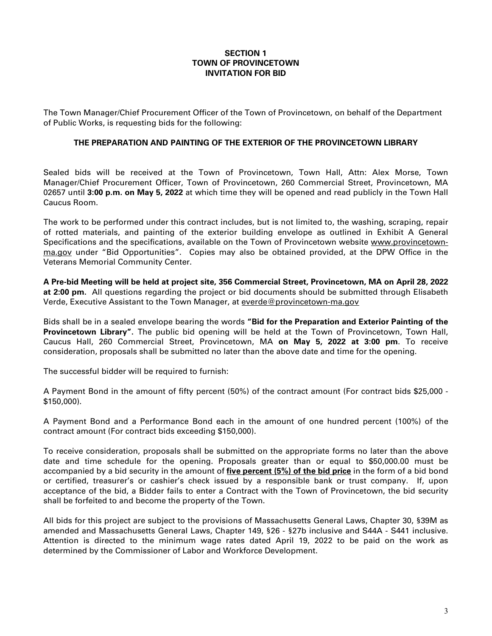### **SECTION 1 TOWN OF PROVINCETOWN INVITATION FOR BID**

The Town Manager/Chief Procurement Officer of the Town of Provincetown, on behalf of the Department of Public Works, is requesting bids for the following:

### **THE PREPARATION AND PAINTING OF THE EXTERIOR OF THE PROVINCETOWN LIBRARY**

Sealed bids will be received at the Town of Provincetown, Town Hall, Attn: Alex Morse, Town Manager/Chief Procurement Officer, Town of Provincetown, 260 Commercial Street, Provincetown, MA 02657 until **3:00 p.m. on May 5, 2022** at which time they will be opened and read publicly in the Town Hall Caucus Room.

The work to be performed under this contract includes, but is not limited to, the washing, scraping, repair of rotted materials, and painting of the exterior building envelope as outlined in Exhibit A General Specifications and the specifications, available on the Town of Provincetown website www.provincetownma.gov under "Bid Opportunities". Copies may also be obtained provided, at the DPW Office in the Veterans Memorial Community Center.

**A Pre-bid Meeting will be held at project site, 356 Commercial Street, Provincetown, MA on April 28, 2022 at 2:00 pm.** All questions regarding the project or bid documents should be submitted through Elisabeth Verde, Executive Assistant to the Town Manager, at [everde@provincetown-ma.gov](mailto:everde@provincetown-ma.gov)

Bids shall be in a sealed envelope bearing the words **"Bid for the Preparation and Exterior Painting of the Provincetown Library".** The public bid opening will be held at the Town of Provincetown, Town Hall, Caucus Hall, 260 Commercial Street, Provincetown, MA **on May 5, 2022 at 3:00 pm**. To receive consideration, proposals shall be submitted no later than the above date and time for the opening.

The successful bidder will be required to furnish:

A Payment Bond in the amount of fifty percent (50%) of the contract amount (For contract bids \$25,000 - \$150,000).

A Payment Bond and a Performance Bond each in the amount of one hundred percent (100%) of the contract amount (For contract bids exceeding \$150,000).

To receive consideration, proposals shall be submitted on the appropriate forms no later than the above date and time schedule for the opening. Proposals greater than or equal to \$50,000.00 must be accompanied by a bid security in the amount of **five percent (5%) of the bid price** in the form of a bid bond or certified, treasurer's or cashier's check issued by a responsible bank or trust company.If, upon acceptance of the bid, a Bidder fails to enter a Contract with the Town of Provincetown, the bid security shall be forfeited to and become the property of the Town.

All bids for this project are subject to the provisions of Massachusetts General Laws, Chapter 30, §39M as amended and Massachusetts General Laws, Chapter 149, §26 - §27b inclusive and S44A - S441 inclusive. Attention is directed to the minimum wage rates dated April 19, 2022 to be paid on the work as determined by the Commissioner of Labor and Workforce Development.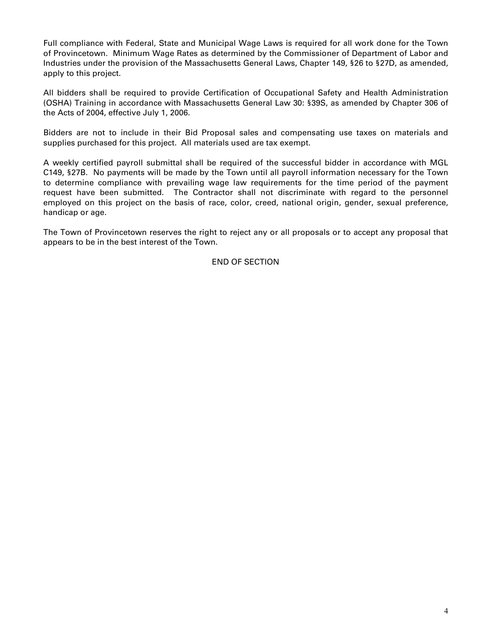Full compliance with Federal, State and Municipal Wage Laws is required for all work done for the Town of Provincetown. Minimum Wage Rates as determined by the Commissioner of Department of Labor and Industries under the provision of the Massachusetts General Laws, Chapter 149, §26 to §27D, as amended, apply to this project.

All bidders shall be required to provide Certification of Occupational Safety and Health Administration (OSHA) Training in accordance with Massachusetts General Law 30: §39S, as amended by Chapter 306 of the Acts of 2004, effective July 1, 2006.

Bidders are not to include in their Bid Proposal sales and compensating use taxes on materials and supplies purchased for this project. All materials used are tax exempt.

A weekly certified payroll submittal shall be required of the successful bidder in accordance with MGL C149, §27B. No payments will be made by the Town until all payroll information necessary for the Town to determine compliance with prevailing wage law requirements for the time period of the payment request have been submitted. The Contractor shall not discriminate with regard to the personnel employed on this project on the basis of race, color, creed, national origin, gender, sexual preference, handicap or age.

The Town of Provincetown reserves the right to reject any or all proposals or to accept any proposal that appears to be in the best interest of the Town.

END OF SECTION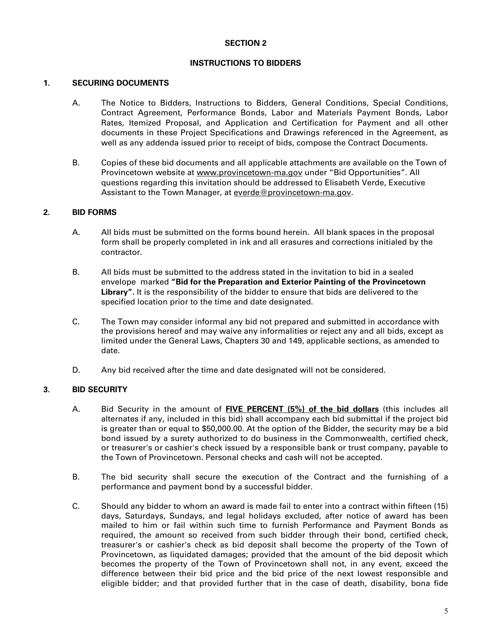### **INSTRUCTIONS TO BIDDERS**

### **1. SECURING DOCUMENTS**

- A. The Notice to Bidders, Instructions to Bidders, General Conditions, Special Conditions, Contract Agreement, Performance Bonds, Labor and Materials Payment Bonds, Labor Rates, Itemized Proposal, and Application and Certification for Payment and all other documents in these Project Specifications and Drawings referenced in the Agreement, as well as any addenda issued prior to receipt of bids, compose the Contract Documents.
- B. Copies of these bid documents and all applicable attachments are available on the Town of Provincetown website at [www.provincetown-ma.gov](http://www.provincetown-ma.gov/) under "Bid Opportunities". All questions regarding this invitation should be addressed to Elisabeth Verde, Executive Assistant to the Town Manager, at [everde@provincetown-ma.gov.](mailto:everde@provincetown-ma.gov)

### **2. BID FORMS**

- A. All bids must be submitted on the forms bound herein. All blank spaces in the proposal form shall be properly completed in ink and all erasures and corrections initialed by the contractor.
- B. All bids must be submitted to the address stated in the invitation to bid in a sealed envelope marked **"Bid for the Preparation and Exterior Painting of the Provincetown Library".** It is the responsibility of the bidder to ensure that bids are delivered to the specified location prior to the time and date designated.
- C. The Town may consider informal any bid not prepared and submitted in accordance with the provisions hereof and may waive any informalities or reject any and all bids, except as limited under the General Laws, Chapters 30 and 149, applicable sections, as amended to date.
- D. Any bid received after the time and date designated will not be considered.

### **3. BID SECURITY**

- A. Bid Security in the amount of **FIVE PERCENT (5%) of the bid dollars** (this includes all alternates if any, included in this bid) shall accompany each bid submittal if the project bid is greater than or equal to \$50,000.00. At the option of the Bidder, the security may be a bid bond issued by a surety authorized to do business in the Commonwealth, certified check, or treasurer's or cashier's check issued by a responsible bank or trust company, payable to the Town of Provincetown. Personal checks and cash will not be accepted.
- B. The bid security shall secure the execution of the Contract and the furnishing of a performance and payment bond by a successful bidder.
- C. Should any bidder to whom an award is made fail to enter into a contract within fifteen (15) days, Saturdays, Sundays, and legal holidays excluded, after notice of award has been mailed to him or fail within such time to furnish Performance and Payment Bonds as required, the amount so received from such bidder through their bond, certified check, treasurer's or cashier's check as bid deposit shall become the property of the Town of Provincetown, as liquidated damages; provided that the amount of the bid deposit which becomes the property of the Town of Provincetown shall not, in any event, exceed the difference between their bid price and the bid price of the next lowest responsible and eligible bidder; and that provided further that in the case of death, disability, bona fide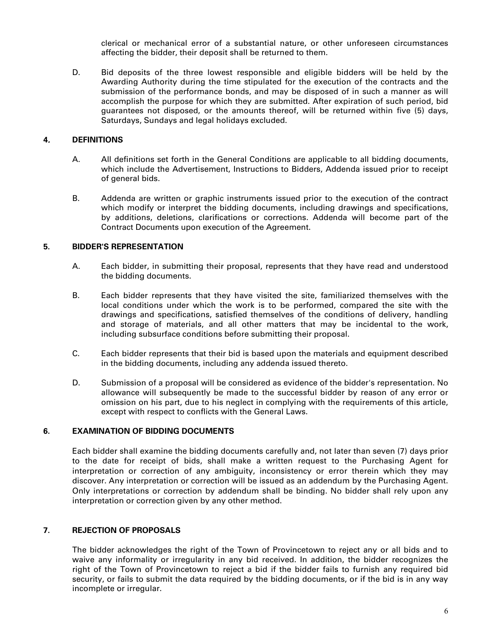clerical or mechanical error of a substantial nature, or other unforeseen circumstances affecting the bidder, their deposit shall be returned to them.

D. Bid deposits of the three lowest responsible and eligible bidders will be held by the Awarding Authority during the time stipulated for the execution of the contracts and the submission of the performance bonds, and may be disposed of in such a manner as will accomplish the purpose for which they are submitted. After expiration of such period, bid guarantees not disposed, or the amounts thereof, will be returned within five (5) days, Saturdays, Sundays and legal holidays excluded.

### **4**. **DEFINITIONS**

- A. All definitions set forth in the General Conditions are applicable to all bidding documents, which include the Advertisement, Instructions to Bidders, Addenda issued prior to receipt of general bids.
- B. Addenda are written or graphic instruments issued prior to the execution of the contract which modify or interpret the bidding documents, including drawings and specifications, by additions, deletions, clarifications or corrections. Addenda will become part of the Contract Documents upon execution of the Agreement.

### **5. BIDDER'S REPRESENTATION**

- A. Each bidder, in submitting their proposal, represents that they have read and understood the bidding documents.
- B. Each bidder represents that they have visited the site, familiarized themselves with the local conditions under which the work is to be performed, compared the site with the drawings and specifications, satisfied themselves of the conditions of delivery, handling and storage of materials, and all other matters that may be incidental to the work, including subsurface conditions before submitting their proposal.
- C. Each bidder represents that their bid is based upon the materials and equipment described in the bidding documents, including any addenda issued thereto.
- D. Submission of a proposal will be considered as evidence of the bidder's representation. No allowance will subsequently be made to the successful bidder by reason of any error or omission on his part, due to his neglect in complying with the requirements of this article, except with respect to conflicts with the General Laws.

### **6. EXAMINATION OF BIDDING DOCUMENTS**

Each bidder shall examine the bidding documents carefully and, not later than seven (7) days prior to the date for receipt of bids, shall make a written request to the Purchasing Agent for interpretation or correction of any ambiguity, inconsistency or error therein which they may discover. Any interpretation or correction will be issued as an addendum by the Purchasing Agent. Only interpretations or correction by addendum shall be binding. No bidder shall rely upon any interpretation or correction given by any other method.

### **7. REJECTION OF PROPOSALS**

The bidder acknowledges the right of the Town of Provincetown to reject any or all bids and to waive any informality or irregularity in any bid received. In addition, the bidder recognizes the right of the Town of Provincetown to reject a bid if the bidder fails to furnish any required bid security, or fails to submit the data required by the bidding documents, or if the bid is in any way incomplete or irregular.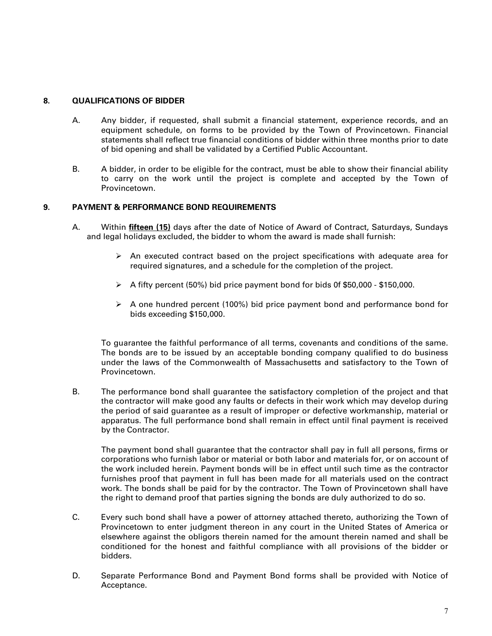### **8. QUALIFICATIONS OF BIDDER**

- A. Any bidder, if requested, shall submit a financial statement, experience records, and an equipment schedule, on forms to be provided by the Town of Provincetown. Financial statements shall reflect true financial conditions of bidder within three months prior to date of bid opening and shall be validated by a Certified Public Accountant.
- B. A bidder, in order to be eligible for the contract, must be able to show their financial ability to carry on the work until the project is complete and accepted by the Town of Provincetown.

### **9. PAYMENT & PERFORMANCE BOND REQUIREMENTS**

- A. Within **fifteen (15)** days after the date of Notice of Award of Contract, Saturdays, Sundays and legal holidays excluded, the bidder to whom the award is made shall furnish:
	- $\triangleright$  An executed contract based on the project specifications with adequate area for required signatures, and a schedule for the completion of the project.
	- $\triangleright$  A fifty percent (50%) bid price payment bond for bids 0f \$50,000 \$150,000.
	- $\triangleright$  A one hundred percent (100%) bid price payment bond and performance bond for bids exceeding \$150,000.

 To guarantee the faithful performance of all terms, covenants and conditions of the same. The bonds are to be issued by an acceptable bonding company qualified to do business under the laws of the Commonwealth of Massachusetts and satisfactory to the Town of Provincetown.

B. The performance bond shall guarantee the satisfactory completion of the project and that the contractor will make good any faults or defects in their work which may develop during the period of said guarantee as a result of improper or defective workmanship, material or apparatus. The full performance bond shall remain in effect until final payment is received by the Contractor.

The payment bond shall guarantee that the contractor shall pay in full all persons, firms or corporations who furnish labor or material or both labor and materials for, or on account of the work included herein. Payment bonds will be in effect until such time as the contractor furnishes proof that payment in full has been made for all materials used on the contract work. The bonds shall be paid for by the contractor. The Town of Provincetown shall have the right to demand proof that parties signing the bonds are duly authorized to do so.

- C. Every such bond shall have a power of attorney attached thereto, authorizing the Town of Provincetown to enter judgment thereon in any court in the United States of America or elsewhere against the obligors therein named for the amount therein named and shall be conditioned for the honest and faithful compliance with all provisions of the bidder or bidders.
- D. Separate Performance Bond and Payment Bond forms shall be provided with Notice of Acceptance.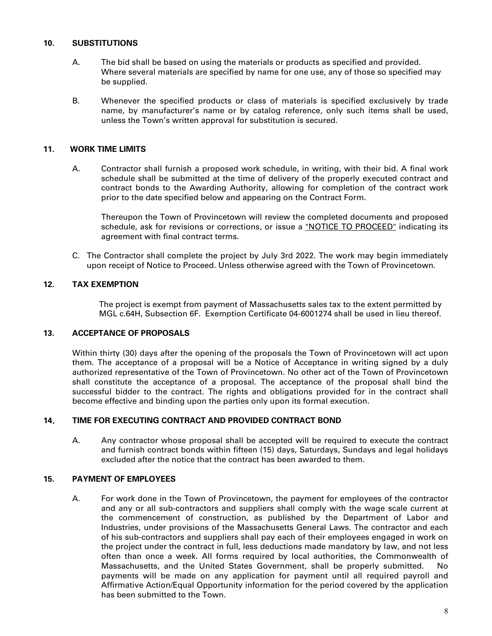### **10. SUBSTITUTIONS**

- A. The bid shall be based on using the materials or products as specified and provided. Where several materials are specified by name for one use, any of those so specified may be supplied.
- B. Whenever the specified products or class of materials is specified exclusively by trade name, by manufacturer's name or by catalog reference, only such items shall be used, unless the Town's written approval for substitution is secured.

### **11. WORK TIME LIMITS**

A. Contractor shall furnish a proposed work schedule, in writing, with their bid. A final work schedule shall be submitted at the time of delivery of the properly executed contract and contract bonds to the Awarding Authority, allowing for completion of the contract work prior to the date specified below and appearing on the Contract Form.

Thereupon the Town of Provincetown will review the completed documents and proposed schedule, ask for revisions or corrections, or issue a "NOTICE TO PROCEED" indicating its agreement with final contract terms.

C. The Contractor shall complete the project by July 3rd 2022. The work may begin immediately upon receipt of Notice to Proceed. Unless otherwise agreed with the Town of Provincetown.

### **12. TAX EXEMPTION**

 The project is exempt from payment of Massachusetts sales tax to the extent permitted by MGL c.64H, Subsection 6F. Exemption Certificate 04-6001274 shall be used in lieu thereof.

### **13. ACCEPTANCE OF PROPOSALS**

Within thirty (30) days after the opening of the proposals the Town of Provincetown will act upon them. The acceptance of a proposal will be a Notice of Acceptance in writing signed by a duly authorized representative of the Town of Provincetown. No other act of the Town of Provincetown shall constitute the acceptance of a proposal. The acceptance of the proposal shall bind the successful bidder to the contract. The rights and obligations provided for in the contract shall become effective and binding upon the parties only upon its formal execution.

### **14**. **TIME FOR EXECUTING CONTRACT AND PROVIDED CONTRACT BOND**

A. Any contractor whose proposal shall be accepted will be required to execute the contract and furnish contract bonds within fifteen (15) days, Saturdays, Sundays and legal holidays excluded after the notice that the contract has been awarded to them.

### **15. PAYMENT OF EMPLOYEES**

A. For work done in the Town of Provincetown, the payment for employees of the contractor and any or all sub-contractors and suppliers shall comply with the wage scale current at the commencement of construction, as published by the Department of Labor and Industries, under provisions of the Massachusetts General Laws. The contractor and each of his sub-contractors and suppliers shall pay each of their employees engaged in work on the project under the contract in full, less deductions made mandatory by law, and not less often than once a week. All forms required by local authorities, the Commonwealth of Massachusetts, and the United States Government, shall be properly submitted. No payments will be made on any application for payment until all required payroll and Affirmative Action/Equal Opportunity information for the period covered by the application has been submitted to the Town.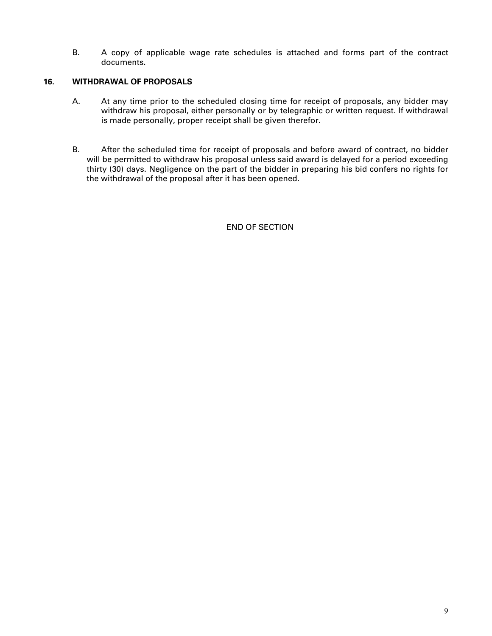B. A copy of applicable wage rate schedules is attached and forms part of the contract documents.

### **16. WITHDRAWAL OF PROPOSALS**

- A. At any time prior to the scheduled closing time for receipt of proposals, any bidder may withdraw his proposal, either personally or by telegraphic or written request. If withdrawal is made personally, proper receipt shall be given therefor.
- B. After the scheduled time for receipt of proposals and before award of contract, no bidder will be permitted to withdraw his proposal unless said award is delayed for a period exceeding thirty (30) days. Negligence on the part of the bidder in preparing his bid confers no rights for the withdrawal of the proposal after it has been opened.

END OF SECTION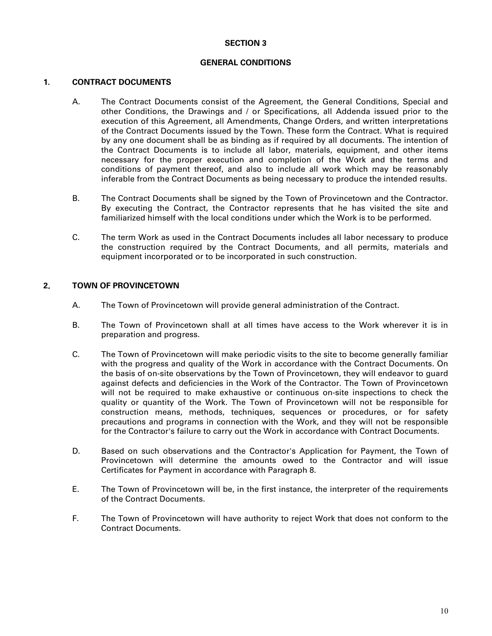### **GENERAL CONDITIONS**

### **1. CONTRACT DOCUMENTS**

- A. The Contract Documents consist of the Agreement, the General Conditions, Special and other Conditions, the Drawings and / or Specifications, all Addenda issued prior to the execution of this Agreement, all Amendments, Change Orders, and written interpretations of the Contract Documents issued by the Town. These form the Contract. What is required by any one document shall be as binding as if required by all documents. The intention of the Contract Documents is to include all labor, materials, equipment, and other items necessary for the proper execution and completion of the Work and the terms and conditions of payment thereof, and also to include all work which may be reasonably inferable from the Contract Documents as being necessary to produce the intended results.
- B. The Contract Documents shall be signed by the Town of Provincetown and the Contractor. By executing the Contract, the Contractor represents that he has visited the site and familiarized himself with the local conditions under which the Work is to be performed.
- C. The term Work as used in the Contract Documents includes all labor necessary to produce the construction required by the Contract Documents, and all permits, materials and equipment incorporated or to be incorporated in such construction.

### **2**. **TOWN OF PROVINCETOWN**

- A. The Town of Provincetown will provide general administration of the Contract.
- B. The Town of Provincetown shall at all times have access to the Work wherever it is in preparation and progress.
- C. The Town of Provincetown will make periodic visits to the site to become generally familiar with the progress and quality of the Work in accordance with the Contract Documents. On the basis of on-site observations by the Town of Provincetown, they will endeavor to guard against defects and deficiencies in the Work of the Contractor. The Town of Provincetown will not be required to make exhaustive or continuous on-site inspections to check the quality or quantity of the Work. The Town of Provincetown will not be responsible for construction means, methods, techniques, sequences or procedures, or for safety precautions and programs in connection with the Work, and they will not be responsible for the Contractor's failure to carry out the Work in accordance with Contract Documents.
- D. Based on such observations and the Contractor's Application for Payment, the Town of Provincetown will determine the amounts owed to the Contractor and will issue Certificates for Payment in accordance with Paragraph 8.
- E. The Town of Provincetown will be, in the first instance, the interpreter of the requirements of the Contract Documents.
- F. The Town of Provincetown will have authority to reject Work that does not conform to the Contract Documents.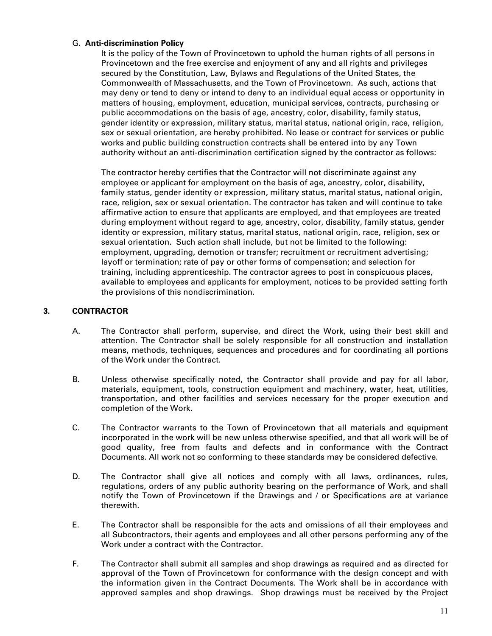### G. **Anti-discrimination Policy**

It is the policy of the Town of Provincetown to uphold the human rights of all persons in Provincetown and the free exercise and enjoyment of any and all rights and privileges secured by the Constitution, Law, Bylaws and Regulations of the United States, the Commonwealth of Massachusetts, and the Town of Provincetown. As such, actions that may deny or tend to deny or intend to deny to an individual equal access or opportunity in matters of housing, employment, education, municipal services, contracts, purchasing or public accommodations on the basis of age, ancestry, color, disability, family status, gender identity or expression, military status, marital status, national origin, race, religion, sex or sexual orientation, are hereby prohibited. No lease or contract for services or public works and public building construction contracts shall be entered into by any Town authority without an anti-discrimination certification signed by the contractor as follows:

The contractor hereby certifies that the Contractor will not discriminate against any employee or applicant for employment on the basis of age, ancestry, color, disability, family status, gender identity or expression, military status, marital status, national origin, race, religion, sex or sexual orientation. The contractor has taken and will continue to take affirmative action to ensure that applicants are employed, and that employees are treated during employment without regard to age, ancestry, color, disability, family status, gender identity or expression, military status, marital status, national origin, race, religion, sex or sexual orientation. Such action shall include, but not be limited to the following: employment, upgrading, demotion or transfer; recruitment or recruitment advertising; layoff or termination; rate of pay or other forms of compensation; and selection for training, including apprenticeship. The contractor agrees to post in conspicuous places, available to employees and applicants for employment, notices to be provided setting forth the provisions of this nondiscrimination.

### **3. CONTRACTOR**

- A. The Contractor shall perform, supervise, and direct the Work, using their best skill and attention. The Contractor shall be solely responsible for all construction and installation means, methods, techniques, sequences and procedures and for coordinating all portions of the Work under the Contract.
- B. Unless otherwise specifically noted, the Contractor shall provide and pay for all labor, materials, equipment, tools, construction equipment and machinery, water, heat, utilities, transportation, and other facilities and services necessary for the proper execution and completion of the Work.
- C. The Contractor warrants to the Town of Provincetown that all materials and equipment incorporated in the work will be new unless otherwise specified, and that all work will be of good quality, free from faults and defects and in conformance with the Contract Documents. All work not so conforming to these standards may be considered defective.
- D. The Contractor shall give all notices and comply with all laws, ordinances, rules, regulations, orders of any public authority bearing on the performance of Work, and shall notify the Town of Provincetown if the Drawings and / or Specifications are at variance therewith.
- E. The Contractor shall be responsible for the acts and omissions of all their employees and all Subcontractors, their agents and employees and all other persons performing any of the Work under a contract with the Contractor.
- F. The Contractor shall submit all samples and shop drawings as required and as directed for approval of the Town of Provincetown for conformance with the design concept and with the information given in the Contract Documents. The Work shall be in accordance with approved samples and shop drawings. Shop drawings must be received by the Project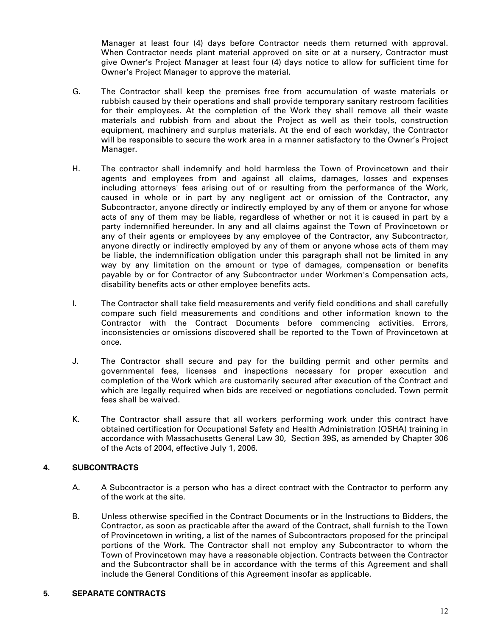Manager at least four (4) days before Contractor needs them returned with approval. When Contractor needs plant material approved on site or at a nursery, Contractor must give Owner's Project Manager at least four (4) days notice to allow for sufficient time for Owner's Project Manager to approve the material.

- G. The Contractor shall keep the premises free from accumulation of waste materials or rubbish caused by their operations and shall provide temporary sanitary restroom facilities for their employees. At the completion of the Work they shall remove all their waste materials and rubbish from and about the Project as well as their tools, construction equipment, machinery and surplus materials. At the end of each workday, the Contractor will be responsible to secure the work area in a manner satisfactory to the Owner's Project Manager.
- H. The contractor shall indemnify and hold harmless the Town of Provincetown and their agents and employees from and against all claims, damages, losses and expenses including attorneys' fees arising out of or resulting from the performance of the Work, caused in whole or in part by any negligent act or omission of the Contractor, any Subcontractor, anyone directly or indirectly employed by any of them or anyone for whose acts of any of them may be liable, regardless of whether or not it is caused in part by a party indemnified hereunder. In any and all claims against the Town of Provincetown or any of their agents or employees by any employee of the Contractor, any Subcontractor, anyone directly or indirectly employed by any of them or anyone whose acts of them may be liable, the indemnification obligation under this paragraph shall not be limited in any way by any limitation on the amount or type of damages, compensation or benefits payable by or for Contractor of any Subcontractor under Workmen's Compensation acts, disability benefits acts or other employee benefits acts.
- I. The Contractor shall take field measurements and verify field conditions and shall carefully compare such field measurements and conditions and other information known to the Contractor with the Contract Documents before commencing activities. Errors, inconsistencies or omissions discovered shall be reported to the Town of Provincetown at once.
- J. The Contractor shall secure and pay for the building permit and other permits and governmental fees, licenses and inspections necessary for proper execution and completion of the Work which are customarily secured after execution of the Contract and which are legally required when bids are received or negotiations concluded. Town permit fees shall be waived.
- K. The Contractor shall assure that all workers performing work under this contract have obtained certification for Occupational Safety and Health Administration (OSHA) training in accordance with Massachusetts General Law 30, Section 39S, as amended by Chapter 306 of the Acts of 2004, effective July 1, 2006.

### **4. SUBCONTRACTS**

- A. A Subcontractor is a person who has a direct contract with the Contractor to perform any of the work at the site.
- B. Unless otherwise specified in the Contract Documents or in the Instructions to Bidders, the Contractor, as soon as practicable after the award of the Contract, shall furnish to the Town of Provincetown in writing, a list of the names of Subcontractors proposed for the principal portions of the Work. The Contractor shall not employ any Subcontractor to whom the Town of Provincetown may have a reasonable objection. Contracts between the Contractor and the Subcontractor shall be in accordance with the terms of this Agreement and shall include the General Conditions of this Agreement insofar as applicable.

### **5. SEPARATE CONTRACTS**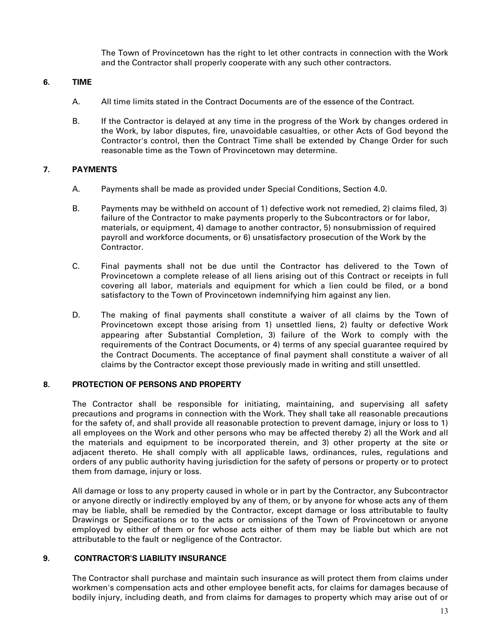The Town of Provincetown has the right to let other contracts in connection with the Work and the Contractor shall properly cooperate with any such other contractors.

### **6. TIME**

- A. All time limits stated in the Contract Documents are of the essence of the Contract.
- B. If the Contractor is delayed at any time in the progress of the Work by changes ordered in the Work, by labor disputes, fire, unavoidable casualties, or other Acts of God beyond the Contractor's control, then the Contract Time shall be extended by Change Order for such reasonable time as the Town of Provincetown may determine.

### **7. PAYMENTS**

- A. Payments shall be made as provided under Special Conditions, Section 4.0.
- B. Payments may be withheld on account of 1) defective work not remedied, 2) claims filed, 3) failure of the Contractor to make payments properly to the Subcontractors or for labor, materials, or equipment, 4) damage to another contractor, 5) nonsubmission of required payroll and workforce documents, or 6) unsatisfactory prosecution of the Work by the Contractor.
- C. Final payments shall not be due until the Contractor has delivered to the Town of Provincetown a complete release of all liens arising out of this Contract or receipts in full covering all labor, materials and equipment for which a lien could be filed, or a bond satisfactory to the Town of Provincetown indemnifying him against any lien.
- D. The making of final payments shall constitute a waiver of all claims by the Town of Provincetown except those arising from 1) unsettled liens, 2) faulty or defective Work appearing after Substantial Completion, 3) failure of the Work to comply with the requirements of the Contract Documents, or 4) terms of any special guarantee required by the Contract Documents. The acceptance of final payment shall constitute a waiver of all claims by the Contractor except those previously made in writing and still unsettled.

### **8. PROTECTION OF PERSONS AND PROPERTY**

The Contractor shall be responsible for initiating, maintaining, and supervising all safety precautions and programs in connection with the Work. They shall take all reasonable precautions for the safety of, and shall provide all reasonable protection to prevent damage, injury or loss to 1) all employees on the Work and other persons who may be affected thereby 2) all the Work and all the materials and equipment to be incorporated therein, and 3) other property at the site or adjacent thereto. He shall comply with all applicable laws, ordinances, rules, regulations and orders of any public authority having jurisdiction for the safety of persons or property or to protect them from damage, injury or loss.

All damage or loss to any property caused in whole or in part by the Contractor, any Subcontractor or anyone directly or indirectly employed by any of them, or by anyone for whose acts any of them may be liable, shall be remedied by the Contractor, except damage or loss attributable to faulty Drawings or Specifications or to the acts or omissions of the Town of Provincetown or anyone employed by either of them or for whose acts either of them may be liable but which are not attributable to the fault or negligence of the Contractor.

### **9. CONTRACTOR'S LIABILITY INSURANCE**

The Contractor shall purchase and maintain such insurance as will protect them from claims under workmen's compensation acts and other employee benefit acts, for claims for damages because of bodily injury, including death, and from claims for damages to property which may arise out of or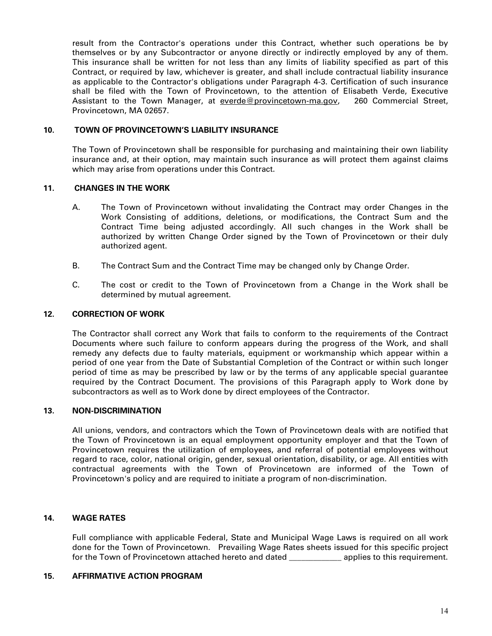result from the Contractor's operations under this Contract, whether such operations be by themselves or by any Subcontractor or anyone directly or indirectly employed by any of them. This insurance shall be written for not less than any limits of liability specified as part of this Contract, or required by law, whichever is greater, and shall include contractual liability insurance as applicable to the Contractor's obligations under Paragraph 4-3. Certification of such insurance shall be filed with the Town of Provincetown, to the attention of Elisabeth Verde, Executive Assistant to the Town Manager, at [everde@provincetown-ma.gov,](mailto:everde@provincetown-ma.gov) 260 Commercial Street, Provincetown, MA 02657.

### **10. TOWN OF PROVINCETOWN'S LIABILITY INSURANCE**

The Town of Provincetown shall be responsible for purchasing and maintaining their own liability insurance and, at their option, may maintain such insurance as will protect them against claims which may arise from operations under this Contract.

### **11. CHANGES IN THE WORK**

- A. The Town of Provincetown without invalidating the Contract may order Changes in the Work Consisting of additions, deletions, or modifications, the Contract Sum and the Contract Time being adjusted accordingly. All such changes in the Work shall be authorized by written Change Order signed by the Town of Provincetown or their duly authorized agent.
- B. The Contract Sum and the Contract Time may be changed only by Change Order.
- C. The cost or credit to the Town of Provincetown from a Change in the Work shall be determined by mutual agreement.

### **12. CORRECTION OF WORK**

The Contractor shall correct any Work that fails to conform to the requirements of the Contract Documents where such failure to conform appears during the progress of the Work, and shall remedy any defects due to faulty materials, equipment or workmanship which appear within a period of one year from the Date of Substantial Completion of the Contract or within such longer period of time as may be prescribed by law or by the terms of any applicable special guarantee required by the Contract Document. The provisions of this Paragraph apply to Work done by subcontractors as well as to Work done by direct employees of the Contractor.

### **13. NON-DISCRIMINATION**

All unions, vendors, and contractors which the Town of Provincetown deals with are notified that the Town of Provincetown is an equal employment opportunity employer and that the Town of Provincetown requires the utilization of employees, and referral of potential employees without regard to race, color, national origin, gender, sexual orientation, disability, or age. All entities with contractual agreements with the Town of Provincetown are informed of the Town of Provincetown's policy and are required to initiate a program of non-discrimination.

### **14. WAGE RATES**

Full compliance with applicable Federal, State and Municipal Wage Laws is required on all work done for the Town of Provincetown. Prevailing Wage Rates sheets issued for this specific project for the Town of Provincetown attached hereto and dated **\_\_\_\_\_\_\_\_\_\_\_\_\_** applies to this requirement.

### **15. AFFIRMATIVE ACTION PROGRAM**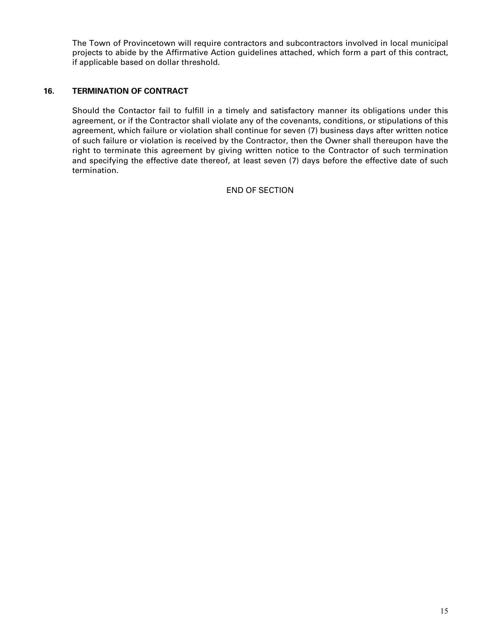The Town of Provincetown will require contractors and subcontractors involved in local municipal projects to abide by the Affirmative Action guidelines attached, which form a part of this contract, if applicable based on dollar threshold.

### **16. TERMINATION OF CONTRACT**

Should the Contactor fail to fulfill in a timely and satisfactory manner its obligations under this agreement, or if the Contractor shall violate any of the covenants, conditions, or stipulations of this agreement, which failure or violation shall continue for seven (7) business days after written notice of such failure or violation is received by the Contractor, then the Owner shall thereupon have the right to terminate this agreement by giving written notice to the Contractor of such termination and specifying the effective date thereof, at least seven (7) days before the effective date of such termination.

### END OF SECTION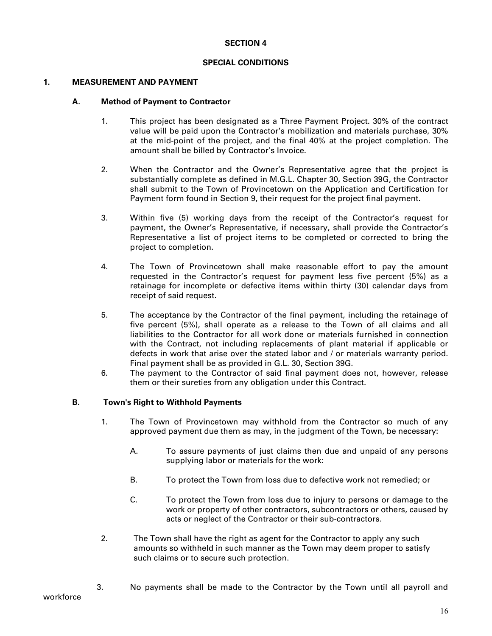### **SPECIAL CONDITIONS**

### **1. MEASUREMENT AND PAYMENT**

### **A. Method of Payment to Contractor**

- 1. This project has been designated as a Three Payment Project. 30% of the contract value will be paid upon the Contractor's mobilization and materials purchase, 30% at the mid-point of the project, and the final 40% at the project completion. The amount shall be billed by Contractor's Invoice.
- 2. When the Contractor and the Owner's Representative agree that the project is substantially complete as defined in M.G.L. Chapter 30, Section 39G, the Contractor shall submit to the Town of Provincetown on the Application and Certification for Payment form found in Section 9, their request for the project final payment.
- 3. Within five (5) working days from the receipt of the Contractor's request for payment, the Owner's Representative, if necessary, shall provide the Contractor's Representative a list of project items to be completed or corrected to bring the project to completion.
- 4. The Town of Provincetown shall make reasonable effort to pay the amount requested in the Contractor's request for payment less five percent (5%) as a retainage for incomplete or defective items within thirty (30) calendar days from receipt of said request.
- 5. The acceptance by the Contractor of the final payment, including the retainage of five percent (5%), shall operate as a release to the Town of all claims and all liabilities to the Contractor for all work done or materials furnished in connection with the Contract, not including replacements of plant material if applicable or defects in work that arise over the stated labor and / or materials warranty period. Final payment shall be as provided in G.L. 30, Section 39G.
- 6. The payment to the Contractor of said final payment does not, however, release them or their sureties from any obligation under this Contract.

### **B. Town's Right to Withhold Payments**

- 1. The Town of Provincetown may withhold from the Contractor so much of any approved payment due them as may, in the judgment of the Town, be necessary:
	- A. To assure payments of just claims then due and unpaid of any persons supplying labor or materials for the work:
	- B. To protect the Town from loss due to defective work not remedied; or
	- C. To protect the Town from loss due to injury to persons or damage to the work or property of other contractors, subcontractors or others, caused by acts or neglect of the Contractor or their sub-contractors.
- 2. The Town shall have the right as agent for the Contractor to apply any such amounts so withheld in such manner as the Town may deem proper to satisfy such claims or to secure such protection.
- workforce
- 3. No payments shall be made to the Contractor by the Town until all payroll and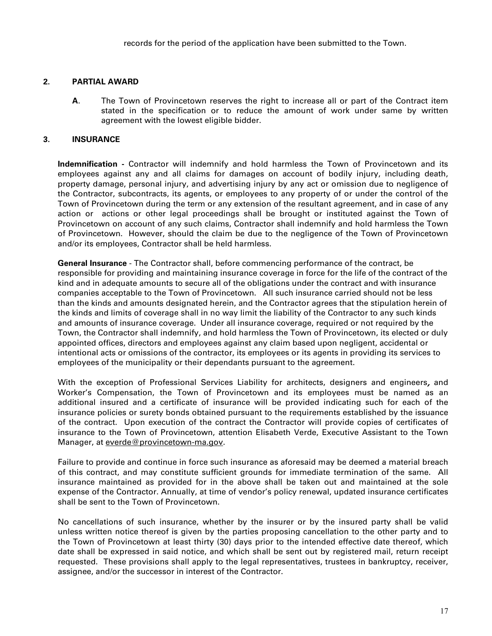### **2. PARTIAL AWARD**

**A**. The Town of Provincetown reserves the right to increase all or part of the Contract item stated in the specification or to reduce the amount of work under same by written agreement with the lowest eligible bidder.

### **3. INSURANCE**

**Indemnification -** Contractor will indemnify and hold harmless the Town of Provincetown and its employees against any and all claims for damages on account of bodily injury, including death, property damage, personal injury, and advertising injury by any act or omission due to negligence of the Contractor, subcontracts, its agents, or employees to any property of or under the control of the Town of Provincetown during the term or any extension of the resultant agreement, and in case of any action or actions or other legal proceedings shall be brought or instituted against the Town of Provincetown on account of any such claims, Contractor shall indemnify and hold harmless the Town of Provincetown. However, should the claim be due to the negligence of the Town of Provincetown and/or its employees, Contractor shall be held harmless.

**General Insurance** - The Contractor shall, before commencing performance of the contract, be responsible for providing and maintaining insurance coverage in force for the life of the contract of the kind and in adequate amounts to secure all of the obligations under the contract and with insurance companies acceptable to the Town of Provincetown. All such insurance carried should not be less than the kinds and amounts designated herein, and the Contractor agrees that the stipulation herein of the kinds and limits of coverage shall in no way limit the liability of the Contractor to any such kinds and amounts of insurance coverage. Under all insurance coverage, required or not required by the Town, the Contractor shall indemnify, and hold harmless the Town of Provincetown, its elected or duly appointed offices, directors and employees against any claim based upon negligent, accidental or intentional acts or omissions of the contractor, its employees or its agents in providing its services to employees of the municipality or their dependants pursuant to the agreement.

With the exception of Professional Services Liability for architects, designers and engineers, and Worker's Compensation, the Town of Provincetown and its employees must be named as an additional insured and a certificate of insurance will be provided indicating such for each of the insurance policies or surety bonds obtained pursuant to the requirements established by the issuance of the contract. Upon execution of the contract the Contractor will provide copies of certificates of insurance to the Town of Provincetown, attention Elisabeth Verde, Executive Assistant to the Town Manager, at [everde@provincetown-ma.gov.](mailto:everde@provincetown-ma.gov)

Failure to provide and continue in force such insurance as aforesaid may be deemed a material breach of this contract, and may constitute sufficient grounds for immediate termination of the same. All insurance maintained as provided for in the above shall be taken out and maintained at the sole expense of the Contractor. Annually, at time of vendor's policy renewal, updated insurance certificates shall be sent to the Town of Provincetown.

No cancellations of such insurance, whether by the insurer or by the insured party shall be valid unless written notice thereof is given by the parties proposing cancellation to the other party and to the Town of Provincetown at least thirty (30) days prior to the intended effective date thereof, which date shall be expressed in said notice, and which shall be sent out by registered mail, return receipt requested. These provisions shall apply to the legal representatives, trustees in bankruptcy, receiver, assignee, and/or the successor in interest of the Contractor.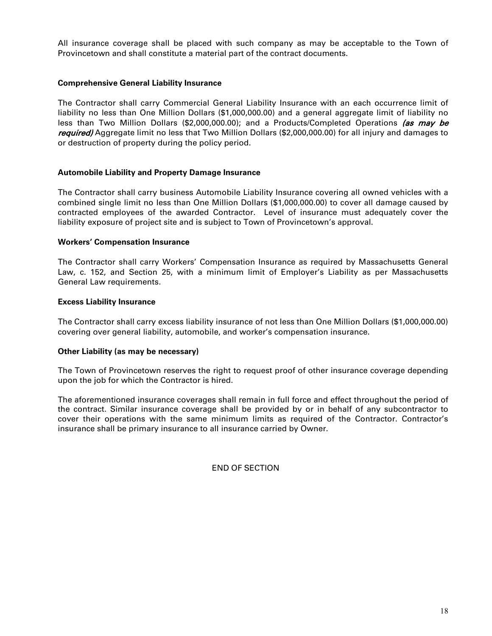All insurance coverage shall be placed with such company as may be acceptable to the Town of Provincetown and shall constitute a material part of the contract documents.

### **Comprehensive General Liability Insurance**

The Contractor shall carry Commercial General Liability Insurance with an each occurrence limit of liability no less than One Million Dollars (\$1,000,000.00) and a general aggregate limit of liability no less than Two Million Dollars (\$2,000,000.00); and a Products/Completed Operations (as may be required) Aggregate limit no less that Two Million Dollars (\$2,000,000.00) for all injury and damages to or destruction of property during the policy period.

### **Automobile Liability and Property Damage Insurance**

The Contractor shall carry business Automobile Liability Insurance covering all owned vehicles with a combined single limit no less than One Million Dollars (\$1,000,000.00) to cover all damage caused by contracted employees of the awarded Contractor. Level of insurance must adequately cover the liability exposure of project site and is subject to Town of Provincetown's approval.

### **Workers' Compensation Insurance**

The Contractor shall carry Workers' Compensation Insurance as required by Massachusetts General Law, c. 152, and Section 25, with a minimum limit of Employer's Liability as per Massachusetts General Law requirements.

### **Excess Liability Insurance**

The Contractor shall carry excess liability insurance of not less than One Million Dollars (\$1,000,000.00) covering over general liability, automobile, and worker's compensation insurance.

### **Other Liability (as may be necessary)**

The Town of Provincetown reserves the right to request proof of other insurance coverage depending upon the job for which the Contractor is hired.

The aforementioned insurance coverages shall remain in full force and effect throughout the period of the contract. Similar insurance coverage shall be provided by or in behalf of any subcontractor to cover their operations with the same minimum limits as required of the Contractor. Contractor's insurance shall be primary insurance to all insurance carried by Owner.

END OF SECTION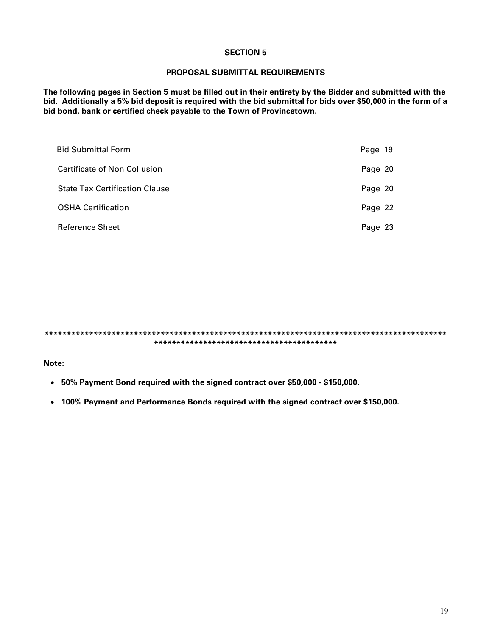### **PROPOSAL SUBMITTAL REQUIREMENTS**

**The following pages in Section 5 must be filled out in their entirety by the Bidder and submitted with the bid. Additionally a 5% bid deposit is required with the bid submittal for bids over \$50,000 in the form of a bid bond, bank or certified check payable to the Town of Provincetown.**

| <b>Bid Submittal Form</b>             | Page 19 |
|---------------------------------------|---------|
| Certificate of Non Collusion          | Page 20 |
| <b>State Tax Certification Clause</b> | Page 20 |
| <b>OSHA Certification</b>             | Page 22 |
| <b>Reference Sheet</b>                | Page 23 |

**\*\*\*\*\*\*\*\*\*\*\*\*\*\*\*\*\*\*\*\*\*\*\*\*\*\*\*\*\*\*\*\*\*\*\*\*\*\*\*\*\*\*\*\*\*\*\*\*\*\*\*\*\*\*\*\*\*\*\*\*\*\*\*\*\*\*\*\*\*\*\*\*\*\*\*\*\*\*\*\*\*\*\*\*\*\*\*\*\*\* \*\*\*\*\*\*\*\*\*\*\*\*\*\*\*\*\*\*\*\*\*\*\*\*\*\*\*\*\*\*\*\*\*\*\*\*\*\*\*\*\***

**Note:** 

- **50% Payment Bond required with the signed contract over \$50,000 \$150,000.**
- **100% Payment and Performance Bonds required with the signed contract over \$150,000.**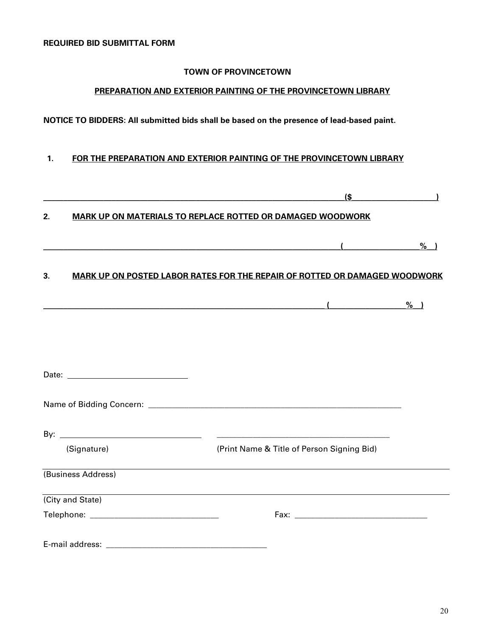### **TOWN OF PROVINCETOWN**

# **PREPARATION AND EXTERIOR PAINTING OF THE PROVINCETOWN LIBRARY**

**NOTICE TO BIDDERS: All submitted bids shall be based on the presence of lead-based paint.**

### **1. FOR THE PREPARATION AND EXTERIOR PAINTING OF THE PROVINCETOWN LIBRARY**

|                    |                                                                   |  | (\$                                                                               |                 |  |  |
|--------------------|-------------------------------------------------------------------|--|-----------------------------------------------------------------------------------|-----------------|--|--|
| 2.                 | <b>MARK UP ON MATERIALS TO REPLACE ROTTED OR DAMAGED WOODWORK</b> |  |                                                                                   |                 |  |  |
|                    |                                                                   |  |                                                                                   | $%$ )           |  |  |
| 3.                 |                                                                   |  | <b>MARK UP ON POSTED LABOR RATES FOR THE REPAIR OF ROTTED OR DAMAGED WOODWORK</b> |                 |  |  |
|                    |                                                                   |  |                                                                                   | $\frac{\%}{\%}$ |  |  |
|                    |                                                                   |  |                                                                                   |                 |  |  |
|                    |                                                                   |  |                                                                                   |                 |  |  |
|                    |                                                                   |  |                                                                                   |                 |  |  |
|                    |                                                                   |  |                                                                                   |                 |  |  |
|                    |                                                                   |  | <u> 2000 - Jan James James Barnett, amerikansk politik (</u>                      |                 |  |  |
|                    | (Signature)                                                       |  | (Print Name & Title of Person Signing Bid)                                        |                 |  |  |
| (Business Address) |                                                                   |  |                                                                                   |                 |  |  |
| (City and State)   |                                                                   |  | ,我们也不会有什么。""我们的人,我们也不会有什么?""我们的人,我们也不会有什么?""我们的人,我们也不会有什么?""我们的人,我们也不会有什么?""我们的人  |                 |  |  |
|                    |                                                                   |  |                                                                                   |                 |  |  |
|                    |                                                                   |  |                                                                                   |                 |  |  |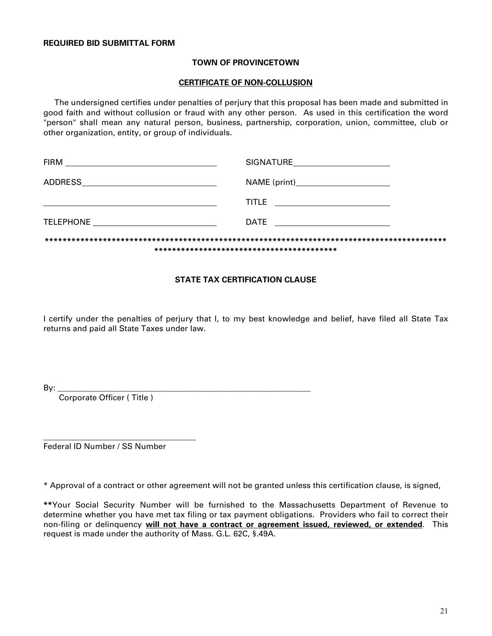### **TOWN OF PROVINCETOWN**

### **CERTIFICATE OF NON-COLLUSION**

 The undersigned certifies under penalties of perjury that this proposal has been made and submitted in good faith and without collusion or fraud with any other person. As used in this certification the word "person" shall mean any natural person, business, partnership, corporation, union, committee, club or other organization, entity, or group of individuals.

|                                                   | SIGNATURE                       |  |  |  |
|---------------------------------------------------|---------------------------------|--|--|--|
|                                                   |                                 |  |  |  |
| <u> 1989 - Johann Barn, mars et al. (b. 1989)</u> | TITLE ________________________  |  |  |  |
|                                                   | DATE __________________________ |  |  |  |
|                                                   |                                 |  |  |  |

### **STATE TAX CERTIFICATION CLAUSE**

I certify under the penalties of perjury that I, to my best knowledge and belief, have filed all State Tax returns and paid all State Taxes under law.

By: \_\_\_\_\_\_\_\_\_\_\_\_\_\_\_\_\_\_\_\_\_\_\_\_\_\_\_\_\_\_\_\_\_\_\_\_\_\_\_\_\_\_\_\_\_\_\_\_\_\_\_\_\_\_\_\_\_\_\_\_\_\_\_

Corporate Officer ( Title )

\_\_\_\_\_\_\_\_\_\_\_\_\_\_\_\_\_\_\_\_\_\_\_\_\_\_\_\_\_\_\_\_\_\_\_\_\_\_ Federal ID Number / SS Number

\* Approval of a contract or other agreement will not be granted unless this certification clause, is signed,

**\*\***Your Social Security Number will be furnished to the Massachusetts Department of Revenue to determine whether you have met tax filing or tax payment obligations. Providers who fail to correct their non-filing or delinquency **will not have a contract or agreement issued, reviewed, or extended**. This request is made under the authority of Mass. G.L. 62C, §.49A.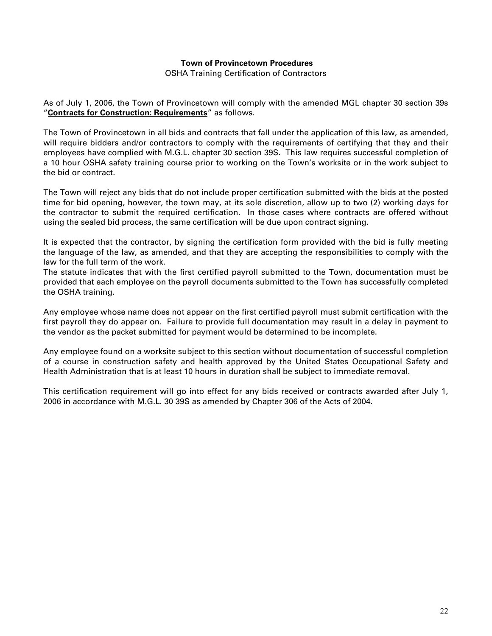### **Town of Provincetown Procedures**

OSHA Training Certification of Contractors

As of July 1, 2006, the Town of Provincetown will comply with the amended MGL chapter 30 section 39s "**Contracts for Construction: Requirements**" as follows.

The Town of Provincetown in all bids and contracts that fall under the application of this law, as amended, will require bidders and/or contractors to comply with the requirements of certifying that they and their employees have complied with M.G.L. chapter 30 section 39S. This law requires successful completion of a 10 hour OSHA safety training course prior to working on the Town's worksite or in the work subject to the bid or contract.

The Town will reject any bids that do not include proper certification submitted with the bids at the posted time for bid opening, however, the town may, at its sole discretion, allow up to two (2) working days for the contractor to submit the required certification. In those cases where contracts are offered without using the sealed bid process, the same certification will be due upon contract signing.

It is expected that the contractor, by signing the certification form provided with the bid is fully meeting the language of the law, as amended, and that they are accepting the responsibilities to comply with the law for the full term of the work.

The statute indicates that with the first certified payroll submitted to the Town, documentation must be provided that each employee on the payroll documents submitted to the Town has successfully completed the OSHA training.

Any employee whose name does not appear on the first certified payroll must submit certification with the first payroll they do appear on. Failure to provide full documentation may result in a delay in payment to the vendor as the packet submitted for payment would be determined to be incomplete.

Any employee found on a worksite subject to this section without documentation of successful completion of a course in construction safety and health approved by the United States Occupational Safety and Health Administration that is at least 10 hours in duration shall be subject to immediate removal.

This certification requirement will go into effect for any bids received or contracts awarded after July 1, 2006 in accordance with M.G.L. 30 39S as amended by Chapter 306 of the Acts of 2004.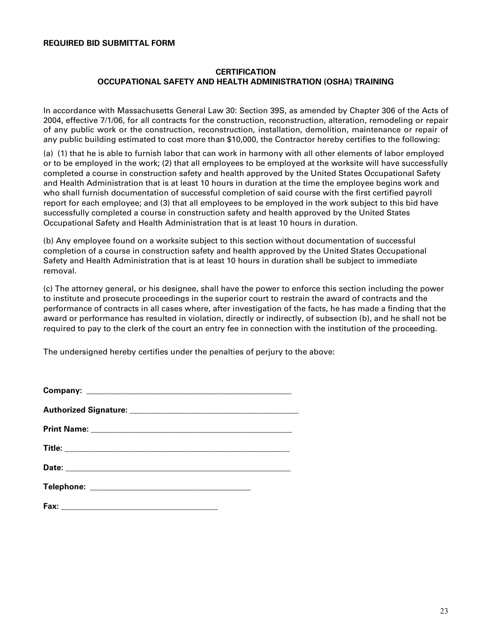### **REQUIRED BID SUBMITTAL FORM**

### **CERTIFICATION OCCUPATIONAL SAFETY AND HEALTH ADMINISTRATION (OSHA) TRAINING**

In accordance with Massachusetts General Law 30: Section 39S, as amended by Chapter 306 of the Acts of 2004, effective 7/1/06, for all contracts for the construction, reconstruction, alteration, remodeling or repair of any public work or the construction, reconstruction, installation, demolition, maintenance or repair of any public building estimated to cost more than \$10,000, the Contractor hereby certifies to the following:

(a) (1) that he is able to furnish labor that can work in harmony with all other elements of labor employed or to be employed in the work; (2) that all employees to be employed at the worksite will have successfully completed a course in construction safety and health approved by the United States Occupational Safety and Health Administration that is at least 10 hours in duration at the time the employee begins work and who shall furnish documentation of successful completion of said course with the first certified payroll report for each employee; and (3) that all employees to be employed in the work subject to this bid have successfully completed a course in construction safety and health approved by the United States Occupational Safety and Health Administration that is at least 10 hours in duration.

(b) Any employee found on a worksite subject to this section without documentation of successful completion of a course in construction safety and health approved by the United States Occupational Safety and Health Administration that is at least 10 hours in duration shall be subject to immediate removal.

(c) The attorney general, or his designee, shall have the power to enforce this section including the power to institute and prosecute proceedings in the superior court to restrain the award of contracts and the performance of contracts in all cases where, after investigation of the facts, he has made a finding that the award or performance has resulted in violation, directly or indirectly, of subsection (b), and he shall not be required to pay to the clerk of the court an entry fee in connection with the institution of the proceeding.

The undersigned hereby certifies under the penalties of perjury to the above: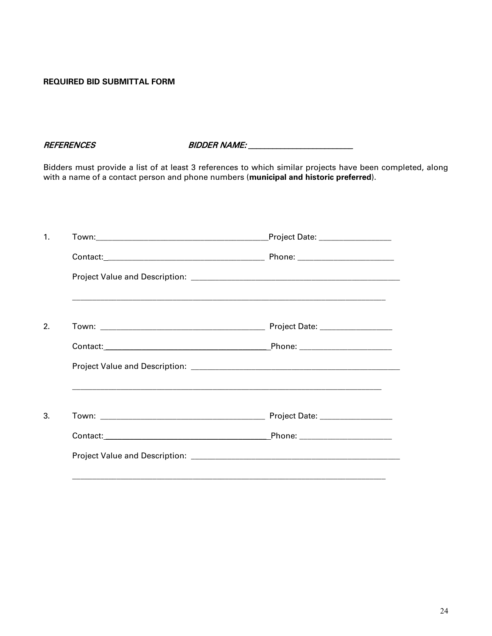### **REQUIRED BID SUBMITTAL FORM**

REFERENCES BIDDER NAME: \_\_\_\_\_\_\_\_\_\_\_\_\_\_\_\_\_\_\_\_\_\_\_\_\_\_

Bidders must provide a list of at least 3 references to which similar projects have been completed, along with a name of a contact person and phone numbers (**municipal and historic preferred**).

| Project Date: ___________________ |
|-----------------------------------|
|                                   |
|                                   |
|                                   |
|                                   |
|                                   |
|                                   |
|                                   |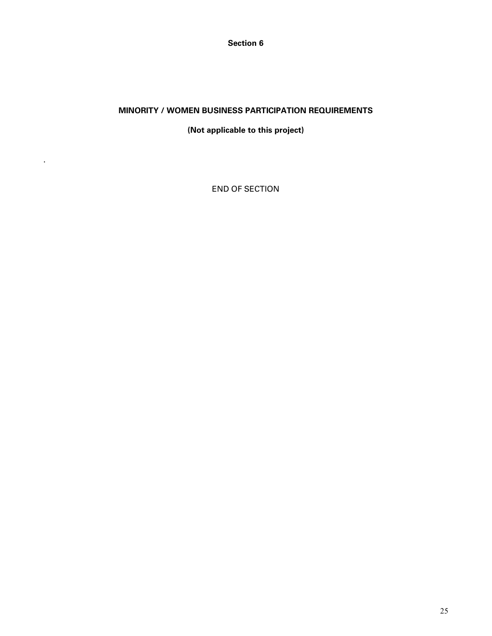**Section 6**

### **MINORITY / WOMEN BUSINESS PARTICIPATION REQUIREMENTS**

### **(Not applicable to this project)**

END OF SECTION

.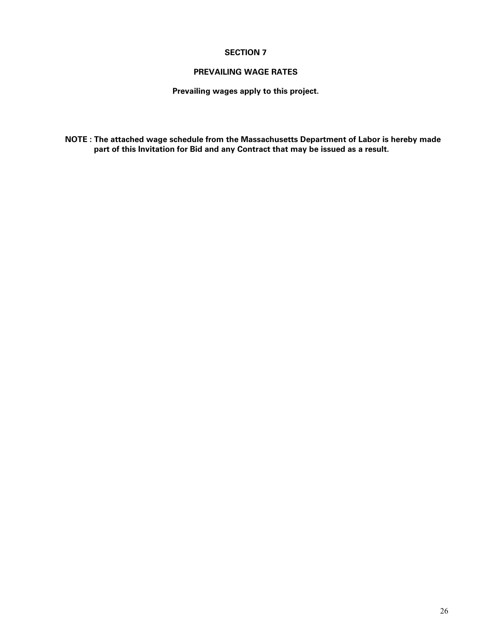### **PREVAILING WAGE RATES**

**Prevailing wages apply to this project.**

**NOTE : The attached wage schedule from the Massachusetts Department of Labor is hereby made part of this Invitation for Bid and any Contract that may be issued as a result.**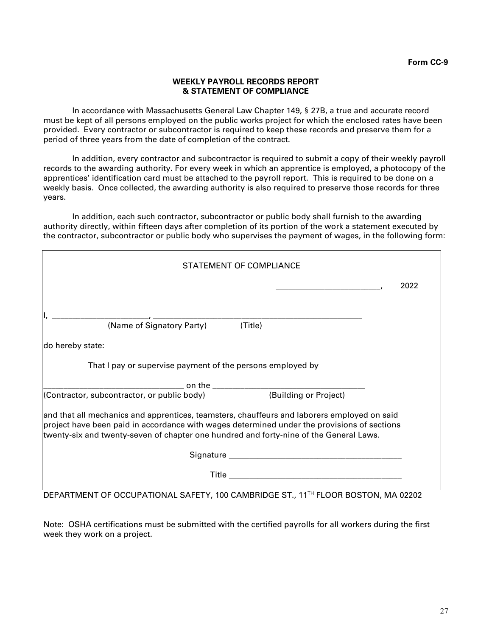### **WEEKLY PAYROLL RECORDS REPORT & STATEMENT OF COMPLIANCE**

In accordance with Massachusetts General Law Chapter 149, § 27B, a true and accurate record must be kept of all persons employed on the public works project for which the enclosed rates have been provided. Every contractor or subcontractor is required to keep these records and preserve them for a period of three years from the date of completion of the contract.

In addition, every contractor and subcontractor is required to submit a copy of their weekly payroll records to the awarding authority. For every week in which an apprentice is employed, a photocopy of the apprentices' identification card must be attached to the payroll report. This is required to be done on a weekly basis. Once collected, the awarding authority is also required to preserve those records for three years.

In addition, each such contractor, subcontractor or public body shall furnish to the awarding authority directly, within fifteen days after completion of its portion of the work a statement executed by the contractor, subcontractor or public body who supervises the payment of wages, in the following form:

| STATEMENT OF COMPLIANCE                                                                                                                                                                                                                                                              |      |
|--------------------------------------------------------------------------------------------------------------------------------------------------------------------------------------------------------------------------------------------------------------------------------------|------|
|                                                                                                                                                                                                                                                                                      | 2022 |
|                                                                                                                                                                                                                                                                                      |      |
| (Name of Signatory Party) (Title)                                                                                                                                                                                                                                                    |      |
| do hereby state:                                                                                                                                                                                                                                                                     |      |
| That I pay or supervise payment of the persons employed by                                                                                                                                                                                                                           |      |
|                                                                                                                                                                                                                                                                                      |      |
| (Contractor, subcontractor, or public body)<br>(Building or Project)                                                                                                                                                                                                                 |      |
| and that all mechanics and apprentices, teamsters, chauffeurs and laborers employed on said<br>project have been paid in accordance with wages determined under the provisions of sections<br>twenty-six and twenty-seven of chapter one hundred and forty-nine of the General Laws. |      |
|                                                                                                                                                                                                                                                                                      |      |
|                                                                                                                                                                                                                                                                                      |      |
| DEPARTMENT OF OCCUPATIONAL SAFETY, 100 CAMBRIDGE ST., 11 <sup>TH</sup> FLOOR BOSTON, MA 02202                                                                                                                                                                                        |      |

Note: OSHA certifications must be submitted with the certified payrolls for all workers during the first week they work on a project.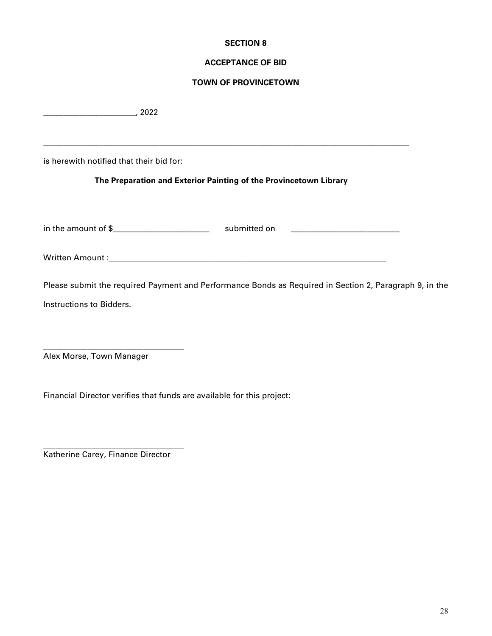### **ACCEPTANCE OF BID**

### **TOWN OF PROVINCETOWN**

\_\_\_\_\_\_\_\_\_\_\_\_\_\_\_\_\_\_\_\_\_\_\_, 2022

is herewith notified that their bid for:

### **The Preparation and Exterior Painting of the Provincetown Library**

\_\_\_\_\_\_\_\_\_\_\_\_\_\_\_\_\_\_\_\_\_\_\_\_\_\_\_\_\_\_\_\_\_\_\_\_\_\_\_\_\_\_\_\_\_\_\_\_\_\_\_\_\_\_\_\_\_\_\_\_\_\_\_\_\_\_\_\_\_\_\_\_\_\_\_\_\_\_\_\_\_\_\_\_\_\_\_\_\_\_\_

in the amount of \$\_\_\_\_\_\_\_\_\_\_\_\_\_\_\_\_\_\_\_\_\_\_\_\_ submitted on \_\_\_\_\_\_\_\_\_\_\_\_\_\_\_\_\_\_\_\_\_\_\_\_\_\_\_

Written Amount :

Please submit the required Payment and Performance Bonds as Required in Section 2, Paragraph 9, in the Instructions to Bidders.

Alex Morse, Town Manager

\_\_\_\_\_\_\_\_\_\_\_\_\_\_\_\_\_\_\_\_\_\_\_\_\_\_\_\_\_\_\_\_\_\_\_

Financial Director verifies that funds are available for this project:

Katherine Carey, Finance Director

\_\_\_\_\_\_\_\_\_\_\_\_\_\_\_\_\_\_\_\_\_\_\_\_\_\_\_\_\_\_\_\_\_\_\_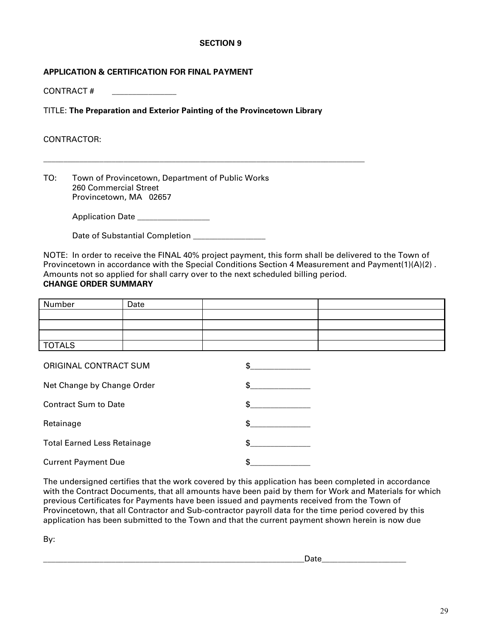### **APPLICATION & CERTIFICATION FOR FINAL PAYMENT**

CONTRACT # \_\_\_\_\_\_\_\_\_\_\_\_\_\_\_\_

TITLE: **The Preparation and Exterior Painting of the Provincetown Library**

\_\_\_\_\_\_\_\_\_\_\_\_\_\_\_\_\_\_\_\_\_\_\_\_\_\_\_\_\_\_\_\_\_\_\_\_\_\_\_\_\_\_\_\_\_\_\_\_\_\_\_\_\_\_\_\_\_\_\_\_\_\_\_\_\_\_\_\_\_\_\_\_\_\_\_\_\_\_\_\_

### CONTRACTOR:

TO: Town of Provincetown, Department of Public Works 260 Commercial Street Provincetown, MA 02657

Application Date \_\_\_\_\_\_\_\_\_\_\_\_\_\_\_\_\_\_

Date of Substantial Completion

NOTE: In order to receive the FINAL 40% project payment, this form shall be delivered to the Town of Provincetown in accordance with the Special Conditions Section 4 Measurement and Payment(1)(A)(2) . Amounts not so applied for shall carry over to the next scheduled billing period. **CHANGE ORDER SUMMARY**

# Number Date TOTALS

| ORIGINAL CONTRACT SUM              |    |
|------------------------------------|----|
| Net Change by Change Order         |    |
| <b>Contract Sum to Date</b>        |    |
| Retainage                          | \$ |
| <b>Total Earned Less Retainage</b> |    |
| <b>Current Payment Due</b>         |    |

The undersigned certifies that the work covered by this application has been completed in accordance with the Contract Documents, that all amounts have been paid by them for Work and Materials for which previous Certificates for Payments have been issued and payments received from the Town of Provincetown, that all Contractor and Sub-contractor payroll data for the time period covered by this application has been submitted to the Town and that the current payment shown herein is now due

By:

| _____ |
|-------|
|-------|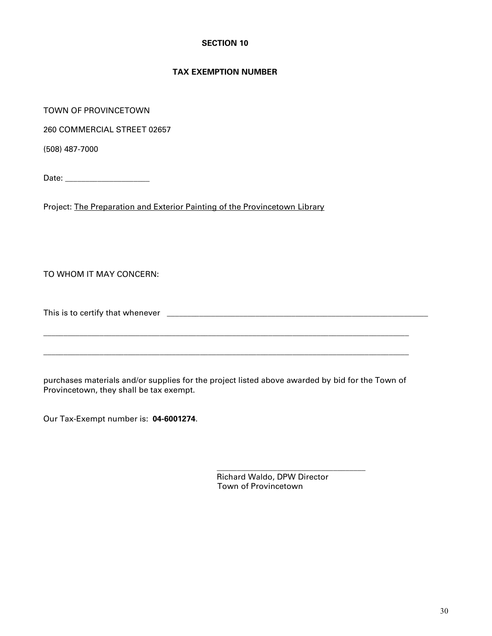### **TAX EXEMPTION NUMBER**

TOWN OF PROVINCETOWN

260 COMMERCIAL STREET 02657

(508) 487-7000

Date: \_\_\_\_\_\_\_\_\_\_\_\_\_\_\_\_\_\_\_\_\_

Project: The Preparation and Exterior Painting of the Provincetown Library

TO WHOM IT MAY CONCERN:

This is to certify that whenever \_\_\_\_\_\_\_\_\_\_\_\_\_\_\_\_\_\_\_\_\_\_\_\_\_\_\_\_\_\_\_\_\_\_\_\_\_\_\_\_\_\_\_\_\_\_\_\_\_\_\_\_\_\_\_\_\_\_\_\_\_\_\_\_\_

purchases materials and/or supplies for the project listed above awarded by bid for the Town of Provincetown, they shall be tax exempt.

 $\_$ 

\_\_\_\_\_\_\_\_\_\_\_\_\_\_\_\_\_\_\_\_\_\_\_\_\_\_\_\_\_\_\_\_\_\_\_\_\_\_\_\_\_\_\_\_\_\_\_\_\_\_\_\_\_\_\_\_\_\_\_\_\_\_\_\_\_\_\_\_\_\_\_\_\_\_\_\_\_\_\_\_\_\_\_\_\_\_\_\_\_\_\_

\_\_\_\_\_\_\_\_\_\_\_\_\_\_\_\_\_\_\_\_\_\_\_\_\_\_\_\_\_\_\_\_\_\_\_\_\_\_\_\_\_\_\_\_\_\_\_\_\_\_\_\_\_\_\_\_\_\_\_\_\_\_\_\_\_\_\_\_\_\_\_\_\_\_\_\_\_\_\_\_\_\_\_\_\_\_\_\_\_\_\_

Our Tax-Exempt number is: **04-6001274**.

 Richard Waldo, DPW Director Town of Provincetown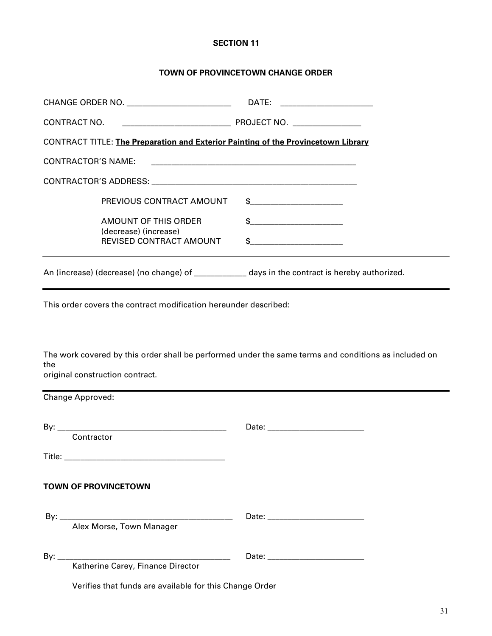### **TOWN OF PROVINCETOWN CHANGE ORDER**

|                    | CHANGE ORDER NO. ____________________________ | DATE: ______________________                                                                                                                                                                                                                                                                                        |  |
|--------------------|-----------------------------------------------|---------------------------------------------------------------------------------------------------------------------------------------------------------------------------------------------------------------------------------------------------------------------------------------------------------------------|--|
|                    |                                               |                                                                                                                                                                                                                                                                                                                     |  |
|                    |                                               | CONTRACT TITLE: The Preparation and Exterior Painting of the Provincetown Library                                                                                                                                                                                                                                   |  |
| CONTRACTOR'S NAME: |                                               | <u> 2000 - Jan Bernard Bernard, mengang bermula pada 1980 - Perang Bernard Bernard Bernard Bernard Bernard Bernard</u>                                                                                                                                                                                              |  |
|                    |                                               |                                                                                                                                                                                                                                                                                                                     |  |
|                    | PREVIOUS CONTRACT AMOUNT                      | $\frac{1}{2}$ $\frac{1}{2}$ $\frac{1}{2}$ $\frac{1}{2}$ $\frac{1}{2}$ $\frac{1}{2}$ $\frac{1}{2}$ $\frac{1}{2}$ $\frac{1}{2}$ $\frac{1}{2}$ $\frac{1}{2}$ $\frac{1}{2}$ $\frac{1}{2}$ $\frac{1}{2}$ $\frac{1}{2}$ $\frac{1}{2}$ $\frac{1}{2}$ $\frac{1}{2}$ $\frac{1}{2}$ $\frac{1}{2}$ $\frac{1}{2}$ $\frac{1}{2}$ |  |
|                    | AMOUNT OF THIS ORDER<br>(decrease) (increase) | $\frac{1}{2}$                                                                                                                                                                                                                                                                                                       |  |
|                    | REVISED CONTRACT AMOUNT                       | $\frac{1}{2}$                                                                                                                                                                                                                                                                                                       |  |
|                    |                                               | An (increase) (decrease) (no change) of ______________ days in the contract is hereby authorized.                                                                                                                                                                                                                   |  |

This order covers the contract modification hereunder described:

The work covered by this order shall be performed under the same terms and conditions as included on the

original construction contract.

| Change Approved:                                        |                                  |  |  |
|---------------------------------------------------------|----------------------------------|--|--|
| Contractor                                              | Date: __________________________ |  |  |
|                                                         |                                  |  |  |
| <b>TOWN OF PROVINCETOWN</b>                             |                                  |  |  |
| Alex Morse, Town Manager                                |                                  |  |  |
| Katherine Carey, Finance Director                       |                                  |  |  |
| Verifies that funds are available for this Change Order |                                  |  |  |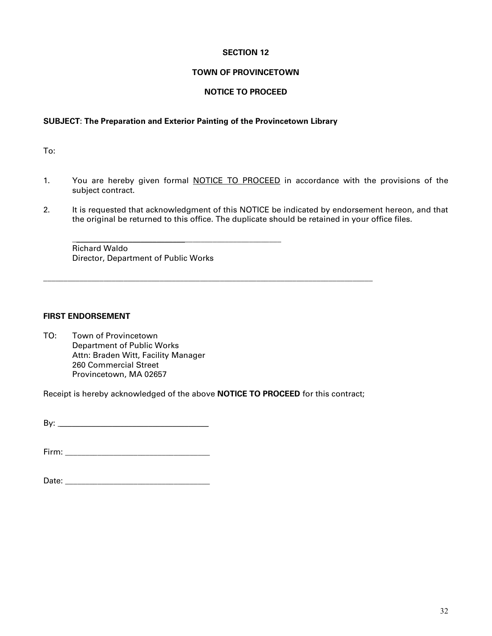### **TOWN OF PROVINCETOWN**

### **NOTICE TO PROCEED**

### **SUBJECT**: **The Preparation and Exterior Painting of the Provincetown Library**

To:

- 1. You are hereby given formal NOTICE TO PROCEED in accordance with the provisions of the subject contract.
- 2. It is requested that acknowledgment of this NOTICE be indicated by endorsement hereon, and that the original be returned to this office. The duplicate should be retained in your office files.

Richard Waldo Director, Department of Public Works

 $\frac{1}{2}$  ,  $\frac{1}{2}$  ,  $\frac{1}{2}$  ,  $\frac{1}{2}$  ,  $\frac{1}{2}$  ,  $\frac{1}{2}$  ,  $\frac{1}{2}$  ,  $\frac{1}{2}$  ,  $\frac{1}{2}$  ,  $\frac{1}{2}$  ,  $\frac{1}{2}$  ,  $\frac{1}{2}$  ,  $\frac{1}{2}$  ,  $\frac{1}{2}$  ,  $\frac{1}{2}$  ,  $\frac{1}{2}$  ,  $\frac{1}{2}$  ,  $\frac{1}{2}$  ,  $\frac{1$ 

### **FIRST ENDORSEMENT**

TO: Town of Provincetown Department of Public Works Attn: Braden Witt, Facility Manager 260 Commercial Street Provincetown, MA 02657

Receipt is hereby acknowledged of the above **NOTICE TO PROCEED** for this contract;

**\_\_\_\_\_\_\_\_\_\_\_\_\_\_\_\_\_\_\_\_\_\_\_\_\_\_\_\_\_\_\_\_\_\_\_\_\_\_\_\_\_\_\_\_\_\_\_\_\_\_\_\_\_\_\_\_\_\_\_\_\_\_\_\_\_\_\_\_\_\_\_\_\_\_\_\_\_\_\_\_\_\_**

By: \_\_\_\_\_\_\_\_\_\_\_\_\_\_\_\_\_\_\_\_\_\_\_\_\_\_\_\_\_\_\_\_\_\_\_\_\_

Firm: \_\_\_\_\_\_\_\_\_\_\_\_\_\_\_\_\_\_\_\_\_\_\_\_\_\_\_\_\_\_\_\_\_\_\_\_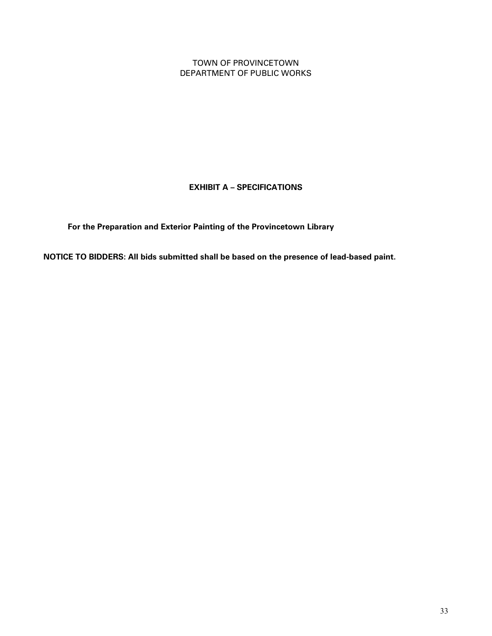TOWN OF PROVINCETOWN DEPARTMENT OF PUBLIC WORKS

**EXHIBIT A – SPECIFICATIONS**

 **For the Preparation and Exterior Painting of the Provincetown Library**

**NOTICE TO BIDDERS: All bids submitted shall be based on the presence of lead-based paint.**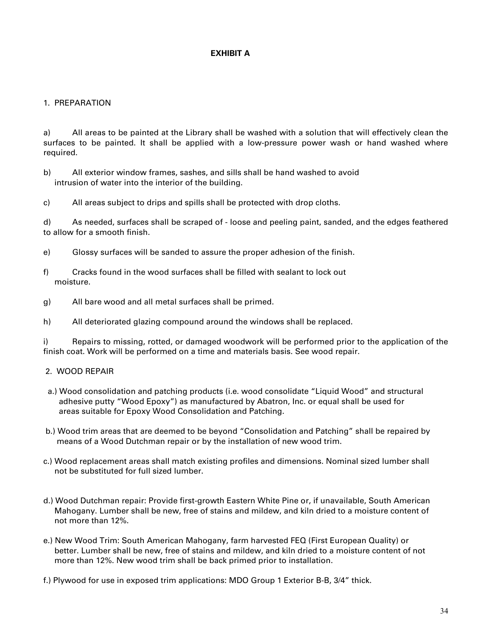### **EXHIBIT A**

### 1. PREPARATION

a) All areas to be painted at the Library shall be washed with a solution that will effectively clean the surfaces to be painted. It shall be applied with a low-pressure power wash or hand washed where required.

- b) All exterior window frames, sashes, and sills shall be hand washed to avoid intrusion of water into the interior of the building.
- c) All areas subject to drips and spills shall be protected with drop cloths.

d) As needed, surfaces shall be scraped of - loose and peeling paint, sanded, and the edges feathered to allow for a smooth finish.

- e) Glossy surfaces will be sanded to assure the proper adhesion of the finish.
- f) Cracks found in the wood surfaces shall be filled with sealant to lock out moisture.
- g) All bare wood and all metal surfaces shall be primed.
- h) All deteriorated glazing compound around the windows shall be replaced.

i) Repairs to missing, rotted, or damaged woodwork will be performed prior to the application of the finish coat. Work will be performed on a time and materials basis. See wood repair.

### 2. WOOD REPAIR

- a.) Wood consolidation and patching products (i.e. wood consolidate "Liquid Wood" and structural adhesive putty "Wood Epoxy") as manufactured by Abatron, Inc. or equal shall be used for areas suitable for Epoxy Wood Consolidation and Patching.
- b.) Wood trim areas that are deemed to be beyond "Consolidation and Patching" shall be repaired by means of a Wood Dutchman repair or by the installation of new wood trim.
- c.) Wood replacement areas shall match existing profiles and dimensions. Nominal sized lumber shall not be substituted for full sized lumber.
- d.) Wood Dutchman repair: Provide first-growth Eastern White Pine or, if unavailable, South American Mahogany. Lumber shall be new, free of stains and mildew, and kiln dried to a moisture content of not more than 12%.
- e.) New Wood Trim: South American Mahogany, farm harvested FEQ (First European Quality) or better. Lumber shall be new, free of stains and mildew, and kiln dried to a moisture content of not more than 12%. New wood trim shall be back primed prior to installation.
- f.) Plywood for use in exposed trim applications: MDO Group 1 Exterior B-B, 3/4" thick.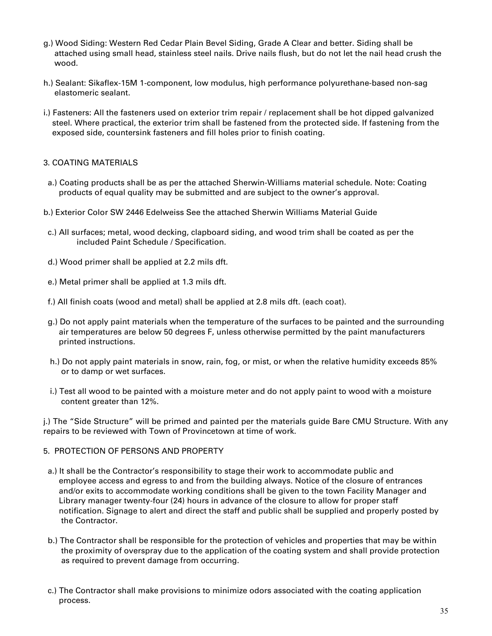- g.) Wood Siding: Western Red Cedar Plain Bevel Siding, Grade A Clear and better. Siding shall be attached using small head, stainless steel nails. Drive nails flush, but do not let the nail head crush the wood.
- h.) Sealant: Sikaflex-15M 1-component, low modulus, high performance polyurethane-based non-sag elastomeric sealant.
- i.) Fasteners: All the fasteners used on exterior trim repair / replacement shall be hot dipped galvanized steel. Where practical, the exterior trim shall be fastened from the protected side. If fastening from the exposed side, countersink fasteners and fill holes prior to finish coating.

### 3. COATING MATERIALS

- a.) Coating products shall be as per the attached Sherwin-Williams material schedule. Note: Coating products of equal quality may be submitted and are subject to the owner's approval.
- b.) Exterior Color SW 2446 Edelweiss See the attached Sherwin Williams Material Guide
- c.) All surfaces; metal, wood decking, clapboard siding, and wood trim shall be coated as per the included Paint Schedule / Specification.
- d.) Wood primer shall be applied at 2.2 mils dft.
- e.) Metal primer shall be applied at 1.3 mils dft.
- f.) All finish coats (wood and metal) shall be applied at 2.8 mils dft. (each coat).
- g.) Do not apply paint materials when the temperature of the surfaces to be painted and the surrounding air temperatures are below 50 degrees F, unless otherwise permitted by the paint manufacturers printed instructions.
- h.) Do not apply paint materials in snow, rain, fog, or mist, or when the relative humidity exceeds 85% or to damp or wet surfaces.
- i.) Test all wood to be painted with a moisture meter and do not apply paint to wood with a moisture content greater than 12%.

j.) The "Side Structure" will be primed and painted per the materials guide Bare CMU Structure. With any repairs to be reviewed with Town of Provincetown at time of work.

### 5. PROTECTION OF PERSONS AND PROPERTY

- a.) It shall be the Contractor's responsibility to stage their work to accommodate public and employee access and egress to and from the building always. Notice of the closure of entrances and/or exits to accommodate working conditions shall be given to the town Facility Manager and Library manager twenty-four (24) hours in advance of the closure to allow for proper staff notification. Signage to alert and direct the staff and public shall be supplied and properly posted by the Contractor.
- b.) The Contractor shall be responsible for the protection of vehicles and properties that may be within the proximity of overspray due to the application of the coating system and shall provide protection as required to prevent damage from occurring.
- c.) The Contractor shall make provisions to minimize odors associated with the coating application process.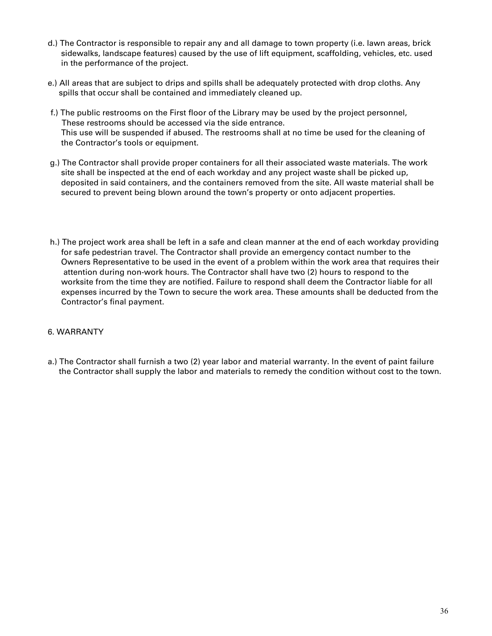- d.) The Contractor is responsible to repair any and all damage to town property (i.e. lawn areas, brick sidewalks, landscape features) caused by the use of lift equipment, scaffolding, vehicles, etc. used in the performance of the project.
- e.) All areas that are subject to drips and spills shall be adequately protected with drop cloths. Any spills that occur shall be contained and immediately cleaned up.
- f.) The public restrooms on the First floor of the Library may be used by the project personnel, These restrooms should be accessed via the side entrance. This use will be suspended if abused. The restrooms shall at no time be used for the cleaning of the Contractor's tools or equipment.
- g.) The Contractor shall provide proper containers for all their associated waste materials. The work site shall be inspected at the end of each workday and any project waste shall be picked up, deposited in said containers, and the containers removed from the site. All waste material shall be secured to prevent being blown around the town's property or onto adjacent properties.
- h.) The project work area shall be left in a safe and clean manner at the end of each workday providing for safe pedestrian travel. The Contractor shall provide an emergency contact number to the Owners Representative to be used in the event of a problem within the work area that requires their attention during non-work hours. The Contractor shall have two (2) hours to respond to the worksite from the time they are notified. Failure to respond shall deem the Contractor liable for all expenses incurred by the Town to secure the work area. These amounts shall be deducted from the Contractor's final payment.

### 6. WARRANTY

 a.) The Contractor shall furnish a two (2) year labor and material warranty. In the event of paint failure the Contractor shall supply the labor and materials to remedy the condition without cost to the town.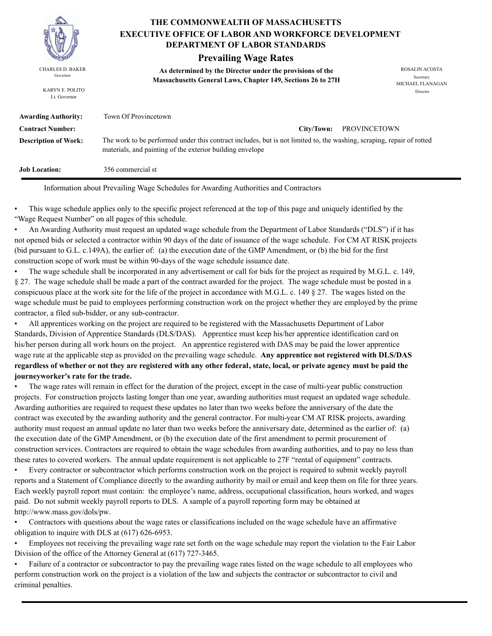

KARYN E. POLITO Lt. Governor

### **THE COMMONWEALTH OF MASSACHUSETTS DEPARTMENT OF LABOR STANDARDS EXECUTIVE OFFICE OF LABOR AND WORKFORCE DEVELOPMENT**

### **Prevailing Wage Rates**

**As determined by the Director under the provisions of the**  CHARLES D. BAKER ROSALIN ACOSTA Governor<br>**Massachusetts General Laws, Chapter 149, Sections 26 to 27H** 

MICHAEL FLANAGAN Director

| <b>Awarding Authority:</b>  | Town Of Provincetown                                                                                                                                                               |
|-----------------------------|------------------------------------------------------------------------------------------------------------------------------------------------------------------------------------|
| <b>Contract Number:</b>     | PROVINCETOWN<br>City/Town:                                                                                                                                                         |
| <b>Description of Work:</b> | The work to be performed under this contract includes, but is not limited to, the washing, scraping, repair of rotted<br>materials, and painting of the exterior building envelope |
| <b>Job Location:</b>        | 356 commercial st                                                                                                                                                                  |

Information about Prevailing Wage Schedules for Awarding Authorities and Contractors

• This wage schedule applies only to the specific project referenced at the top of this page and uniquely identified by the "Wage Request Number" on all pages of this schedule.

• An Awarding Authority must request an updated wage schedule from the Department of Labor Standards ("DLS") if it has not opened bids or selected a contractor within 90 days of the date of issuance of the wage schedule. For CM AT RISK projects (bid pursuant to G.L. c.149A), the earlier of: (a) the execution date of the GMP Amendment, or (b) the bid for the first construction scope of work must be within 90-days of the wage schedule issuance date.

• The wage schedule shall be incorporated in any advertisement or call for bids for the project as required by M.G.L. c. 149, § 27. The wage schedule shall be made a part of the contract awarded for the project. The wage schedule must be posted in a conspicuous place at the work site for the life of the project in accordance with M.G.L. c. 149 § 27. The wages listed on the wage schedule must be paid to employees performing construction work on the project whether they are employed by the prime contractor, a filed sub-bidder, or any sub-contractor.

• All apprentices working on the project are required to be registered with the Massachusetts Department of Labor Standards, Division of Apprentice Standards (DLS/DAS). Apprentice must keep his/her apprentice identification card on his/her person during all work hours on the project. An apprentice registered with DAS may be paid the lower apprentice wage rate at the applicable step as provided on the prevailing wage schedule. **Any apprentice not registered with DLS/DAS regardless of whether or not they are registered with any other federal, state, local, or private agency must be paid the journeyworker's rate for the trade.**

• The wage rates will remain in effect for the duration of the project, except in the case of multi-year public construction projects. For construction projects lasting longer than one year, awarding authorities must request an updated wage schedule. Awarding authorities are required to request these updates no later than two weeks before the anniversary of the date the contract was executed by the awarding authority and the general contractor. For multi-year CM AT RISK projects, awarding authority must request an annual update no later than two weeks before the anniversary date, determined as the earlier of: (a) the execution date of the GMP Amendment, or (b) the execution date of the first amendment to permit procurement of construction services. Contractors are required to obtain the wage schedules from awarding authorities, and to pay no less than these rates to covered workers. The annual update requirement is not applicable to 27F "rental of equipment" contracts.

• Every contractor or subcontractor which performs construction work on the project is required to submit weekly payroll reports and a Statement of Compliance directly to the awarding authority by mail or email and keep them on file for three years. Each weekly payroll report must contain: the employee's name, address, occupational classification, hours worked, and wages paid. Do not submit weekly payroll reports to DLS. A sample of a payroll reporting form may be obtained at http://www.mass.gov/dols/pw.

• Contractors with questions about the wage rates or classifications included on the wage schedule have an affirmative obligation to inquire with DLS at (617) 626-6953.

• Employees not receiving the prevailing wage rate set forth on the wage schedule may report the violation to the Fair Labor Division of the office of the Attorney General at (617) 727-3465.

• Failure of a contractor or subcontractor to pay the prevailing wage rates listed on the wage schedule to all employees who perform construction work on the project is a violation of the law and subjects the contractor or subcontractor to civil and criminal penalties.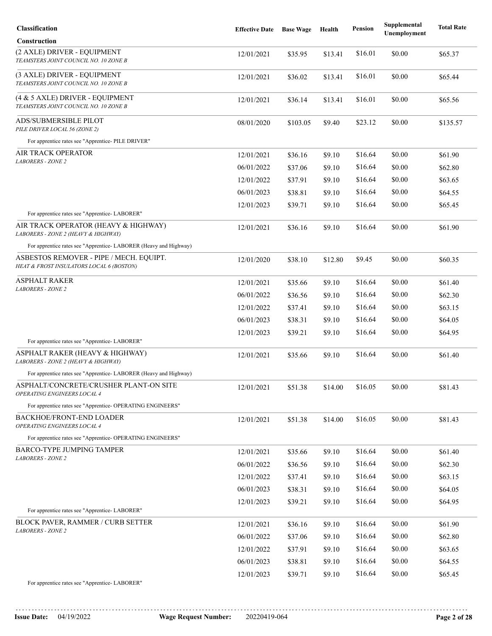| Classification                                                                      | <b>Effective Date</b> | <b>Base Wage</b> | Health  | <b>Pension</b> | Supplemental<br>Unemployment | <b>Total Rate</b> |
|-------------------------------------------------------------------------------------|-----------------------|------------------|---------|----------------|------------------------------|-------------------|
| <b>Construction</b>                                                                 |                       |                  |         |                |                              |                   |
| (2 AXLE) DRIVER - EQUIPMENT<br>TEAMSTERS JOINT COUNCIL NO. 10 ZONE B                | 12/01/2021            | \$35.95          | \$13.41 | \$16.01        | \$0.00                       | \$65.37           |
| (3 AXLE) DRIVER - EQUIPMENT<br>TEAMSTERS JOINT COUNCIL NO. 10 ZONE B                | 12/01/2021            | \$36.02          | \$13.41 | \$16.01        | \$0.00                       | \$65.44           |
| (4 & 5 AXLE) DRIVER - EQUIPMENT<br>TEAMSTERS JOINT COUNCIL NO. 10 ZONE B            | 12/01/2021            | \$36.14          | \$13.41 | \$16.01        | \$0.00                       | \$65.56           |
| ADS/SUBMERSIBLE PILOT<br>PILE DRIVER LOCAL 56 (ZONE 2)                              | 08/01/2020            | \$103.05         | \$9.40  | \$23.12        | \$0.00                       | \$135.57          |
| For apprentice rates see "Apprentice- PILE DRIVER"                                  |                       |                  |         |                |                              |                   |
| AIR TRACK OPERATOR<br><b>LABORERS - ZONE 2</b>                                      | 12/01/2021            | \$36.16          | \$9.10  | \$16.64        | \$0.00                       | \$61.90           |
|                                                                                     | 06/01/2022            | \$37.06          | \$9.10  | \$16.64        | \$0.00                       | \$62.80           |
|                                                                                     | 12/01/2022            | \$37.91          | \$9.10  | \$16.64        | \$0.00                       | \$63.65           |
|                                                                                     | 06/01/2023            | \$38.81          | \$9.10  | \$16.64        | \$0.00                       | \$64.55           |
|                                                                                     | 12/01/2023            | \$39.71          | \$9.10  | \$16.64        | \$0.00                       | \$65.45           |
| For apprentice rates see "Apprentice-LABORER"                                       |                       |                  |         |                |                              |                   |
| AIR TRACK OPERATOR (HEAVY & HIGHWAY)<br>LABORERS - ZONE 2 (HEAVY & HIGHWAY)         | 12/01/2021            | \$36.16          | \$9.10  | \$16.64        | \$0.00                       | \$61.90           |
| For apprentice rates see "Apprentice-LABORER (Heavy and Highway)                    |                       |                  |         |                |                              |                   |
| ASBESTOS REMOVER - PIPE / MECH. EQUIPT.<br>HEAT & FROST INSULATORS LOCAL 6 (BOSTON) | 12/01/2020            | \$38.10          | \$12.80 | \$9.45         | \$0.00                       | \$60.35           |
| <b>ASPHALT RAKER</b>                                                                | 12/01/2021            | \$35.66          | \$9.10  | \$16.64        | \$0.00                       | \$61.40           |
| <b>LABORERS - ZONE 2</b>                                                            | 06/01/2022            | \$36.56          | \$9.10  | \$16.64        | \$0.00                       | \$62.30           |
|                                                                                     | 12/01/2022            | \$37.41          | \$9.10  | \$16.64        | \$0.00                       | \$63.15           |
|                                                                                     | 06/01/2023            | \$38.31          | \$9.10  | \$16.64        | \$0.00                       | \$64.05           |
| For apprentice rates see "Apprentice- LABORER"                                      | 12/01/2023            | \$39.21          | \$9.10  | \$16.64        | \$0.00                       | \$64.95           |
| ASPHALT RAKER (HEAVY & HIGHWAY)<br>LABORERS - ZONE 2 (HEAVY & HIGHWAY)              | 12/01/2021            | \$35.66          | \$9.10  | \$16.64        | \$0.00                       | \$61.40           |
| For apprentice rates see "Apprentice-LABORER (Heavy and Highway)                    |                       |                  |         |                |                              |                   |
| ASPHALT/CONCRETE/CRUSHER PLANT-ON SITE<br>OPERATING ENGINEERS LOCAL 4               | 12/01/2021            | \$51.38          | \$14.00 | \$16.05        | \$0.00                       | \$81.43           |
| For apprentice rates see "Apprentice- OPERATING ENGINEERS"                          |                       |                  |         |                |                              |                   |
| <b>BACKHOE/FRONT-END LOADER</b><br>OPERATING ENGINEERS LOCAL 4                      | 12/01/2021            | \$51.38          | \$14.00 | \$16.05        | \$0.00                       | \$81.43           |
| For apprentice rates see "Apprentice- OPERATING ENGINEERS"                          |                       |                  |         |                |                              |                   |
| BARCO-TYPE JUMPING TAMPER                                                           | 12/01/2021            | \$35.66          | \$9.10  | \$16.64        | \$0.00                       | \$61.40           |
| LABORERS - ZONE 2                                                                   | 06/01/2022            | \$36.56          | \$9.10  | \$16.64        | \$0.00                       | \$62.30           |
|                                                                                     | 12/01/2022            | \$37.41          | \$9.10  | \$16.64        | \$0.00                       | \$63.15           |
|                                                                                     | 06/01/2023            | \$38.31          | \$9.10  | \$16.64        | \$0.00                       | \$64.05           |
|                                                                                     | 12/01/2023            | \$39.21          | \$9.10  | \$16.64        | \$0.00                       | \$64.95           |
| For apprentice rates see "Apprentice-LABORER"                                       |                       |                  |         |                |                              |                   |
| <b>BLOCK PAVER, RAMMER / CURB SETTER</b><br><b>LABORERS - ZONE 2</b>                | 12/01/2021            | \$36.16          | \$9.10  | \$16.64        | \$0.00                       | \$61.90           |
|                                                                                     | 06/01/2022            | \$37.06          | \$9.10  | \$16.64        | \$0.00                       | \$62.80           |
|                                                                                     | 12/01/2022            | \$37.91          | \$9.10  | \$16.64        | \$0.00                       | \$63.65           |
|                                                                                     | 06/01/2023            | \$38.81          | \$9.10  | \$16.64        | \$0.00                       | \$64.55           |
|                                                                                     | 12/01/2023            | \$39.71          | \$9.10  | \$16.64        | \$0.00                       | \$65.45           |
| For apprentice rates see "Apprentice- LABORER"                                      |                       |                  |         |                |                              |                   |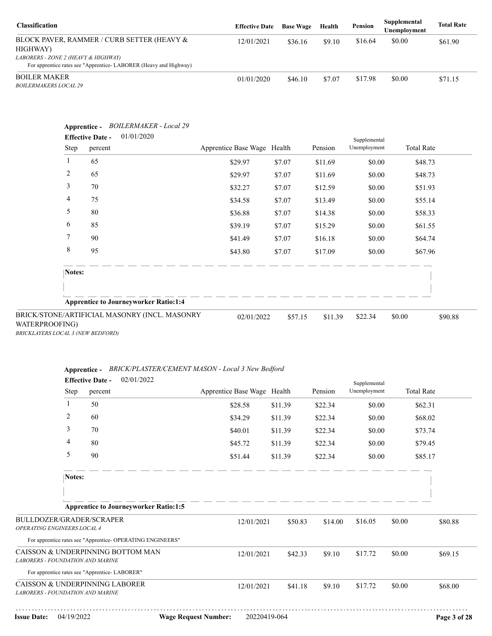| <b>Classification</b>                                                                                   | <b>Effective Date</b> | <b>Base Wage</b> | Health | Pension | Supplemental<br>Unemployment | <b>Total Rate</b> |
|---------------------------------------------------------------------------------------------------------|-----------------------|------------------|--------|---------|------------------------------|-------------------|
| BLOCK PAVER, RAMMER / CURB SETTER (HEAVY &<br>HIGHWAY)                                                  | 12/01/2021            | \$36.16          | \$9.10 | \$16.64 | \$0.00                       | \$61.90           |
| LABORERS - ZONE 2 (HEAVY & HIGHWAY)<br>For apprentice rates see "Apprentice-LABORER (Heavy and Highway) |                       |                  |        |         |                              |                   |
| <b>BOILER MAKER</b><br><i>BOILERMAKERS LOCAL 29</i>                                                     | 01/01/2020            | \$46.10          | \$7.07 | \$17.98 | \$0.00                       | \$71.15           |

| Step                    | <b>Effective Date -</b><br>percent | 01/01/2020                                    | Apprentice Base Wage Health |         | Pension | Supplemental<br>Unemployment | <b>Total Rate</b> |
|-------------------------|------------------------------------|-----------------------------------------------|-----------------------------|---------|---------|------------------------------|-------------------|
| 1                       | 65                                 |                                               | \$29.97                     | \$7.07  | \$11.69 | \$0.00                       | \$48.73           |
| $\overline{\mathbf{c}}$ | 65                                 |                                               | \$29.97                     | \$7.07  | \$11.69 | \$0.00                       | \$48.73           |
| 3                       | 70                                 |                                               | \$32.27                     | \$7.07  | \$12.59 | \$0.00                       | \$51.93           |
| 4                       | 75                                 |                                               | \$34.58                     | \$7.07  | \$13.49 | \$0.00                       | \$55.14           |
| 5                       | 80                                 |                                               | \$36.88                     | \$7.07  | \$14.38 | \$0.00                       | \$58.33           |
| 6                       | 85                                 |                                               | \$39.19                     | \$7.07  | \$15.29 | \$0.00                       | \$61.55           |
| 7                       | 90                                 |                                               | \$41.49                     | \$7.07  | \$16.18 | \$0.00                       | \$64.74           |
| 8                       | 95                                 |                                               | \$43.80                     | \$7.07  | \$17.09 | \$0.00                       | \$67.96           |
| Notes:                  |                                    |                                               |                             |         |         |                              |                   |
|                         |                                    | <b>Apprentice to Journeyworker Ratio:1:4</b>  |                             |         |         |                              |                   |
| WATERPROOFING)          |                                    | BRICK/STONE/ARTIFICIAL MASONRY (INCL. MASONRY | 02/01/2022                  | \$57.15 | \$11.39 | \$22.34                      | \$0.00<br>\$90.88 |

| Apprentice - | BRICK/PLASTER/CEMENT MASON - Local 3 New Bedford |  |
|--------------|--------------------------------------------------|--|
|--------------|--------------------------------------------------|--|

|                                                                    |                | <b>Effective Date -</b>                       | 02/01/2022                                                 |                             |         |         | Supplemental |        |                   |
|--------------------------------------------------------------------|----------------|-----------------------------------------------|------------------------------------------------------------|-----------------------------|---------|---------|--------------|--------|-------------------|
|                                                                    | <b>Step</b>    | percent                                       |                                                            | Apprentice Base Wage Health |         | Pension | Unemployment |        | <b>Total Rate</b> |
|                                                                    | 1              | 50                                            |                                                            | \$28.58                     | \$11.39 | \$22.34 | \$0.00       |        | \$62.31           |
|                                                                    | $\overline{2}$ | 60                                            |                                                            | \$34.29                     | \$11.39 | \$22.34 | \$0.00       |        | \$68.02           |
|                                                                    | 3              | 70                                            |                                                            | \$40.01                     | \$11.39 | \$22.34 | \$0.00       |        | \$73.74           |
|                                                                    | $\overline{4}$ | 80                                            |                                                            | \$45.72                     | \$11.39 | \$22.34 | \$0.00       |        | \$79.45           |
|                                                                    | 5              | 90                                            |                                                            | \$51.44                     | \$11.39 | \$22.34 | \$0.00       |        | \$85.17           |
|                                                                    | Notes:         |                                               |                                                            |                             |         |         |              |        |                   |
|                                                                    |                |                                               |                                                            |                             |         |         |              |        |                   |
|                                                                    |                |                                               | <b>Apprentice to Journeyworker Ratio:1:5</b>               |                             |         |         |              |        |                   |
| BULLDOZER/GRADER/SCRAPER<br>OPERATING ENGINEERS LOCAL 4            |                |                                               |                                                            | 12/01/2021                  | \$50.83 | \$14.00 | \$16.05      | \$0.00 | \$80.88           |
|                                                                    |                |                                               | For apprentice rates see "Apprentice- OPERATING ENGINEERS" |                             |         |         |              |        |                   |
| LABORERS - FOUNDATION AND MARINE                                   |                |                                               | CAISSON & UNDERPINNING BOTTOM MAN                          | 12/01/2021                  | \$42.33 | \$9.10  | \$17.72      | \$0.00 | \$69.15           |
|                                                                    |                | For apprentice rates see "Apprentice-LABORER" |                                                            |                             |         |         |              |        |                   |
| CAISSON & UNDERPINNING LABORER<br>LABORERS - FOUNDATION AND MARINE |                |                                               |                                                            | 12/01/2021                  | \$41.18 | \$9.10  | \$17.72      | \$0.00 | \$68.00           |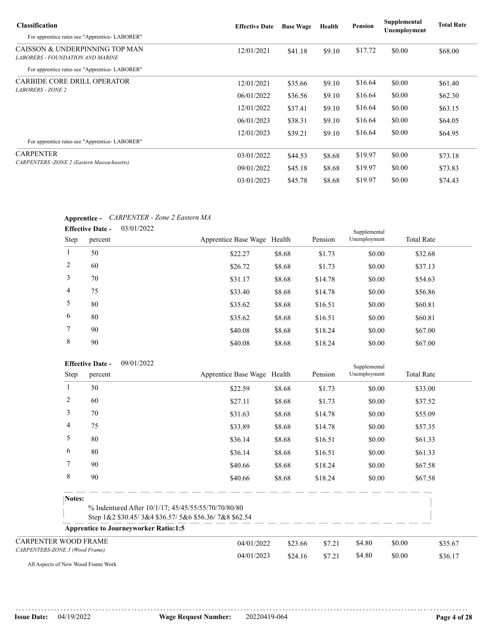| <b>Classification</b>                                                     | <b>Effective Date</b> | <b>Base Wage</b> | Health | Pension | Supplemental<br>Unemployment | <b>Total Rate</b> |
|---------------------------------------------------------------------------|-----------------------|------------------|--------|---------|------------------------------|-------------------|
| For apprentice rates see "Apprentice-LABORER"                             |                       |                  |        |         |                              |                   |
| CAISSON & UNDERPINNING TOP MAN<br><b>LABORERS - FOUNDATION AND MARINE</b> | 12/01/2021            | \$41.18          | \$9.10 | \$17.72 | \$0.00                       | \$68.00           |
| For apprentice rates see "Apprentice-LABORER"                             |                       |                  |        |         |                              |                   |
| <b>CARBIDE CORE DRILL OPERATOR</b>                                        | 12/01/2021            | \$35.66          | \$9.10 | \$16.64 | \$0.00                       | \$61.40           |
| <b>LABORERS - ZONE 2</b>                                                  | 06/01/2022            | \$36.56          | \$9.10 | \$16.64 | \$0.00                       | \$62.30           |
|                                                                           | 12/01/2022            | \$37.41          | \$9.10 | \$16.64 | \$0.00                       | \$63.15           |
|                                                                           | 06/01/2023            | \$38.31          | \$9.10 | \$16.64 | \$0.00                       | \$64.05           |
| For apprentice rates see "Apprentice-LABORER"                             | 12/01/2023            | \$39.21          | \$9.10 | \$16.64 | \$0.00                       | \$64.95           |
|                                                                           |                       |                  |        |         |                              |                   |
| <b>CARPENTER</b>                                                          | 03/01/2022            | \$44.53          | \$8.68 | \$19.97 | \$0.00                       | \$73.18           |
| CARPENTERS - ZONE 2 (Eastern Massachusetts)                               | 09/01/2022            | \$45.18          | \$8.68 | \$19.97 | \$0.00                       | \$73.83           |
|                                                                           | 03/01/2023            | \$45.78          | \$8.68 | \$19.97 | \$0.00                       | \$74.43           |

### **Apprentice -** *CARPENTER - Zone 2 Eastern MA*

|             | 03/01/2022<br><b>Effective Date -</b> |                             |        |         | Supplemental |                   |
|-------------|---------------------------------------|-----------------------------|--------|---------|--------------|-------------------|
| <b>Step</b> | percent                               | Apprentice Base Wage Health |        | Pension | Unemployment | <b>Total Rate</b> |
|             | 50                                    | \$22.27                     | \$8.68 | \$1.73  | \$0.00       | \$32.68           |
| 2           | 60                                    | \$26.72                     | \$8.68 | \$1.73  | \$0.00       | \$37.13           |
| 3           | 70                                    | \$31.17                     | \$8.68 | \$14.78 | \$0.00       | \$54.63           |
| 4           | 75                                    | \$33.40                     | \$8.68 | \$14.78 | \$0.00       | \$56.86           |
| 5           | 80                                    | \$35.62                     | \$8.68 | \$16.51 | \$0.00       | \$60.81           |
| 6           | 80                                    | \$35.62                     | \$8.68 | \$16.51 | \$0.00       | \$60.81           |
| $\tau$      | 90                                    | \$40.08                     | \$8.68 | \$18.24 | \$0.00       | \$67.00           |
| 8           | 90                                    | \$40.08                     | \$8.68 | \$18.24 | \$0.00       | \$67.00           |

|                                | <b>Effective Date -</b> | 09/01/2022                                                                                                  |                             |         |         | Supplemental |                   |         |
|--------------------------------|-------------------------|-------------------------------------------------------------------------------------------------------------|-----------------------------|---------|---------|--------------|-------------------|---------|
| <b>Step</b>                    | percent                 |                                                                                                             | Apprentice Base Wage Health |         | Pension | Unemployment | <b>Total Rate</b> |         |
|                                | 50                      |                                                                                                             | \$22.59                     | \$8.68  | \$1.73  | \$0.00       |                   | \$33.00 |
| 2                              | 60                      |                                                                                                             | \$27.11                     | \$8.68  | \$1.73  | \$0.00       |                   | \$37.52 |
| 3                              | 70                      |                                                                                                             | \$31.63                     | \$8.68  | \$14.78 | \$0.00       |                   | \$55.09 |
| 4                              | 75                      |                                                                                                             | \$33.89                     | \$8.68  | \$14.78 | \$0.00       |                   | \$57.35 |
| 5                              | 80                      |                                                                                                             | \$36.14                     | \$8.68  | \$16.51 | \$0.00       |                   | \$61.33 |
| 6                              | 80                      |                                                                                                             | \$36.14                     | \$8.68  | \$16.51 | \$0.00       |                   | \$61.33 |
| 7                              | 90                      |                                                                                                             | \$40.66                     | \$8.68  | \$18.24 | \$0.00       |                   | \$67.58 |
| 8                              | 90                      |                                                                                                             | \$40.66                     | \$8.68  | \$18.24 | \$0.00       |                   | \$67.58 |
| Notes:                         |                         |                                                                                                             |                             |         |         |              |                   |         |
|                                |                         | % Indentured After 10/1/17; 45/45/55/55/70/70/80/80<br>Step 1&2 \$30.45/3&4 \$36.57/5&6 \$56.36/7&8 \$62.54 |                             |         |         |              |                   |         |
|                                |                         | <b>Apprentice to Journeyworker Ratio:1:5</b>                                                                |                             |         |         |              |                   |         |
| <b>CARPENTER WOOD FRAME</b>    |                         |                                                                                                             | 04/01/2022                  | \$23.66 | \$7.21  | \$4.80       | \$0.00            | \$35.67 |
| CARPENTERS-ZONE 3 (Wood Frame) |                         |                                                                                                             | 04/01/2023                  | \$24.16 | \$7.21  | \$4.80       | \$0.00            | \$36.17 |

All Aspects of New Wood Frame Work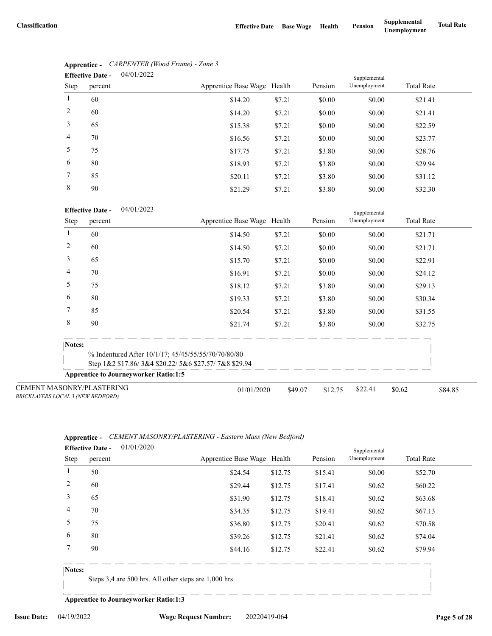|                | 04/01/2022<br><b>Effective Date -</b> |                             |        |         | Supplemental |                   |
|----------------|---------------------------------------|-----------------------------|--------|---------|--------------|-------------------|
| Step           | percent                               | Apprentice Base Wage Health |        | Pension | Unemployment | <b>Total Rate</b> |
| $\mathbf{1}$   | 60                                    | \$14.20                     | \$7.21 | \$0.00  | \$0.00       | \$21.41           |
| 2              | 60                                    | \$14.20                     | \$7.21 | \$0.00  | \$0.00       | \$21.41           |
| 3              | 65                                    | \$15.38                     | \$7.21 | \$0.00  | \$0.00       | \$22.59           |
| $\overline{4}$ | 70                                    | \$16.56                     | \$7.21 | \$0.00  | \$0.00       | \$23.77           |
| 5              | 75                                    | \$17.75                     | \$7.21 | \$3.80  | \$0.00       | \$28.76           |
| 6              | 80                                    | \$18.93                     | \$7.21 | \$3.80  | \$0.00       | \$29.94           |
| 7              | 85                                    | \$20.11                     | \$7.21 | \$3.80  | \$0.00       | \$31.12           |
| 8              | 90                                    | \$21.29                     | \$7.21 | \$3.80  | \$0.00       | \$32.30           |

# **Apprentice -** *CARPENTER (Wood Frame) - Zone 3*

### 04/01/2023 **Effective Date -**

|                                                                              | <b>E</b> ELIECTIVE DATE -<br>04/01/2023      |                                                      |         |         | Supplemental |                   |         |
|------------------------------------------------------------------------------|----------------------------------------------|------------------------------------------------------|---------|---------|--------------|-------------------|---------|
| Step                                                                         | percent                                      | Apprentice Base Wage Health                          |         | Pension | Unemployment | <b>Total Rate</b> |         |
|                                                                              | 60                                           | \$14.50                                              | \$7.21  | \$0.00  | \$0.00       | \$21.71           |         |
| 2                                                                            | 60                                           | \$14.50                                              | \$7.21  | \$0.00  | \$0.00       | \$21.71           |         |
| 3                                                                            | 65                                           | \$15.70                                              | \$7.21  | \$0.00  | \$0.00       | \$22.91           |         |
| 4                                                                            | 70                                           | \$16.91                                              | \$7.21  | \$0.00  | \$0.00       | \$24.12           |         |
| 5                                                                            | 75                                           | \$18.12                                              | \$7.21  | \$3.80  | \$0.00       | \$29.13           |         |
| 6                                                                            | 80                                           | \$19.33                                              | \$7.21  | \$3.80  | \$0.00       | \$30.34           |         |
| 7                                                                            | 85                                           | \$20.54                                              | \$7.21  | \$3.80  | \$0.00       | \$31.55           |         |
| 8                                                                            | 90                                           | \$21.74                                              | \$7.21  | \$3.80  | \$0.00       | \$32.75           |         |
| Notes:                                                                       |                                              |                                                      |         |         |              |                   |         |
|                                                                              |                                              | % Indentured After 10/1/17; 45/45/55/55/70/70/80/80  |         |         |              |                   |         |
|                                                                              |                                              | Step 1&2 \$17.86/3&4 \$20.22/5&6 \$27.57/7&8 \$29.94 |         |         |              |                   |         |
|                                                                              | <b>Apprentice to Journeyworker Ratio:1:5</b> |                                                      |         |         |              |                   |         |
| <b>CEMENT MASONRY/PLASTERING</b><br><b>BRICKLAYERS LOCAL 3 (NEW BEDFORD)</b> |                                              | 01/01/2020                                           | \$49.07 | \$12.75 | \$22.41      | \$0.62            | \$84.85 |

### **Apprentice -** *CEMENT MASONRY/PLASTERING - Eastern Mass (New Bedford)* 01/01/2020

|             | <b>Effective Date -</b> | 01/01/2020 |                             |         |         | Supplemental |                   |
|-------------|-------------------------|------------|-----------------------------|---------|---------|--------------|-------------------|
| <b>Step</b> | percent                 |            | Apprentice Base Wage Health |         | Pension | Unemployment | <b>Total Rate</b> |
|             | 50                      |            | \$24.54                     | \$12.75 | \$15.41 | \$0.00       | \$52.70           |
| 2           | 60                      |            | \$29.44                     | \$12.75 | \$17.41 | \$0.62       | \$60.22           |
| 3           | 65                      |            | \$31.90                     | \$12.75 | \$18.41 | \$0.62       | \$63.68           |
| 4           | 70                      |            | \$34.35                     | \$12.75 | \$19.41 | \$0.62       | \$67.13           |
| 5           | 75                      |            | \$36.80                     | \$12.75 | \$20.41 | \$0.62       | \$70.58           |
| 6           | 80                      |            | \$39.26                     | \$12.75 | \$21.41 | \$0.62       | \$74.04           |
|             | 90                      |            | \$44.16                     | \$12.75 | \$22.41 | \$0.62       | \$79.94           |
|             |                         |            |                             |         |         |              |                   |

### **Notes:**

Steps 3,4 are 500 hrs. All other steps are 1,000 hrs.

**Apprentice to Journeyworker Ratio:1:3**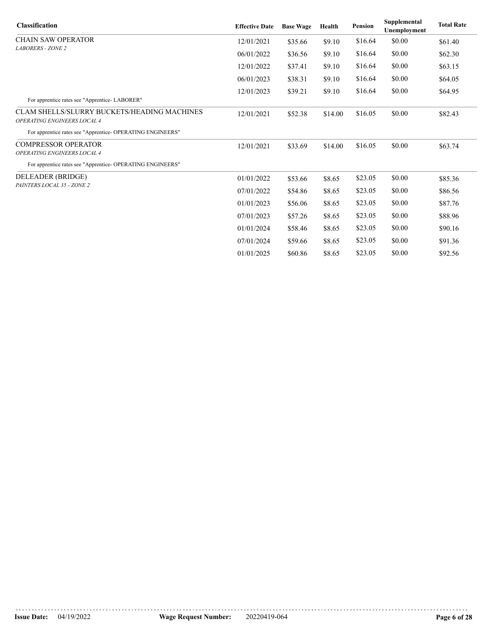| <b>Classification</b>                                                      | <b>Effective Date</b> | <b>Base Wage</b> | Health  | Pension | Supplemental<br>Unemployment | <b>Total Rate</b> |
|----------------------------------------------------------------------------|-----------------------|------------------|---------|---------|------------------------------|-------------------|
| <b>CHAIN SAW OPERATOR</b>                                                  | 12/01/2021            | \$35.66          | \$9.10  | \$16.64 | \$0.00                       | \$61.40           |
| <b>LABORERS - ZONE 2</b>                                                   | 06/01/2022            | \$36.56          | \$9.10  | \$16.64 | \$0.00                       | \$62.30           |
|                                                                            | 12/01/2022            | \$37.41          | \$9.10  | \$16.64 | \$0.00                       | \$63.15           |
|                                                                            | 06/01/2023            | \$38.31          | \$9.10  | \$16.64 | \$0.00                       | \$64.05           |
|                                                                            | 12/01/2023            | \$39.21          | \$9.10  | \$16.64 | \$0.00                       | \$64.95           |
| For apprentice rates see "Apprentice-LABORER"                              |                       |                  |         |         |                              |                   |
| CLAM SHELLS/SLURRY BUCKETS/HEADING MACHINES<br>OPERATING ENGINEERS LOCAL 4 | 12/01/2021            | \$52.38          | \$14.00 | \$16.05 | \$0.00                       | \$82.43           |
| For apprentice rates see "Apprentice- OPERATING ENGINEERS"                 |                       |                  |         |         |                              |                   |
| <b>COMPRESSOR OPERATOR</b>                                                 | 12/01/2021            | \$33.69          | \$14.00 | \$16.05 | \$0.00                       | \$63.74           |
| OPERATING ENGINEERS LOCAL 4                                                |                       |                  |         |         |                              |                   |
| For apprentice rates see "Apprentice- OPERATING ENGINEERS"                 |                       |                  |         |         |                              |                   |
| DELEADER (BRIDGE)                                                          | 01/01/2022            | \$53.66          | \$8.65  | \$23.05 | \$0.00                       | \$85.36           |
| PAINTERS LOCAL 35 - ZONE 2                                                 | 07/01/2022            | \$54.86          | \$8.65  | \$23.05 | \$0.00                       | \$86.56           |
|                                                                            | 01/01/2023            | \$56.06          | \$8.65  | \$23.05 | \$0.00                       | \$87.76           |
|                                                                            | 07/01/2023            | \$57.26          | \$8.65  | \$23.05 | \$0.00                       | \$88.96           |
|                                                                            | 01/01/2024            | \$58.46          | \$8.65  | \$23.05 | \$0.00                       | \$90.16           |
|                                                                            | 07/01/2024            | \$59.66          | \$8.65  | \$23.05 | \$0.00                       | \$91.36           |
|                                                                            | 01/01/2025            | \$60.86          | \$8.65  | \$23.05 | \$0.00                       | \$92.56           |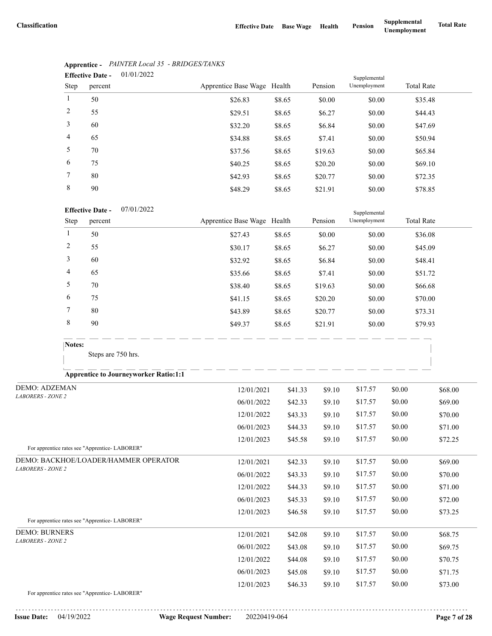|                | 01/01/2022<br><b>Effective Date -</b> |                             |        |         | Supplemental |                   |
|----------------|---------------------------------------|-----------------------------|--------|---------|--------------|-------------------|
| Step           | percent                               | Apprentice Base Wage Health |        | Pension | Unemployment | <b>Total Rate</b> |
| 1              | 50                                    | \$26.83                     | \$8.65 | \$0.00  | \$0.00       | \$35.48           |
| 2              | 55                                    | \$29.51                     | \$8.65 | \$6.27  | \$0.00       | \$44.43           |
| 3              | 60                                    | \$32.20                     | \$8.65 | \$6.84  | \$0.00       | \$47.69           |
| $\overline{4}$ | 65                                    | \$34.88                     | \$8.65 | \$7.41  | \$0.00       | \$50.94           |
| 5              | 70                                    | \$37.56                     | \$8.65 | \$19.63 | \$0.00       | \$65.84           |
| 6              | 75                                    | \$40.25                     | \$8.65 | \$20.20 | \$0.00       | \$69.10           |
| $\tau$         | 80                                    | \$42.93                     | \$8.65 | \$20.77 | \$0.00       | \$72.35           |
| 8              | 90                                    | \$48.29                     | \$8.65 | \$21.91 | \$0.00       | \$78.85           |

# **Apprentice -** *PAINTER Local 35 - BRIDGES/TANKS*

### 07/01/2022 **Effective Date -**

|      | <b>Effective Date -</b> | 0//01/2022 |                             |        |         | Supplemental |                   |
|------|-------------------------|------------|-----------------------------|--------|---------|--------------|-------------------|
| Step | percent                 |            | Apprentice Base Wage Health |        | Pension | Unemployment | <b>Total Rate</b> |
|      | 50                      |            | \$27.43                     | \$8.65 | \$0.00  | \$0.00       | \$36.08           |
| 2    | 55                      |            | \$30.17                     | \$8.65 | \$6.27  | \$0.00       | \$45.09           |
| 3    | 60                      |            | \$32.92                     | \$8.65 | \$6.84  | \$0.00       | \$48.41           |
| 4    | 65                      |            | \$35.66                     | \$8.65 | \$7.41  | \$0.00       | \$51.72           |
| 5    | 70                      |            | \$38.40                     | \$8.65 | \$19.63 | \$0.00       | \$66.68           |
| 6    | 75                      |            | \$41.15                     | \$8.65 | \$20.20 | \$0.00       | \$70.00           |
| 7    | 80                      |            | \$43.89                     | \$8.65 | \$20.77 | \$0.00       | \$73.31           |
| 8    | 90                      |            | \$49.37                     | \$8.65 | \$21.91 | \$0.00       | \$79.93           |

Steps are 750 hrs.

### **Apprentice to Journeyworker Ratio:1:1**

| <b>DEMO: ADZEMAN</b>                                  | 12/01/2021 | \$41.33 | \$9.10 | \$17.57 | \$0.00 | \$68.00 |
|-------------------------------------------------------|------------|---------|--------|---------|--------|---------|
| <b>LABORERS - ZONE 2</b>                              | 06/01/2022 | \$42.33 | \$9.10 | \$17.57 | \$0.00 | \$69.00 |
|                                                       | 12/01/2022 | \$43.33 | \$9.10 | \$17.57 | \$0.00 | \$70.00 |
|                                                       | 06/01/2023 | \$44.33 | \$9.10 | \$17.57 | \$0.00 | \$71.00 |
|                                                       | 12/01/2023 | \$45.58 | \$9.10 | \$17.57 | \$0.00 | \$72.25 |
| For apprentice rates see "Apprentice-LABORER"         |            |         |        |         |        |         |
| DEMO: BACKHOE/LOADER/HAMMER OPERATOR                  | 12/01/2021 | \$42.33 | \$9.10 | \$17.57 | \$0.00 | \$69.00 |
| <b>LABORERS - ZONE 2</b>                              | 06/01/2022 | \$43.33 | \$9.10 | \$17.57 | \$0.00 | \$70.00 |
|                                                       | 12/01/2022 | \$44.33 | \$9.10 | \$17.57 | \$0.00 | \$71.00 |
|                                                       | 06/01/2023 | \$45.33 | \$9.10 | \$17.57 | \$0.00 | \$72.00 |
|                                                       | 12/01/2023 | \$46.58 | \$9.10 | \$17.57 | \$0.00 | \$73.25 |
| For apprentice rates see "Apprentice- LABORER"        |            |         |        |         |        |         |
| <b>DEMO: BURNERS</b>                                  | 12/01/2021 | \$42.08 | \$9.10 | \$17.57 | \$0.00 | \$68.75 |
| <b>LABORERS - ZONE 2</b>                              | 06/01/2022 | \$43.08 | \$9.10 | \$17.57 | \$0.00 | \$69.75 |
|                                                       | 12/01/2022 | \$44.08 | \$9.10 | \$17.57 | \$0.00 | \$70.75 |
|                                                       | 06/01/2023 | \$45.08 | \$9.10 | \$17.57 | \$0.00 | \$71.75 |
|                                                       | 12/01/2023 | \$46.33 | \$9.10 | \$17.57 | \$0.00 | \$73.00 |
| $E_{21}$ conception rates and $\mu$ American LADODED! |            |         |        |         |        |         |

For apprentice rates see "Apprentice- LABORER"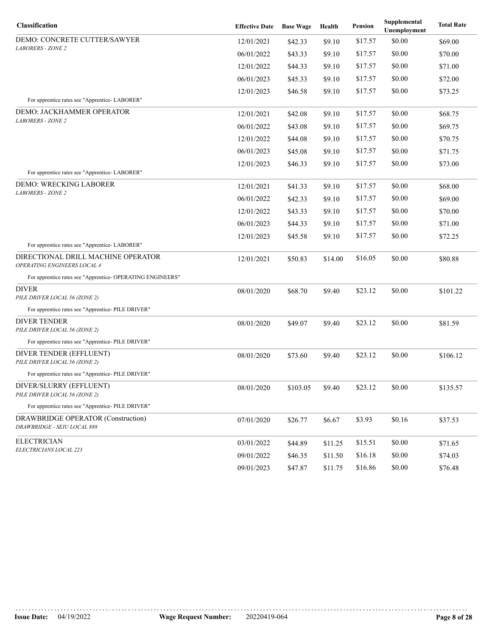| Classification                                                    | <b>Effective Date</b> | <b>Base Wage</b> | Health  | Pension | Supplemental<br>Unemployment | <b>Total Rate</b> |
|-------------------------------------------------------------------|-----------------------|------------------|---------|---------|------------------------------|-------------------|
| DEMO: CONCRETE CUTTER/SAWYER                                      | 12/01/2021            | \$42.33          | \$9.10  | \$17.57 | \$0.00                       | \$69.00           |
| <b>LABORERS - ZONE 2</b>                                          | 06/01/2022            | \$43.33          | \$9.10  | \$17.57 | \$0.00                       | \$70.00           |
|                                                                   | 12/01/2022            | \$44.33          | \$9.10  | \$17.57 | \$0.00                       | \$71.00           |
|                                                                   | 06/01/2023            | \$45.33          | \$9.10  | \$17.57 | \$0.00                       | \$72.00           |
|                                                                   | 12/01/2023            | \$46.58          | \$9.10  | \$17.57 | \$0.00                       | \$73.25           |
| For apprentice rates see "Apprentice- LABORER"                    |                       |                  |         |         |                              |                   |
| DEMO: JACKHAMMER OPERATOR<br><b>LABORERS - ZONE 2</b>             | 12/01/2021            | \$42.08          | \$9.10  | \$17.57 | \$0.00                       | \$68.75           |
|                                                                   | 06/01/2022            | \$43.08          | \$9.10  | \$17.57 | \$0.00                       | \$69.75           |
|                                                                   | 12/01/2022            | \$44.08          | \$9.10  | \$17.57 | \$0.00                       | \$70.75           |
|                                                                   | 06/01/2023            | \$45.08          | \$9.10  | \$17.57 | \$0.00                       | \$71.75           |
|                                                                   | 12/01/2023            | \$46.33          | \$9.10  | \$17.57 | \$0.00                       | \$73.00           |
| For apprentice rates see "Apprentice- LABORER"                    |                       |                  |         |         |                              |                   |
| DEMO: WRECKING LABORER<br><b>LABORERS - ZONE 2</b>                | 12/01/2021            | \$41.33          | \$9.10  | \$17.57 | \$0.00                       | \$68.00           |
|                                                                   | 06/01/2022            | \$42.33          | \$9.10  | \$17.57 | \$0.00                       | \$69.00           |
|                                                                   | 12/01/2022            | \$43.33          | \$9.10  | \$17.57 | \$0.00                       | \$70.00           |
|                                                                   | 06/01/2023            | \$44.33          | \$9.10  | \$17.57 | \$0.00                       | \$71.00           |
|                                                                   | 12/01/2023            | \$45.58          | \$9.10  | \$17.57 | \$0.00                       | \$72.25           |
| For apprentice rates see "Apprentice-LABORER"                     |                       |                  |         |         |                              |                   |
| DIRECTIONAL DRILL MACHINE OPERATOR<br>OPERATING ENGINEERS LOCAL 4 | 12/01/2021            | \$50.83          | \$14.00 | \$16.05 | \$0.00                       | \$80.88           |
| For apprentice rates see "Apprentice- OPERATING ENGINEERS"        |                       |                  |         |         |                              |                   |
| DIVER<br>PILE DRIVER LOCAL 56 (ZONE 2)                            | 08/01/2020            | \$68.70          | \$9.40  | \$23.12 | \$0.00                       | \$101.22          |
| For apprentice rates see "Apprentice- PILE DRIVER"                |                       |                  |         |         |                              |                   |
| <b>DIVER TENDER</b><br>PILE DRIVER LOCAL 56 (ZONE 2)              | 08/01/2020            | \$49.07          | \$9.40  | \$23.12 | \$0.00                       | \$81.59           |
| For apprentice rates see "Apprentice- PILE DRIVER"                |                       |                  |         |         |                              |                   |
| DIVER TENDER (EFFLUENT)<br>PILE DRIVER LOCAL 56 (ZONE 2)          | 08/01/2020            | \$73.60          | \$9.40  | \$23.12 | \$0.00                       | \$106.12          |
| For apprentice rates see "Apprentice- PILE DRIVER"                |                       |                  |         |         |                              |                   |
| DIVER/SLURRY (EFFLUENT)<br>PILE DRIVER LOCAL 56 (ZONE 2)          | 08/01/2020            | \$103.05         | \$9.40  | \$23.12 | \$0.00                       | \$135.57          |
| For apprentice rates see "Apprentice- PILE DRIVER"                |                       |                  |         |         |                              |                   |
| DRAWBRIDGE OPERATOR (Construction)<br>DRAWBRIDGE - SEIU LOCAL 888 | 07/01/2020            | \$26.77          | \$6.67  | \$3.93  | \$0.16                       | \$37.53           |
| <b>ELECTRICIAN</b>                                                | 03/01/2022            | \$44.89          | \$11.25 | \$15.51 | \$0.00                       | \$71.65           |
| ELECTRICIANS LOCAL 223                                            | 09/01/2022            | \$46.35          | \$11.50 | \$16.18 | \$0.00                       | \$74.03           |
|                                                                   | 09/01/2023            | \$47.87          | \$11.75 | \$16.86 | \$0.00                       | \$76.48           |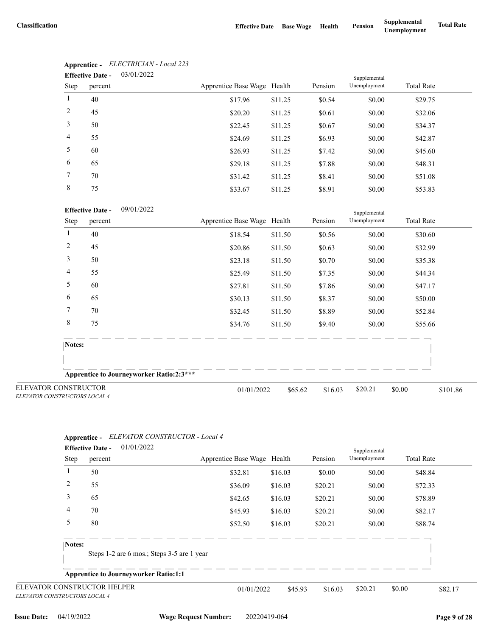|                | <b>Effective Date -</b> | 03/01/2022 |                             |         |         | Supplemental |                   |  |
|----------------|-------------------------|------------|-----------------------------|---------|---------|--------------|-------------------|--|
| Step           | percent                 |            | Apprentice Base Wage Health |         | Pension | Unemployment | <b>Total Rate</b> |  |
|                | 40                      |            | \$17.96                     | \$11.25 | \$0.54  | \$0.00       | \$29.75           |  |
| 2              | 45                      |            | \$20.20                     | \$11.25 | \$0.61  | \$0.00       | \$32.06           |  |
| 3              | 50                      |            | \$22.45                     | \$11.25 | \$0.67  | \$0.00       | \$34.37           |  |
| $\overline{4}$ | 55                      |            | \$24.69                     | \$11.25 | \$6.93  | \$0.00       | \$42.87           |  |
| 5              | 60                      |            | \$26.93                     | \$11.25 | \$7.42  | \$0.00       | \$45.60           |  |
| 6              | 65                      |            | \$29.18                     | \$11.25 | \$7.88  | \$0.00       | \$48.31           |  |
| 7              | 70                      |            | \$31.42                     | \$11.25 | \$8.41  | \$0.00       | \$51.08           |  |
| 8              | 75                      |            | \$33.67                     | \$11.25 | \$8.91  | \$0.00       | \$53.83           |  |

# **Apprentice -** *ELECTRICIAN - Local 223*

### 09/01/2022 **Effective Date -**

|                                                              | <b>Effective Date -</b><br>09/01/2022           |                             |         |         | Supplemental |                    |
|--------------------------------------------------------------|-------------------------------------------------|-----------------------------|---------|---------|--------------|--------------------|
| Step                                                         | percent                                         | Apprentice Base Wage Health |         | Pension | Unemployment | <b>Total Rate</b>  |
|                                                              | 40                                              | \$18.54                     | \$11.50 | \$0.56  | \$0.00       | \$30.60            |
| 2                                                            | 45                                              | \$20.86                     | \$11.50 | \$0.63  | \$0.00       | \$32.99            |
| 3                                                            | 50                                              | \$23.18                     | \$11.50 | \$0.70  | \$0.00       | \$35.38            |
| 4                                                            | 55                                              | \$25.49                     | \$11.50 | \$7.35  | \$0.00       | \$44.34            |
| 5                                                            | 60                                              | \$27.81                     | \$11.50 | \$7.86  | \$0.00       | \$47.17            |
| 6                                                            | 65                                              | \$30.13                     | \$11.50 | \$8.37  | \$0.00       | \$50.00            |
| 7                                                            | 70                                              | \$32.45                     | \$11.50 | \$8.89  | \$0.00       | \$52.84            |
| 8                                                            | 75                                              | \$34.76                     | \$11.50 | \$9.40  | \$0.00       | \$55.66            |
| Notes:                                                       |                                                 |                             |         |         |              |                    |
|                                                              |                                                 |                             |         |         |              |                    |
|                                                              | <b>Apprentice to Journeyworker Ratio:2:3***</b> |                             |         |         |              |                    |
| <b>ELEVATOR CONSTRUCTOR</b><br>ELEVATOR CONSTRUCTORS LOCAL 4 |                                                 | 01/01/2022                  | \$65.62 | \$16.03 | \$20.21      | \$0.00<br>\$101.86 |

### **Apprentice -** *ELEVATOR CONSTRUCTOR - Local 4*

|                               | 01/01/2022<br><b>Effective Date -</b>        |                             |         |         | Supplemental |                   |         |
|-------------------------------|----------------------------------------------|-----------------------------|---------|---------|--------------|-------------------|---------|
| Step                          | percent                                      | Apprentice Base Wage Health |         | Pension | Unemployment | <b>Total Rate</b> |         |
| 1                             | 50                                           | \$32.81                     | \$16.03 | \$0.00  | \$0.00       | \$48.84           |         |
| 2                             | 55                                           | \$36.09                     | \$16.03 | \$20.21 | \$0.00       | \$72.33           |         |
| 3                             | 65                                           | \$42.65                     | \$16.03 | \$20.21 | \$0.00       | \$78.89           |         |
| 4                             | 70                                           | \$45.93                     | \$16.03 | \$20.21 | \$0.00       | \$82.17           |         |
| 5                             | 80                                           | \$52.50                     | \$16.03 | \$20.21 | \$0.00       | \$88.74           |         |
| Notes:                        |                                              |                             |         |         |              |                   |         |
|                               | Steps 1-2 are 6 mos.; Steps 3-5 are 1 year   |                             |         |         |              |                   |         |
|                               | <b>Apprentice to Journeyworker Ratio:1:1</b> |                             |         |         |              |                   |         |
| ELEVATOR CONSTRUCTORS LOCAL 4 | ELEVATOR CONSTRUCTOR HELPER                  | 01/01/2022                  | \$45.93 | \$16.03 | \$20.21      | \$0.00            | \$82.17 |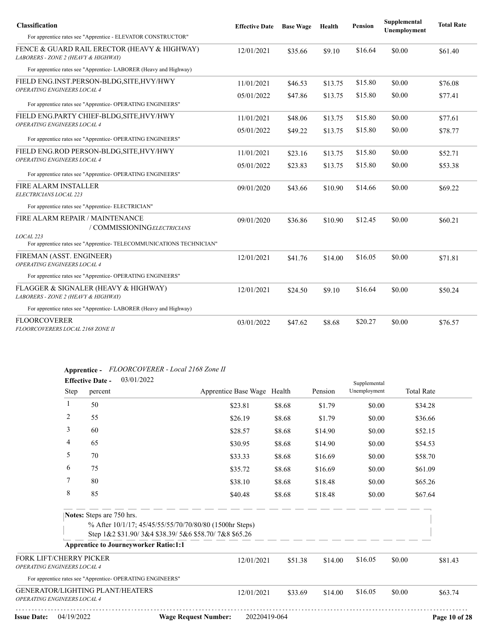| <b>Classification</b>                                                               | <b>Effective Date</b> | <b>Base Wage</b> | Health  | <b>Pension</b> | Supplemental<br>Unemployment | <b>Total Rate</b> |
|-------------------------------------------------------------------------------------|-----------------------|------------------|---------|----------------|------------------------------|-------------------|
| For apprentice rates see "Apprentice - ELEVATOR CONSTRUCTOR"                        |                       |                  |         |                |                              |                   |
| FENCE & GUARD RAIL ERECTOR (HEAVY & HIGHWAY)<br>LABORERS - ZONE 2 (HEAVY & HIGHWAY) | 12/01/2021            | \$35.66          | \$9.10  | \$16.64        | \$0.00                       | \$61.40           |
| For apprentice rates see "Apprentice-LABORER (Heavy and Highway)                    |                       |                  |         |                |                              |                   |
| FIELD ENG.INST.PERSON-BLDG, SITE, HVY/HWY<br>OPERATING ENGINEERS LOCAL 4            | 11/01/2021            | \$46.53          | \$13.75 | \$15.80        | \$0.00                       | \$76.08           |
|                                                                                     | 05/01/2022            | \$47.86          | \$13.75 | \$15.80        | \$0.00                       | \$77.41           |
| For apprentice rates see "Apprentice- OPERATING ENGINEERS"                          |                       |                  |         |                |                              |                   |
| FIELD ENG.PARTY CHIEF-BLDG, SITE, HVY/HWY<br>OPERATING ENGINEERS LOCAL 4            | 11/01/2021            | \$48.06          | \$13.75 | \$15.80        | \$0.00                       | \$77.61           |
|                                                                                     | 05/01/2022            | \$49.22          | \$13.75 | \$15.80        | \$0.00                       | \$78.77           |
| For apprentice rates see "Apprentice- OPERATING ENGINEERS"                          |                       |                  |         |                |                              |                   |
| FIELD ENG.ROD PERSON-BLDG, SITE, HVY/HWY<br>OPERATING ENGINEERS LOCAL 4             | 11/01/2021            | \$23.16          | \$13.75 | \$15.80        | \$0.00                       | \$52.71           |
|                                                                                     | 05/01/2022            | \$23.83          | \$13.75 | \$15.80        | \$0.00                       | \$53.38           |
| For apprentice rates see "Apprentice- OPERATING ENGINEERS"                          |                       |                  |         |                |                              |                   |
| <b>FIRE ALARM INSTALLER</b><br>ELECTRICIANS LOCAL 223                               | 09/01/2020            | \$43.66          | \$10.90 | \$14.66        | \$0.00                       | \$69.22           |
| For apprentice rates see "Apprentice- ELECTRICIAN"                                  |                       |                  |         |                |                              |                   |
|                                                                                     |                       |                  |         |                |                              |                   |
| FIRE ALARM REPAIR / MAINTENANCE<br>/ COMMISSIONINGELECTRICIANS                      | 09/01/2020            | \$36.86          | \$10.90 | \$12.45        | \$0.00                       | \$60.21           |
| LOCAL 223                                                                           |                       |                  |         |                |                              |                   |
| For apprentice rates see "Apprentice- TELECOMMUNICATIONS TECHNICIAN"                |                       |                  |         |                |                              |                   |
| FIREMAN (ASST. ENGINEER)                                                            | 12/01/2021            | \$41.76          | \$14.00 | \$16.05        | \$0.00                       | \$71.81           |
| OPERATING ENGINEERS LOCAL 4                                                         |                       |                  |         |                |                              |                   |
| For apprentice rates see "Apprentice- OPERATING ENGINEERS"                          |                       |                  |         |                |                              |                   |
| FLAGGER & SIGNALER (HEAVY & HIGHWAY)<br>LABORERS - ZONE 2 (HEAVY & HIGHWAY)         | 12/01/2021            | \$24.50          | \$9.10  | \$16.64        | \$0.00                       | \$50.24           |
| For apprentice rates see "Apprentice-LABORER (Heavy and Highway)                    |                       |                  |         |                |                              |                   |
| <b>FLOORCOVERER</b><br><i>FLOORCOVERERS LOCAL 2168 ZONE II</i>                      | 03/01/2022            | \$47.62          | \$8.68  | \$20.27        | \$0.00                       | \$76.57           |

# **Apprentice -** *FLOORCOVERER - Local 2168 Zone II*

|                                                                        | <b>Effective Date -</b>   | 03/01/2022                                                 |                             |         |         | Supplemental |        |                   |               |
|------------------------------------------------------------------------|---------------------------|------------------------------------------------------------|-----------------------------|---------|---------|--------------|--------|-------------------|---------------|
|                                                                        | Step<br>percent           |                                                            | Apprentice Base Wage Health |         | Pension | Unemployment |        | <b>Total Rate</b> |               |
| -1                                                                     | 50                        |                                                            | \$23.81                     | \$8.68  | \$1.79  | \$0.00       |        | \$34.28           |               |
| 2                                                                      | 55                        |                                                            | \$26.19                     | \$8.68  | \$1.79  | \$0.00       |        | \$36.66           |               |
| 3                                                                      | 60                        |                                                            | \$28.57                     | \$8.68  | \$14.90 | \$0.00       |        | \$52.15           |               |
| 4                                                                      | 65                        |                                                            | \$30.95                     | \$8.68  | \$14.90 | \$0.00       |        | \$54.53           |               |
|                                                                        | 5<br>70                   |                                                            | \$33.33                     | \$8.68  | \$16.69 | \$0.00       |        | \$58.70           |               |
| 6                                                                      | 75                        |                                                            | \$35.72                     | \$8.68  | \$16.69 | \$0.00       |        | \$61.09           |               |
| 7                                                                      | 80                        |                                                            | \$38.10                     | \$8.68  | \$18.48 | \$0.00       |        | \$65.26           |               |
| 8                                                                      | 85                        |                                                            | \$40.48                     | \$8.68  | \$18.48 | \$0.00       |        | \$67.64           |               |
|                                                                        | Notes: Steps are 750 hrs. |                                                            |                             |         |         |              |        |                   |               |
|                                                                        |                           | % After 10/1/17; 45/45/55/55/70/70/80/80 (1500hr Steps)    |                             |         |         |              |        |                   |               |
|                                                                        |                           | Step 1&2 \$31.90/3&4 \$38.39/5&6 \$58.70/7&8 \$65.26       |                             |         |         |              |        |                   |               |
|                                                                        |                           | <b>Apprentice to Journeyworker Ratio:1:1</b>               |                             |         |         |              |        |                   |               |
| <b>FORK LIFT/CHERRY PICKER</b><br>OPERATING ENGINEERS LOCAL 4          |                           |                                                            | 12/01/2021                  | \$51.38 | \$14.00 | \$16.05      | \$0.00 |                   | \$81.43       |
|                                                                        |                           | For apprentice rates see "Apprentice- OPERATING ENGINEERS" |                             |         |         |              |        |                   |               |
| <b>GENERATOR/LIGHTING PLANT/HEATERS</b><br>OPERATING ENGINEERS LOCAL 4 |                           |                                                            | 12/01/2021                  | \$33.69 | \$14.00 | \$16.05      | \$0.00 |                   | \$63.74       |
| <b>Issue Date:</b>                                                     | 04/19/2022                | <b>Wage Request Number:</b>                                | 20220419-064                |         |         |              |        |                   | Page 10 of 28 |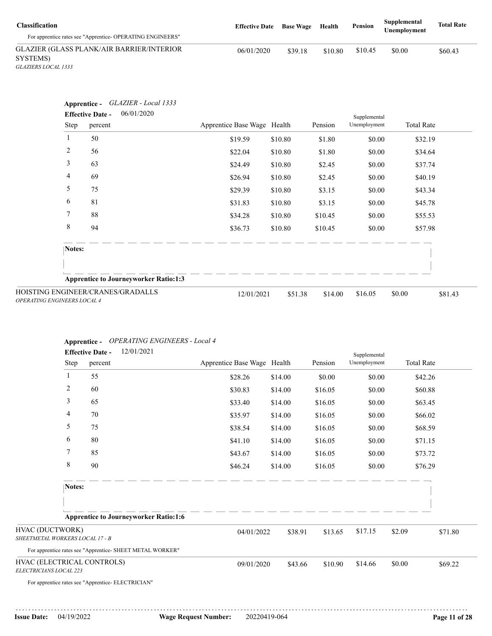| <b>Classification</b><br>For apprentice rates see "Apprentice- OPERATING ENGINEERS" | <b>Effective Date</b> | <b>Base Wage</b> | Health  | Pension | Supplemental<br>Unemplovment | <b>Total Rate</b> |
|-------------------------------------------------------------------------------------|-----------------------|------------------|---------|---------|------------------------------|-------------------|
| <b>GLAZIER (GLASS PLANK/AIR BARRIER/INTERIOR</b><br>SYSTEMS)                        | 06/01/2020            | \$39.18          | \$10.80 | \$10.45 | \$0.00                       | \$60.43           |

*GLAZIERS LOCAL 1333*

|                                    | GLAZIER - Local 1333<br>Apprentice -<br>06/01/2020<br><b>Effective Date -</b> |                             |         |         |                              |                   |         |
|------------------------------------|-------------------------------------------------------------------------------|-----------------------------|---------|---------|------------------------------|-------------------|---------|
| Step                               | percent                                                                       | Apprentice Base Wage Health |         | Pension | Supplemental<br>Unemployment | <b>Total Rate</b> |         |
| 1                                  | 50                                                                            | \$19.59                     | \$10.80 | \$1.80  | \$0.00                       | \$32.19           |         |
| $\overline{2}$                     | 56                                                                            | \$22.04                     | \$10.80 | \$1.80  | \$0.00                       | \$34.64           |         |
| 3                                  | 63                                                                            | \$24.49                     | \$10.80 | \$2.45  | \$0.00                       | \$37.74           |         |
| 4                                  | 69                                                                            | \$26.94                     | \$10.80 | \$2.45  | \$0.00                       | \$40.19           |         |
| 5                                  | 75                                                                            | \$29.39                     | \$10.80 | \$3.15  | \$0.00                       | \$43.34           |         |
| 6                                  | 81                                                                            | \$31.83                     | \$10.80 | \$3.15  | \$0.00                       | \$45.78           |         |
| 7                                  | 88                                                                            | \$34.28                     | \$10.80 | \$10.45 | \$0.00                       | \$55.53           |         |
| 8                                  | 94                                                                            | \$36.73                     | \$10.80 | \$10.45 | \$0.00                       | \$57.98           |         |
| Notes:                             |                                                                               |                             |         |         |                              |                   |         |
|                                    | <b>Apprentice to Journeyworker Ratio:1:3</b>                                  |                             |         |         |                              |                   |         |
| <b>OPERATING ENGINEERS LOCAL 4</b> | HOISTING ENGINEER/CRANES/GRADALLS                                             | 12/01/2021                  | \$51.38 | \$14.00 | \$16.05                      | \$0.00            | \$81.43 |

### **Apprentice -** *OPERATING ENGINEERS - Local 4*

|                                                      |             | <b>Effective Date -</b> | 12/01/2021                                                |                             |         |         | Supplemental |        |                   |
|------------------------------------------------------|-------------|-------------------------|-----------------------------------------------------------|-----------------------------|---------|---------|--------------|--------|-------------------|
|                                                      | Step        | percent                 |                                                           | Apprentice Base Wage Health |         | Pension | Unemployment |        | <b>Total Rate</b> |
| 1                                                    |             | 55                      |                                                           | \$28.26                     | \$14.00 | \$0.00  | \$0.00       |        | \$42.26           |
|                                                      | 2           | 60                      |                                                           | \$30.83                     | \$14.00 | \$16.05 | \$0.00       |        | \$60.88           |
|                                                      | 3           | 65                      |                                                           | \$33.40                     | \$14.00 | \$16.05 | \$0.00       |        | \$63.45           |
|                                                      | 4           | 70                      |                                                           | \$35.97                     | \$14.00 | \$16.05 | \$0.00       |        | \$66.02           |
|                                                      | 5           | 75                      |                                                           | \$38.54                     | \$14.00 | \$16.05 | \$0.00       |        | \$68.59           |
|                                                      | 6           | 80                      |                                                           | \$41.10                     | \$14.00 | \$16.05 | \$0.00       |        | \$71.15           |
| 7                                                    |             | 85                      |                                                           | \$43.67                     | \$14.00 | \$16.05 | \$0.00       |        | \$73.72           |
|                                                      | $\,$ 8 $\,$ | 90                      |                                                           | \$46.24                     | \$14.00 | \$16.05 | \$0.00       |        | \$76.29           |
|                                                      | Notes:      |                         |                                                           |                             |         |         |              |        |                   |
|                                                      |             |                         | <b>Apprentice to Journeyworker Ratio:1:6</b>              |                             |         |         |              |        |                   |
| HVAC (DUCTWORK)                                      |             |                         |                                                           | 04/01/2022                  | \$38.91 | \$13.65 | \$17.15      | \$2.09 | \$71.80           |
| SHEETMETAL WORKERS LOCAL 17 - B                      |             |                         |                                                           |                             |         |         |              |        |                   |
|                                                      |             |                         | For apprentice rates see "Apprentice- SHEET METAL WORKER" |                             |         |         |              |        |                   |
| HVAC (ELECTRICAL CONTROLS)<br>ELECTRICIANS LOCAL 223 |             |                         |                                                           | 09/01/2020                  | \$43.66 | \$10.90 | \$14.66      | \$0.00 | \$69.22           |
| For apprentice rates see "Apprentice- ELECTRICIAN"   |             |                         |                                                           |                             |         |         |              |        |                   |
|                                                      |             |                         |                                                           |                             |         |         |              |        |                   |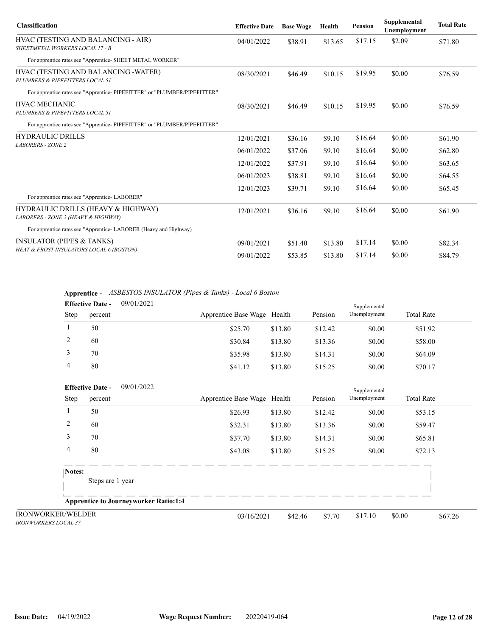| <b>Classification</b>                                                     | <b>Effective Date</b> | <b>Base Wage</b> | Health  | <b>Pension</b> | Supplemental<br>Unemployment                                          | <b>Total Rate</b> |
|---------------------------------------------------------------------------|-----------------------|------------------|---------|----------------|-----------------------------------------------------------------------|-------------------|
| HVAC (TESTING AND BALANCING - AIR)<br>SHEETMETAL WORKERS LOCAL 17 - B     | 04/01/2022            | \$38.91          | \$13.65 | \$17.15        | \$2.09                                                                | \$71.80           |
| For apprentice rates see "Apprentice- SHEET METAL WORKER"                 |                       |                  |         |                |                                                                       |                   |
| HVAC (TESTING AND BALANCING - WATER)<br>PLUMBERS & PIPEFITTERS LOCAL 51   | 08/30/2021            | \$46.49          | \$10.15 | \$19.95        | \$0.00                                                                | \$76.59           |
| For apprentice rates see "Apprentice-PIPEFITTER" or "PLUMBER/PIPEFITTER"  |                       |                  |         |                |                                                                       |                   |
| <b>HVAC MECHANIC</b><br>PLUMBERS & PIPEFITTERS LOCAL 51                   | 08/30/2021            | \$46.49          | \$10.15 | \$19.95        | \$0.00                                                                | \$76.59           |
| For apprentice rates see "Apprentice-PIPEFITTER" or "PLUMBER/PIPEFITTER"  |                       |                  |         |                |                                                                       |                   |
| <b>HYDRAULIC DRILLS</b>                                                   | 12/01/2021            | \$36.16          | \$9.10  | \$16.64        | \$0.00                                                                | \$61.90           |
| <b>LABORERS - ZONE 2</b>                                                  | 06/01/2022            | \$37.06          | \$9.10  | \$16.64        | \$0.00<br>\$0.00<br>\$16.64<br>\$16.64<br>\$0.00<br>\$0.00<br>\$16.64 | \$62.80           |
|                                                                           | 12/01/2022            | \$37.91          | \$9.10  |                |                                                                       | \$63.65           |
|                                                                           | 06/01/2023            | \$38.81          | \$9.10  |                |                                                                       | \$64.55           |
| For apprentice rates see "Apprentice-LABORER"                             | 12/01/2023            | \$39.71          | \$9.10  |                |                                                                       | \$65.45           |
| HYDRAULIC DRILLS (HEAVY & HIGHWAY)<br>LABORERS - ZONE 2 (HEAVY & HIGHWAY) | 12/01/2021            | \$36.16          | \$9.10  | \$16.64        | \$0.00                                                                | \$61.90           |
| For apprentice rates see "Apprentice- LABORER (Heavy and Highway)         |                       |                  |         |                |                                                                       |                   |
| <b>INSULATOR (PIPES &amp; TANKS)</b>                                      | 09/01/2021            | \$51.40          | \$13.80 | \$17.14        | \$0.00                                                                | \$82.34           |
| HEAT & FROST INSULATORS LOCAL 6 (BOSTON)                                  | 09/01/2022            | \$53.85          | \$13.80 | \$17.14        | \$0.00                                                                | \$84.79           |

**Apprentice -** *ASBESTOS INSULATOR (Pipes & Tanks) - Local 6 Boston*

|      | <b>Effective Date -</b> | 09/01/2021 |                             |         |         | Supplemental |                   |  |
|------|-------------------------|------------|-----------------------------|---------|---------|--------------|-------------------|--|
| Step | percent                 |            | Apprentice Base Wage Health |         | Pension | Unemployment | <b>Total Rate</b> |  |
|      | 50                      |            | \$25.70                     | \$13.80 | \$12.42 | \$0.00       | \$51.92           |  |
| ∠    | 60                      |            | \$30.84                     | \$13.80 | \$13.36 | \$0.00       | \$58.00           |  |
|      | 70                      |            | \$35.98                     | \$13.80 | \$14.31 | \$0.00       | \$64.09           |  |
| 4    | 80                      |            | \$41.12                     | \$13.80 | \$15.25 | \$0.00       | \$70.17           |  |

|                                                         | 09/01/2022<br><b>Effective Date -</b>        |                             |         |         | Supplemental |                   |         |
|---------------------------------------------------------|----------------------------------------------|-----------------------------|---------|---------|--------------|-------------------|---------|
| Step                                                    | percent                                      | Apprentice Base Wage Health |         | Pension | Unemployment | <b>Total Rate</b> |         |
|                                                         | 50                                           | \$26.93                     | \$13.80 | \$12.42 | \$0.00       | \$53.15           |         |
| 2                                                       | 60                                           | \$32.31                     | \$13.80 | \$13.36 | \$0.00       | \$59.47           |         |
| 3                                                       | 70                                           | \$37.70                     | \$13.80 | \$14.31 | \$0.00       | \$65.81           |         |
| 4                                                       | 80                                           | \$43.08                     | \$13.80 | \$15.25 | \$0.00       | \$72.13           |         |
| Notes:                                                  | Steps are 1 year                             |                             |         |         |              |                   |         |
|                                                         | <b>Apprentice to Journeyworker Ratio:1:4</b> |                             |         |         |              |                   |         |
| <b>IRONWORKER/WELDER</b><br><b>IRONWORKERS LOCAL 37</b> |                                              | 03/16/2021                  | \$42.46 | \$7.70  | \$17.10      | \$0.00            | \$67.26 |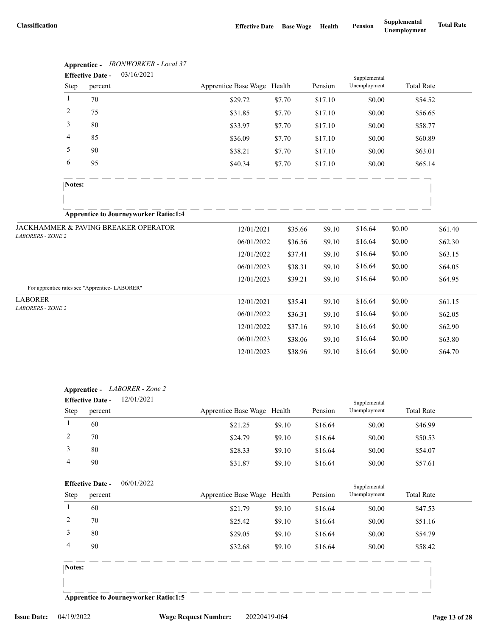|                                               |              | <b>Effective Date -</b> | 03/16/2021                                   |                             |         |         | Supplemental |        |                   |
|-----------------------------------------------|--------------|-------------------------|----------------------------------------------|-----------------------------|---------|---------|--------------|--------|-------------------|
|                                               | Step         | percent                 |                                              | Apprentice Base Wage Health |         | Pension | Unemployment |        | <b>Total Rate</b> |
|                                               | $\mathbf{1}$ | 70                      |                                              | \$29.72                     | \$7.70  | \$17.10 | \$0.00       |        | \$54.52           |
|                                               | 2            | 75                      |                                              | \$31.85                     | \$7.70  | \$17.10 | \$0.00       |        | \$56.65           |
|                                               | 3            | 80                      |                                              | \$33.97                     | \$7.70  | \$17.10 | \$0.00       |        | \$58.77           |
|                                               | 4            | 85                      |                                              | \$36.09                     | \$7.70  | \$17.10 | \$0.00       |        | \$60.89           |
|                                               | 5            | 90                      |                                              | \$38.21                     | \$7.70  | \$17.10 | \$0.00       |        | \$63.01           |
|                                               | 6            | 95                      |                                              | \$40.34                     | \$7.70  | \$17.10 | \$0.00       |        | \$65.14           |
|                                               | Notes:       |                         |                                              |                             |         |         |              |        |                   |
|                                               |              |                         |                                              |                             |         |         |              |        |                   |
|                                               |              |                         | <b>Apprentice to Journeyworker Ratio:1:4</b> |                             |         |         |              |        |                   |
|                                               |              |                         | JACKHAMMER & PAVING BREAKER OPERATOR         | 12/01/2021                  | \$35.66 | \$9.10  | \$16.64      | \$0.00 | \$61.40           |
| LABORERS - ZONE 2                             |              |                         |                                              | 06/01/2022                  | \$36.56 | \$9.10  | \$16.64      | \$0.00 | \$62.30           |
|                                               |              |                         |                                              | 12/01/2022                  | \$37.41 | \$9.10  | \$16.64      | \$0.00 | \$63.15           |
|                                               |              |                         |                                              | 06/01/2023                  | \$38.31 | \$9.10  | \$16.64      | \$0.00 | \$64.05           |
|                                               |              |                         |                                              | 12/01/2023                  | \$39.21 | \$9.10  | \$16.64      | \$0.00 | \$64.95           |
| For apprentice rates see "Apprentice-LABORER" |              |                         |                                              |                             |         |         |              |        |                   |
| <b>LABORER</b>                                |              |                         |                                              | 12/01/2021                  | \$35.41 | \$9.10  | \$16.64      | \$0.00 | \$61.15           |
| LABORERS - ZONE 2                             |              |                         |                                              | 06/01/2022                  | \$36.31 | \$9.10  | \$16.64      | \$0.00 | \$62.05           |
|                                               |              |                         |                                              | 12/01/2022                  | \$37.16 | \$9.10  | \$16.64      | \$0.00 | \$62.90           |
|                                               |              |                         |                                              | 06/01/2023                  | \$38.06 | \$9.10  | \$16.64      | \$0.00 | \$63.80           |
|                                               |              |                         |                                              | 12/01/2023                  | \$38.96 | \$9.10  | \$16.64      | \$0.00 | \$64.70           |

| Apprentice -          | <b>IRONWORKER</b> - Local 37 |
|-----------------------|------------------------------|
| <b>Effective Date</b> | 03/16/2021                   |

| <b>Apprentice -</b> | LABORER - Zone 2 |
|---------------------|------------------|
|---------------------|------------------|

|      | <b>Effective Date -</b> | 12/01/2021 |                             |        |         | Supplemental |                   |  |
|------|-------------------------|------------|-----------------------------|--------|---------|--------------|-------------------|--|
| Step | percent                 |            | Apprentice Base Wage Health |        | Pension | Unemployment | <b>Total Rate</b> |  |
|      | 60                      |            | \$21.25                     | \$9.10 | \$16.64 | \$0.00       | \$46.99           |  |
|      | 70                      |            | \$24.79                     | \$9.10 | \$16.64 | \$0.00       | \$50.53           |  |
|      | 80                      |            | \$28.33                     | \$9.10 | \$16.64 | \$0.00       | \$54.07           |  |
|      | 90                      |            | \$31.87                     | \$9.10 | \$16.64 | \$0.00       | \$57.61           |  |

|             | <b>Effective Date -</b> | 06/01/2022                                   |                             |        |         | Supplemental |                   |
|-------------|-------------------------|----------------------------------------------|-----------------------------|--------|---------|--------------|-------------------|
| <b>Step</b> | percent                 |                                              | Apprentice Base Wage Health |        | Pension | Unemployment | <b>Total Rate</b> |
|             | 60                      |                                              | \$21.79                     | \$9.10 | \$16.64 | \$0.00       | \$47.53           |
| 2           | 70                      |                                              | \$25.42                     | \$9.10 | \$16.64 | \$0.00       | \$51.16           |
| 3           | 80                      |                                              | \$29.05                     | \$9.10 | \$16.64 | \$0.00       | \$54.79           |
| 4           | 90                      |                                              | \$32.68                     | \$9.10 | \$16.64 | \$0.00       | \$58.42           |
| Notes:      |                         |                                              |                             |        |         |              |                   |
|             |                         |                                              |                             |        |         |              |                   |
|             |                         | <b>Apprentice to Journeyworker Ratio:1:5</b> |                             |        |         |              |                   |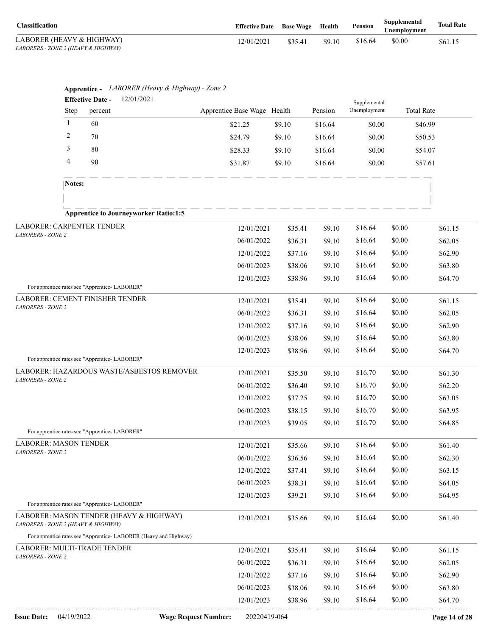| <b>Classification</b>               | <b>Effective Date</b> Base Wage |         | Health | Pension | Supplemental<br>Unemplovment | <b>Total Rate</b> |
|-------------------------------------|---------------------------------|---------|--------|---------|------------------------------|-------------------|
| LABORER (HEAVY & HIGHWAY)           | 12/01/2021                      | \$35.41 | \$9.10 | \$16.64 | \$0.00                       | \$61.15           |
| LABORERS - ZONE 2 (HEAVY & HIGHWAY) |                                 |         |        |         |                              |                   |

|                                                                                  |                                                | Apprentice - LABORER (Heavy & Highway) - Zone 2                  |                             |         |         |                              |                   |               |
|----------------------------------------------------------------------------------|------------------------------------------------|------------------------------------------------------------------|-----------------------------|---------|---------|------------------------------|-------------------|---------------|
|                                                                                  | <b>Effective Date -</b><br>Step<br>percent     | 12/01/2021                                                       | Apprentice Base Wage Health |         | Pension | Supplemental<br>Unemployment | <b>Total Rate</b> |               |
|                                                                                  | $\mathbf{1}$<br>60                             |                                                                  |                             |         |         |                              |                   |               |
|                                                                                  | 2<br>70                                        |                                                                  | \$21.25                     | \$9.10  | \$16.64 | \$0.00                       | \$46.99           |               |
|                                                                                  | 3<br>80                                        |                                                                  | \$24.79                     | \$9.10  | \$16.64 | \$0.00                       | \$50.53           |               |
|                                                                                  | 4                                              |                                                                  | \$28.33                     | \$9.10  | \$16.64 | \$0.00                       | \$54.07           |               |
|                                                                                  | 90                                             |                                                                  | \$31.87                     | \$9.10  | \$16.64 | \$0.00                       | \$57.61           |               |
|                                                                                  | Notes:                                         |                                                                  |                             |         |         |                              |                   |               |
|                                                                                  |                                                |                                                                  |                             |         |         |                              |                   |               |
|                                                                                  |                                                | <b>Apprentice to Journeyworker Ratio:1:5</b>                     |                             |         |         |                              |                   |               |
|                                                                                  | LABORER: CARPENTER TENDER                      |                                                                  | 12/01/2021                  | \$35.41 | \$9.10  | \$16.64                      | \$0.00            | \$61.15       |
| LABORERS - ZONE 2                                                                |                                                |                                                                  | 06/01/2022                  | \$36.31 | \$9.10  | \$16.64                      | \$0.00            | \$62.05       |
|                                                                                  |                                                |                                                                  | 12/01/2022                  | \$37.16 | \$9.10  | \$16.64                      | \$0.00            | \$62.90       |
|                                                                                  |                                                |                                                                  | 06/01/2023                  | \$38.06 | \$9.10  | \$16.64                      | \$0.00            | \$63.80       |
|                                                                                  |                                                |                                                                  | 12/01/2023                  | \$38.96 | \$9.10  | \$16.64                      | \$0.00            | \$64.70       |
| For apprentice rates see "Apprentice-LABORER"<br>LABORER: CEMENT FINISHER TENDER |                                                | 12/01/2021                                                       | \$35.41                     | \$9.10  | \$16.64 | \$0.00                       | \$61.15           |               |
| LABORERS - ZONE 2                                                                |                                                |                                                                  | 06/01/2022                  | \$36.31 | \$9.10  | \$16.64                      | \$0.00            | \$62.05       |
|                                                                                  |                                                |                                                                  | 12/01/2022                  | \$37.16 | \$9.10  | \$16.64                      | \$0.00            | \$62.90       |
|                                                                                  |                                                |                                                                  | 06/01/2023                  | \$38.06 | \$9.10  | \$16.64                      | \$0.00            | \$63.80       |
|                                                                                  |                                                |                                                                  | 12/01/2023                  | \$38.96 | \$9.10  | \$16.64                      | \$0.00            | \$64.70       |
|                                                                                  | For apprentice rates see "Apprentice-LABORER"  |                                                                  |                             |         |         |                              |                   |               |
| <b>LABORERS - ZONE 2</b>                                                         |                                                | LABORER: HAZARDOUS WASTE/ASBESTOS REMOVER                        | 12/01/2021                  | \$35.50 | \$9.10  | \$16.70                      | \$0.00            | \$61.30       |
|                                                                                  |                                                |                                                                  | 06/01/2022                  | \$36.40 | \$9.10  | \$16.70                      | \$0.00            | \$62.20       |
|                                                                                  |                                                |                                                                  | 12/01/2022                  | \$37.25 | \$9.10  | \$16.70                      | \$0.00            | \$63.05       |
|                                                                                  |                                                |                                                                  | 06/01/2023                  | \$38.15 | \$9.10  | \$16.70                      | \$0.00            | \$63.95       |
|                                                                                  | For apprentice rates see "Apprentice-LABORER"  |                                                                  | 12/01/2023                  | \$39.05 | \$9.10  | \$16.70                      | \$0.00            | \$64.85       |
|                                                                                  | <b>LABORER: MASON TENDER</b>                   |                                                                  | 12/01/2021                  | \$35.66 | \$9.10  | \$16.64                      | \$0.00            | \$61.40       |
| LABORERS - ZONE 2                                                                |                                                |                                                                  | 06/01/2022                  | \$36.56 | \$9.10  | \$16.64                      | \$0.00            | \$62.30       |
|                                                                                  |                                                |                                                                  | 12/01/2022                  | \$37.41 | \$9.10  | \$16.64                      | \$0.00            | \$63.15       |
|                                                                                  |                                                |                                                                  | 06/01/2023                  | \$38.31 | \$9.10  | \$16.64                      | \$0.00            | \$64.05       |
|                                                                                  |                                                |                                                                  | 12/01/2023                  | \$39.21 | \$9.10  | \$16.64                      | \$0.00            | \$64.95       |
|                                                                                  | For apprentice rates see "Apprentice- LABORER" |                                                                  |                             |         |         |                              |                   |               |
|                                                                                  | LABORERS - ZONE 2 (HEAVY & HIGHWAY)            | LABORER: MASON TENDER (HEAVY & HIGHWAY)                          | 12/01/2021                  | \$35.66 | \$9.10  | \$16.64                      | \$0.00            | \$61.40       |
|                                                                                  |                                                | For apprentice rates see "Apprentice-LABORER (Heavy and Highway) |                             |         |         |                              |                   |               |
|                                                                                  | LABORER: MULTI-TRADE TENDER                    |                                                                  | 12/01/2021                  | \$35.41 | \$9.10  | \$16.64                      | \$0.00            | \$61.15       |
| LABORERS - ZONE 2                                                                |                                                |                                                                  | 06/01/2022                  | \$36.31 | \$9.10  | \$16.64                      | \$0.00            | \$62.05       |
|                                                                                  |                                                |                                                                  | 12/01/2022                  | \$37.16 | \$9.10  | \$16.64                      | \$0.00            | \$62.90       |
|                                                                                  |                                                |                                                                  | 06/01/2023                  | \$38.06 | \$9.10  | \$16.64                      | \$0.00            | \$63.80       |
|                                                                                  |                                                |                                                                  | 12/01/2023                  | \$38.96 | \$9.10  | \$16.64                      | \$0.00            | \$64.70       |
| <b>Issue Date:</b>                                                               | 04/19/2022                                     | <b>Wage Request Number:</b>                                      | 20220419-064                |         |         |                              |                   | Page 14 of 28 |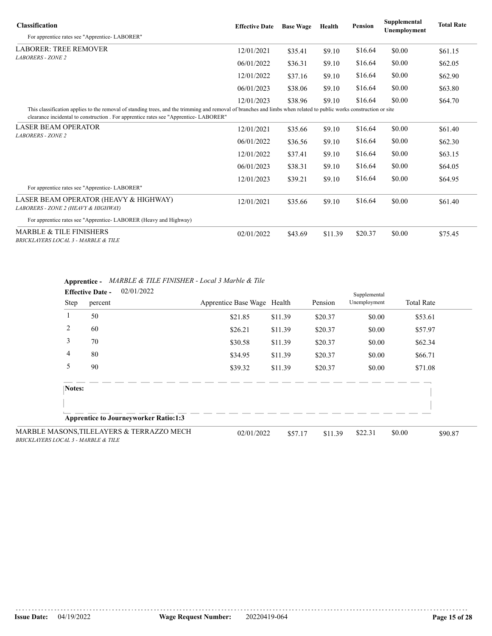| <b>Classification</b>                                                                                                                                                                                                                                     | <b>Effective Date</b> | <b>Base Wage</b> | Health  | <b>Pension</b> | Supplemental<br>Unemployment | <b>Total Rate</b> |
|-----------------------------------------------------------------------------------------------------------------------------------------------------------------------------------------------------------------------------------------------------------|-----------------------|------------------|---------|----------------|------------------------------|-------------------|
| For apprentice rates see "Apprentice-LABORER"                                                                                                                                                                                                             |                       |                  |         |                |                              |                   |
| <b>LABORER: TREE REMOVER</b>                                                                                                                                                                                                                              | 12/01/2021            | \$35.41          | \$9.10  | \$16.64        | \$0.00                       | \$61.15           |
| <b>LABORERS - ZONE 2</b>                                                                                                                                                                                                                                  | 06/01/2022            | \$36.31          | \$9.10  | \$16.64        | \$0.00                       | \$62.05           |
|                                                                                                                                                                                                                                                           | 12/01/2022            | \$37.16          | \$9.10  | \$16.64        | \$0.00                       | \$62.90           |
|                                                                                                                                                                                                                                                           | 06/01/2023            | \$38.06          | \$9.10  | \$16.64        | \$0.00                       | \$63.80           |
|                                                                                                                                                                                                                                                           | 12/01/2023            | \$38.96          | \$9.10  | \$16.64        | \$0.00                       | \$64.70           |
| This classification applies to the removal of standing trees, and the trimming and removal of branches and limbs when related to public works construction or site<br>clearance incidental to construction. For apprentice rates see "Apprentice-LABORER" |                       |                  |         |                |                              |                   |
| <b>LASER BEAM OPERATOR</b>                                                                                                                                                                                                                                | 12/01/2021            | \$35.66          | \$9.10  | \$16.64        | \$0.00                       | \$61.40           |
| <b>LABORERS - ZONE 2</b>                                                                                                                                                                                                                                  | 06/01/2022            | \$36.56          | \$9.10  | \$16.64        | \$0.00                       | \$62.30           |
|                                                                                                                                                                                                                                                           | 12/01/2022            | \$37.41          | \$9.10  | \$16.64        | \$0.00                       | \$63.15           |
|                                                                                                                                                                                                                                                           | 06/01/2023            | \$38.31          | \$9.10  | \$16.64        | \$0.00                       | \$64.05           |
| For apprentice rates see "Apprentice-LABORER"                                                                                                                                                                                                             | 12/01/2023            | \$39.21          | \$9.10  | \$16.64        | \$0.00                       | \$64.95           |
| LASER BEAM OPERATOR (HEAVY & HIGHWAY)<br>LABORERS - ZONE 2 (HEAVY & HIGHWAY)                                                                                                                                                                              | 12/01/2021            | \$35.66          | \$9.10  | \$16.64        | \$0.00                       | \$61.40           |
| For apprentice rates see "Apprentice- LABORER (Heavy and Highway)                                                                                                                                                                                         |                       |                  |         |                |                              |                   |
| <b>MARBLE &amp; TILE FINISHERS</b><br>BRICKLAYERS LOCAL 3 - MARBLE & TILE                                                                                                                                                                                 | 02/01/2022            | \$43.69          | \$11.39 | \$20.37        | \$0.00                       | \$75.45           |

|  | <b>Apprentice -</b> MARBLE & TILE FINISHER - Local 3 Marble & Tile |  |
|--|--------------------------------------------------------------------|--|
|--|--------------------------------------------------------------------|--|

|        | <b>Effective Date -</b> | 02/01/2022                                   |                             |         |         | Supplemental |                   |         |
|--------|-------------------------|----------------------------------------------|-----------------------------|---------|---------|--------------|-------------------|---------|
| Step   | percent                 |                                              | Apprentice Base Wage Health |         | Pension | Unemployment | <b>Total Rate</b> |         |
|        | 50                      |                                              | \$21.85                     | \$11.39 | \$20.37 | \$0.00       | \$53.61           |         |
| 2      | 60                      |                                              | \$26.21                     | \$11.39 | \$20.37 | \$0.00       | \$57.97           |         |
| 3      | 70                      |                                              | \$30.58                     | \$11.39 | \$20.37 | \$0.00       | \$62.34           |         |
| 4      | 80                      |                                              | \$34.95                     | \$11.39 | \$20.37 | \$0.00       | \$66.71           |         |
| 5      | 90                      |                                              | \$39.32                     | \$11.39 | \$20.37 | \$0.00       | \$71.08           |         |
| Notes: |                         |                                              |                             |         |         |              |                   |         |
|        |                         | <b>Apprentice to Journeyworker Ratio:1:3</b> |                             |         |         |              |                   |         |
|        |                         | SONS,TILELAYERS & TERRAZZO MECH              | 02/01/2022                  | \$57.17 | \$11.39 | \$22.31      | \$0.00            | \$90.87 |

MARBLE MAS *BRICKLAYERS LOCAL 3 - MARBLE & TILE*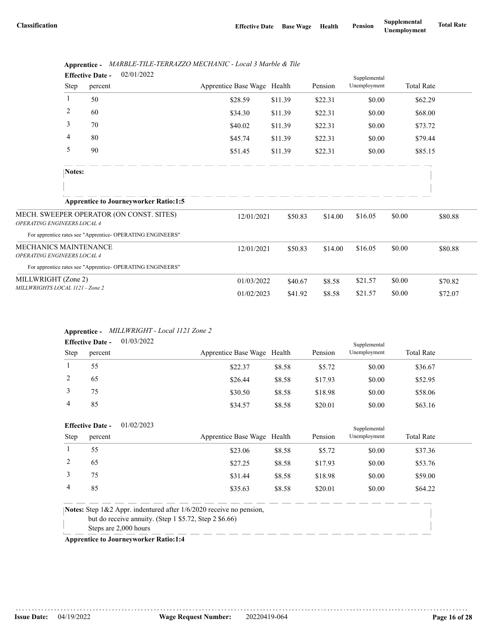|                                    |              | <b>Lifective Date -</b><br><b>UZ/UI/ZUZZ</b>               |                             |         |         | Supplemental |        |                   |
|------------------------------------|--------------|------------------------------------------------------------|-----------------------------|---------|---------|--------------|--------|-------------------|
|                                    | Step         | percent                                                    | Apprentice Base Wage Health |         | Pension | Unemployment |        | <b>Total Rate</b> |
|                                    | $\mathbf{1}$ | 50                                                         | \$28.59                     | \$11.39 | \$22.31 | \$0.00       |        | \$62.29           |
|                                    | 2            | 60                                                         | \$34.30                     | \$11.39 | \$22.31 | \$0.00       |        | \$68.00           |
|                                    | 3            | 70                                                         | \$40.02                     | \$11.39 | \$22.31 | \$0.00       |        | \$73.72           |
|                                    | 4            | 80                                                         | \$45.74                     | \$11.39 | \$22.31 | \$0.00       |        | \$79.44           |
|                                    | 5            | 90                                                         | \$51.45                     | \$11.39 | \$22.31 | \$0.00       |        | \$85.15           |
|                                    | Notes:       |                                                            |                             |         |         |              |        |                   |
|                                    |              |                                                            |                             |         |         |              |        |                   |
|                                    |              | <b>Apprentice to Journeyworker Ratio:1:5</b>               |                             |         |         |              |        |                   |
| <b>OPERATING ENGINEERS LOCAL 4</b> |              | MECH. SWEEPER OPERATOR (ON CONST. SITES)                   | 12/01/2021                  | \$50.83 | \$14.00 | \$16.05      | \$0.00 | \$80.88           |
|                                    |              | For apprentice rates see "Apprentice- OPERATING ENGINEERS" |                             |         |         |              |        |                   |
| <b>MECHANICS MAINTENANCE</b>       |              |                                                            | 12/01/2021                  | \$50.83 | \$14.00 | \$16.05      | \$0.00 | \$80.88           |
| OPERATING ENGINEERS LOCAL 4        |              |                                                            |                             |         |         |              |        |                   |
|                                    |              | For apprentice rates see "Apprentice- OPERATING ENGINEERS" |                             |         |         |              |        |                   |
| MILLWRIGHT (Zone 2)                |              |                                                            | 01/03/2022                  | \$40.67 | \$8.58  | \$21.57      | \$0.00 | \$70.82           |
| MILLWRIGHTS LOCAL 1121 - Zone 2    |              |                                                            | 01/02/2023                  | \$41.92 | \$8.58  | \$21.57      | \$0.00 | \$72.07           |

### **Apprentice -** *MARBLE-TILE-TERRAZZO MECHANIC - Local 3 Marble & Tile* 02/01/2022 **Effective Date -**

### **Apprentice -** *MILLWRIGHT - Local 1121 Zone 2* 01/03/2022

| <b>Effective Date -</b> |         | 01/03/2022 |                             |        |         | Supplemental |                   |  |
|-------------------------|---------|------------|-----------------------------|--------|---------|--------------|-------------------|--|
| <b>Step</b>             | percent |            | Apprentice Base Wage Health |        | Pension | Unemployment | <b>Total Rate</b> |  |
|                         | 55      |            | \$22.37                     | \$8.58 | \$5.72  | \$0.00       | \$36.67           |  |
|                         | 65      |            | \$26.44                     | \$8.58 | \$17.93 | \$0.00       | \$52.95           |  |
|                         | 75      |            | \$30.50                     | \$8.58 | \$18.98 | \$0.00       | \$58.06           |  |
| 4                       | 85      |            | \$34.57                     | \$8.58 | \$20.01 | \$0.00       | \$63.16           |  |

|      | <b>Effective Date -</b> | 01/02/2023 |                             |        |         | Supplemental |                   |
|------|-------------------------|------------|-----------------------------|--------|---------|--------------|-------------------|
| Step | percent                 |            | Apprentice Base Wage Health |        | Pension | Unemployment | <b>Total Rate</b> |
|      | 55                      |            | \$23.06                     | \$8.58 | \$5.72  | \$0.00       | \$37.36           |
|      | 65                      |            | \$27.25                     | \$8.58 | \$17.93 | \$0.00       | \$53.76           |
|      | 75                      |            | \$31.44                     | \$8.58 | \$18.98 | \$0.00       | \$59.00           |
| 4    | 85                      |            | \$35.63                     | \$8.58 | \$20.01 | \$0.00       | \$64.22           |
|      |                         |            |                             |        |         |              |                   |

**Notes:** Step 1&2 Appr. indentured after 1/6/2020 receive no pension,

but do receive annuity. (Step 1 \$5.72, Step 2 \$6.66)

Steps are 2,000 hours

**Apprentice to Journeyworker Ratio:1:4**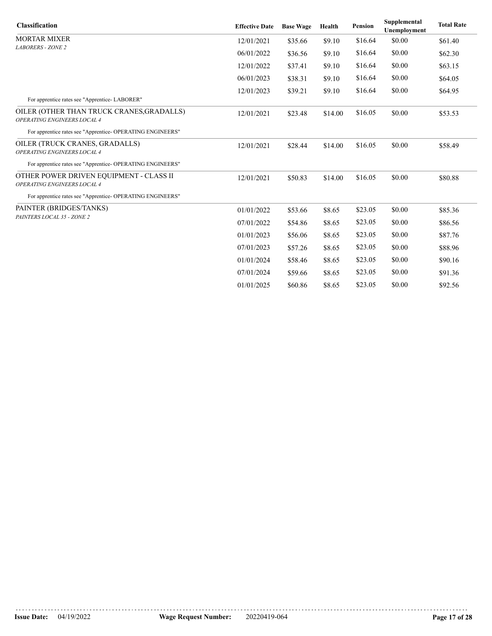| <b>Classification</b>                                                    | <b>Effective Date</b> | <b>Base Wage</b> | Health  | <b>Pension</b> | Supplemental<br><b>Unemployment</b> | <b>Total Rate</b> |
|--------------------------------------------------------------------------|-----------------------|------------------|---------|----------------|-------------------------------------|-------------------|
| MORTAR MIXER                                                             | 12/01/2021            | \$35.66          | \$9.10  | \$16.64        | \$0.00                              | \$61.40           |
| <b>LABORERS - ZONE 2</b>                                                 | 06/01/2022            | \$36.56          | \$9.10  | \$16.64        | \$0.00                              | \$62.30           |
|                                                                          | 12/01/2022            | \$37.41          | \$9.10  | \$16.64        | \$0.00                              | \$63.15           |
|                                                                          | 06/01/2023            | \$38.31          | \$9.10  | \$16.64        | \$0.00                              | \$64.05           |
|                                                                          | 12/01/2023            | \$39.21          | \$9.10  | \$16.64        | \$0.00                              | \$64.95           |
| For apprentice rates see "Apprentice-LABORER"                            |                       |                  |         |                |                                     |                   |
| OILER (OTHER THAN TRUCK CRANES, GRADALLS)<br>OPERATING ENGINEERS LOCAL 4 | 12/01/2021            | \$23.48          | \$14.00 | \$16.05        | \$0.00                              | \$53.53           |
| For apprentice rates see "Apprentice- OPERATING ENGINEERS"               |                       |                  |         |                |                                     |                   |
| OILER (TRUCK CRANES, GRADALLS)<br>OPERATING ENGINEERS LOCAL 4            | 12/01/2021            | \$28.44          | \$14.00 | \$16.05        | \$0.00                              | \$58.49           |
| For apprentice rates see "Apprentice- OPERATING ENGINEERS"               |                       |                  |         |                |                                     |                   |
| OTHER POWER DRIVEN EQUIPMENT - CLASS II<br>OPERATING ENGINEERS LOCAL 4   | 12/01/2021            | \$50.83          | \$14.00 | \$16.05        | \$0.00                              | \$80.88           |
| For apprentice rates see "Apprentice- OPERATING ENGINEERS"               |                       |                  |         |                |                                     |                   |
| PAINTER (BRIDGES/TANKS)                                                  | 01/01/2022            | \$53.66          | \$8.65  | \$23.05        | \$0.00                              | \$85.36           |
| PAINTERS LOCAL 35 - ZONE 2                                               | 07/01/2022            | \$54.86          | \$8.65  | \$23.05        | \$0.00                              | \$86.56           |
|                                                                          | 01/01/2023            | \$56.06          | \$8.65  | \$23.05        | \$0.00                              | \$87.76           |
|                                                                          | 07/01/2023            | \$57.26          | \$8.65  | \$23.05        | \$0.00                              | \$88.96           |
|                                                                          | 01/01/2024            | \$58.46          | \$8.65  | \$23.05        | \$0.00                              | \$90.16           |
|                                                                          | 07/01/2024            | \$59.66          | \$8.65  | \$23.05        | \$0.00                              | \$91.36           |
|                                                                          | 01/01/2025            | \$60.86          | \$8.65  | \$23.05        | \$0.00                              | \$92.56           |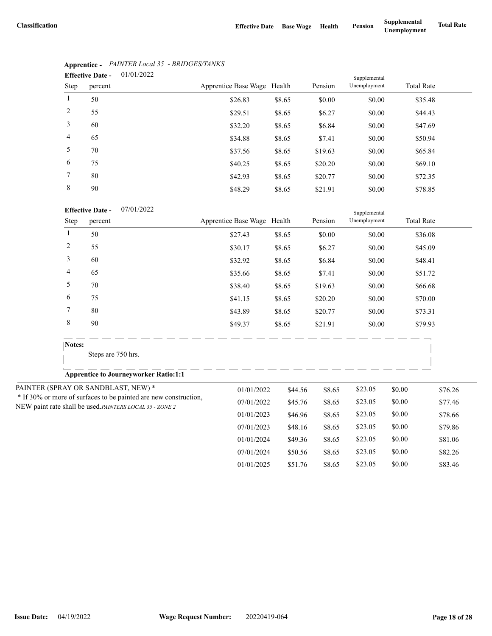| <b>Effective Date -</b> |         | 01/01/2022 |                             |        |         | Supplemental |                   |  |
|-------------------------|---------|------------|-----------------------------|--------|---------|--------------|-------------------|--|
| Step                    | percent |            | Apprentice Base Wage Health |        | Pension | Unemployment | <b>Total Rate</b> |  |
| $\mathbf{1}$            | 50      |            | \$26.83                     | \$8.65 | \$0.00  | \$0.00       | \$35.48           |  |
| 2                       | 55      |            | \$29.51                     | \$8.65 | \$6.27  | \$0.00       | \$44.43           |  |
| 3                       | 60      |            | \$32.20                     | \$8.65 | \$6.84  | \$0.00       | \$47.69           |  |
| $\overline{4}$          | 65      |            | \$34.88                     | \$8.65 | \$7.41  | \$0.00       | \$50.94           |  |
| 5                       | 70      |            | \$37.56                     | \$8.65 | \$19.63 | \$0.00       | \$65.84           |  |
| 6                       | 75      |            | \$40.25                     | \$8.65 | \$20.20 | \$0.00       | \$69.10           |  |
| 7                       | 80      |            | \$42.93                     | \$8.65 | \$20.77 | \$0.00       | \$72.35           |  |
| 8                       | 90      |            | \$48.29                     | \$8.65 | \$21.91 | \$0.00       | \$78.85           |  |

# **Apprentice -** *PAINTER Local 35 - BRIDGES/TANKS*

|                                                          |                | <b>Effective Date -</b><br>07/01/2022                            |                             |         |         |              |         |                   |
|----------------------------------------------------------|----------------|------------------------------------------------------------------|-----------------------------|---------|---------|--------------|---------|-------------------|
|                                                          | Step           | percent                                                          | Apprentice Base Wage Health |         | Pension | Unemployment |         | <b>Total Rate</b> |
|                                                          | $\mathbf{1}$   | 50                                                               | \$27.43                     | \$8.65  | \$0.00  | \$0.00       |         | \$36.08           |
|                                                          | $\overline{c}$ | 55                                                               | \$30.17                     | \$8.65  | \$6.27  | \$0.00       |         | \$45.09           |
|                                                          | 3              | 60                                                               | \$32.92                     | \$8.65  | \$6.84  | \$0.00       |         | \$48.41           |
|                                                          | 4              | 65                                                               | \$35.66                     | \$8.65  | \$7.41  | \$0.00       |         | \$51.72           |
|                                                          | 5              | 70                                                               | \$38.40                     | \$8.65  | \$19.63 | \$0.00       |         | \$66.68           |
|                                                          | 6              | 75                                                               | \$41.15                     | \$8.65  | \$20.20 | \$0.00       |         | \$70.00           |
|                                                          | 7              | 80                                                               | \$43.89                     | \$8.65  | \$20.77 | \$0.00       |         | \$73.31           |
|                                                          | 8              | 90                                                               | \$49.37                     | \$8.65  | \$21.91 | \$0.00       |         | \$79.93           |
|                                                          | Notes:         |                                                                  |                             |         |         |              |         |                   |
|                                                          |                | Steps are 750 hrs.                                               |                             |         |         |              |         |                   |
|                                                          |                | <b>Apprentice to Journeyworker Ratio:1:1</b>                     |                             |         |         |              |         |                   |
|                                                          |                | PAINTER (SPRAY OR SANDBLAST, NEW) *                              | 01/01/2022                  | \$44.56 | \$8.65  | \$23.05      | \$0.00  | \$76.26           |
|                                                          |                | * If 30% or more of surfaces to be painted are new construction, | 07/01/2022                  | \$45.76 | \$8.65  | \$23.05      | \$0.00  | \$77.46           |
| NEW paint rate shall be used. PAINTERS LOCAL 35 - ZONE 2 |                | 01/01/2023                                                       | \$46.96                     | \$8.65  | \$23.05 | \$0.00       | \$78.66 |                   |
|                                                          |                |                                                                  | 07/01/2023                  | \$48.16 | \$8.65  | \$23.05      | \$0.00  | \$79.86           |
|                                                          |                |                                                                  | 01/01/2024                  | \$49.36 | \$8.65  | \$23.05      | \$0.00  | \$81.06           |
|                                                          |                |                                                                  | 07/01/2024                  | \$50.56 | \$8.65  | \$23.05      | \$0.00  | \$82.26           |
|                                                          |                |                                                                  | 01/01/2025                  | \$51.76 | \$8.65  | \$23.05      | \$0.00  | \$83.46           |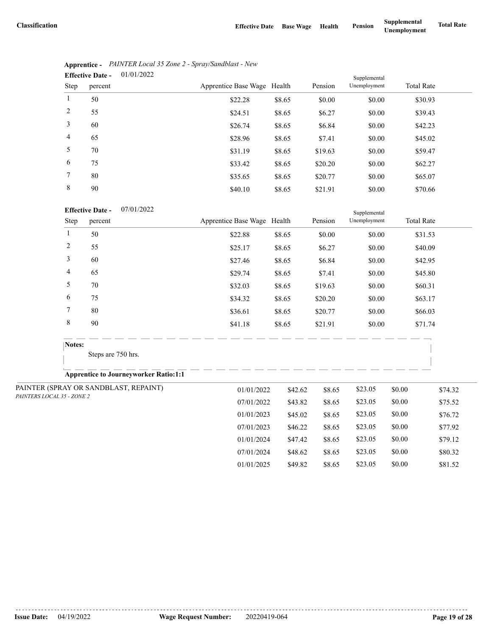07/01/2024 \$48.62 \$8.65 \$23.05 \$0.00 \$80.32 01/01/2025 \$49.82 \$8.65 \$23.05 \$0.00 \$81.52

|                | 01/01/2022<br><b>Effective Date -</b> |                             |        | Supplemental |              |                   |
|----------------|---------------------------------------|-----------------------------|--------|--------------|--------------|-------------------|
| Step           | percent                               | Apprentice Base Wage Health |        | Pension      | Unemployment | <b>Total Rate</b> |
| 1              | 50                                    | \$22.28                     | \$8.65 | \$0.00       | \$0.00       | \$30.93           |
| 2              | 55                                    | \$24.51                     | \$8.65 | \$6.27       | \$0.00       | \$39.43           |
| 3              | 60                                    | \$26.74                     | \$8.65 | \$6.84       | \$0.00       | \$42.23           |
| $\overline{4}$ | 65                                    | \$28.96                     | \$8.65 | \$7.41       | \$0.00       | \$45.02           |
| 5              | 70                                    | \$31.19                     | \$8.65 | \$19.63      | \$0.00       | \$59.47           |
| 6              | 75                                    | \$33.42                     | \$8.65 | \$20.20      | \$0.00       | \$62.27           |
| 7              | 80                                    | \$35.65                     | \$8.65 | \$20.77      | \$0.00       | \$65.07           |
| 8              | 90                                    | \$40.10                     | \$8.65 | \$21.91      | \$0.00       | \$70.66           |

|                | Apprentice - PAINTER Local 35 Zone 2 - Spray/Sandblast - New |
|----------------|--------------------------------------------------------------|
| Effective Date | 01/01/2022                                                   |

### 07/01/2022 **Effective Date -**

|                            | <b>Effective Date -</b><br>07/01/2022        |                             |         |         | Supplemental |        |                   |  |
|----------------------------|----------------------------------------------|-----------------------------|---------|---------|--------------|--------|-------------------|--|
| Step                       | percent                                      | Apprentice Base Wage Health |         | Pension | Unemployment |        | <b>Total Rate</b> |  |
| $\mathbf{1}$               | 50                                           | \$22.88                     | \$8.65  | \$0.00  | \$0.00       |        | \$31.53           |  |
| $\overline{c}$             | 55                                           | \$25.17                     | \$8.65  | \$6.27  | \$0.00       |        | \$40.09           |  |
| 3                          | 60                                           | \$27.46                     | \$8.65  | \$6.84  | \$0.00       |        | \$42.95           |  |
| 4                          | 65                                           | \$29.74                     | \$8.65  | \$7.41  | \$0.00       |        | \$45.80           |  |
| 5                          | 70                                           | \$32.03                     | \$8.65  | \$19.63 | \$0.00       |        | \$60.31           |  |
| 6                          | 75                                           | \$34.32                     | \$8.65  | \$20.20 | \$0.00       |        | \$63.17           |  |
| 7                          | 80                                           | \$36.61                     | \$8.65  | \$20.77 | \$0.00       |        | \$66.03           |  |
| 8                          | 90                                           | \$41.18                     | \$8.65  | \$21.91 | \$0.00       |        | \$71.74           |  |
| Notes:                     |                                              |                             |         |         |              |        |                   |  |
|                            | Steps are 750 hrs.                           |                             |         |         |              |        |                   |  |
|                            | <b>Apprentice to Journeyworker Ratio:1:1</b> |                             |         |         |              |        |                   |  |
|                            | PAINTER (SPRAY OR SANDBLAST, REPAINT)        | 01/01/2022                  | \$42.62 | \$8.65  | \$23.05      | \$0.00 | \$74.32           |  |
| PAINTERS LOCAL 35 - ZONE 2 |                                              | 07/01/2022                  | \$43.82 | \$8.65  | \$23.05      | \$0.00 | \$75.52           |  |
|                            |                                              | 01/01/2023                  | \$45.02 | \$8.65  | \$23.05      | \$0.00 | \$76.72           |  |
|                            |                                              | 07/01/2023                  | \$46.22 | \$8.65  | \$23.05      | \$0.00 | \$77.92           |  |
|                            |                                              | 01/01/2024                  | \$47.42 | \$8.65  | \$23.05      | \$0.00 | \$79.12           |  |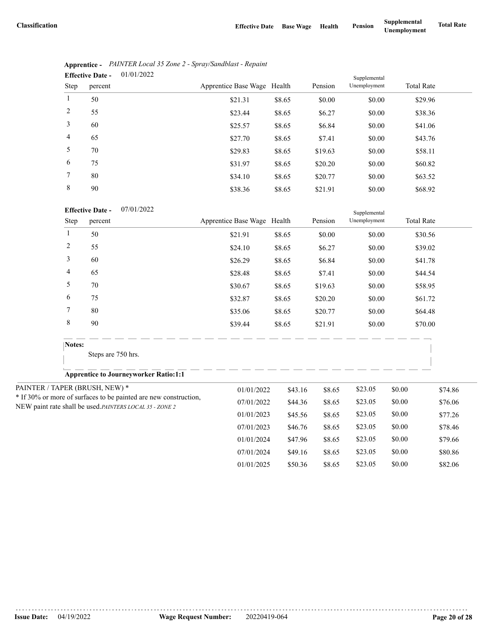|                | 01/01/2022<br><b>Effective Date -</b> |                             |        |         | Supplemental |                   |  |
|----------------|---------------------------------------|-----------------------------|--------|---------|--------------|-------------------|--|
| Step           | percent                               | Apprentice Base Wage Health |        | Pension | Unemployment | <b>Total Rate</b> |  |
| $\mathbf{1}$   | 50                                    | \$21.31                     | \$8.65 | \$0.00  | \$0.00       | \$29.96           |  |
| 2              | 55                                    | \$23.44                     | \$8.65 | \$6.27  | \$0.00       | \$38.36           |  |
| 3              | 60                                    | \$25.57                     | \$8.65 | \$6.84  | \$0.00       | \$41.06           |  |
| $\overline{4}$ | 65                                    | \$27.70                     | \$8.65 | \$7.41  | \$0.00       | \$43.76           |  |
| 5              | 70                                    | \$29.83                     | \$8.65 | \$19.63 | \$0.00       | \$58.11           |  |
| 6              | 75                                    | \$31.97                     | \$8.65 | \$20.20 | \$0.00       | \$60.82           |  |
| 7              | 80                                    | \$34.10                     | \$8.65 | \$20.77 | \$0.00       | \$63.52           |  |
| 8              | 90                                    | \$38.36                     | \$8.65 | \$21.91 | \$0.00       | \$68.92           |  |

|                               | Apprentice - PAINTER Local 35 Zone 2 - Spray/Sandblast - Repaint |
|-------------------------------|------------------------------------------------------------------|
| Effective Date $-$ 01/01/2022 |                                                                  |

07/01/2022 **Effective Date -**

|                                                         | <b>Effective Date -</b><br>07/01/2022                            |                             |         |         | Supplemental |        |                   |
|---------------------------------------------------------|------------------------------------------------------------------|-----------------------------|---------|---------|--------------|--------|-------------------|
| Step                                                    | percent                                                          | Apprentice Base Wage Health |         | Pension | Unemployment |        | <b>Total Rate</b> |
| $\mathbf{1}$                                            | 50                                                               | \$21.91                     | \$8.65  | \$0.00  | \$0.00       |        | \$30.56           |
| $\overline{c}$                                          | 55                                                               | \$24.10                     | \$8.65  | \$6.27  | \$0.00       |        | \$39.02           |
| 3                                                       | 60                                                               | \$26.29                     | \$8.65  | \$6.84  | \$0.00       |        | \$41.78           |
| 4                                                       | 65                                                               | \$28.48                     | \$8.65  | \$7.41  | \$0.00       |        | \$44.54           |
| 5                                                       | 70                                                               | \$30.67                     | \$8.65  | \$19.63 | \$0.00       |        | \$58.95           |
| 6                                                       | 75                                                               | \$32.87                     | \$8.65  | \$20.20 | \$0.00       |        | \$61.72           |
| 7                                                       | 80                                                               | \$35.06                     | \$8.65  | \$20.77 | \$0.00       |        | \$64.48           |
| 8                                                       | 90                                                               | \$39.44                     | \$8.65  | \$21.91 | \$0.00       |        | \$70.00           |
| Notes:                                                  |                                                                  |                             |         |         |              |        |                   |
|                                                         | Steps are 750 hrs.                                               |                             |         |         |              |        |                   |
|                                                         | <b>Apprentice to Journeyworker Ratio:1:1</b>                     |                             |         |         |              |        |                   |
|                                                         | PAINTER / TAPER (BRUSH, NEW) *                                   | 01/01/2022                  | \$43.16 | \$8.65  | \$23.05      | \$0.00 | \$74.86           |
|                                                         | * If 30% or more of surfaces to be painted are new construction, | 07/01/2022                  | \$44.36 | \$8.65  | \$23.05      | \$0.00 | \$76.06           |
| NEW paint rate shall be used.PAINTERS LOCAL 35 - ZONE 2 |                                                                  | 01/01/2023                  | \$45.56 | \$8.65  | \$23.05      | \$0.00 | \$77.26           |
|                                                         |                                                                  | 07/01/2023                  | \$46.76 | \$8.65  | \$23.05      | \$0.00 | \$78.46           |
|                                                         |                                                                  | 01/01/2024                  | \$47.96 | \$8.65  | \$23.05      | \$0.00 | \$79.66           |
|                                                         |                                                                  | 07/01/2024                  | \$49.16 | \$8.65  | \$23.05      | \$0.00 | \$80.86           |
|                                                         |                                                                  | 01/01/2025                  | \$50.36 | \$8.65  | \$23.05      | \$0.00 | \$82.06           |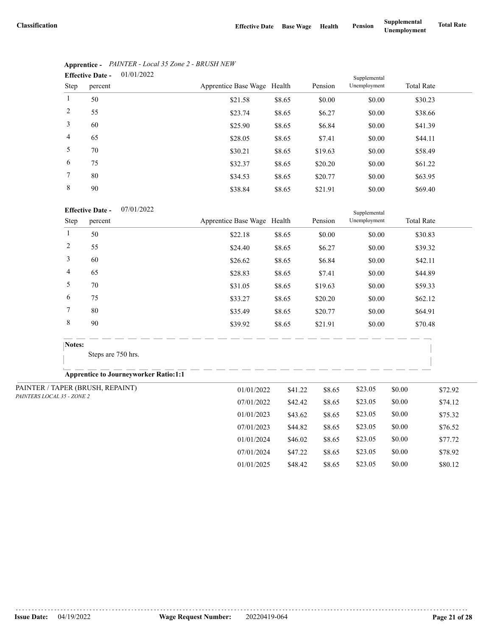07/01/2024 \$47.22 \$8.65 \$23.05 \$0.00 \$78.92 01/01/2025 \$48.42 \$8.65 \$23.05 \$0.00 \$80.12

| 01/01/2022<br><b>Effective Date -</b><br>Supplemental |         |                             |        |         |              |                   |
|-------------------------------------------------------|---------|-----------------------------|--------|---------|--------------|-------------------|
| Step                                                  | percent | Apprentice Base Wage Health |        | Pension | Unemployment | <b>Total Rate</b> |
|                                                       | 50      | \$21.58                     | \$8.65 | \$0.00  | \$0.00       | \$30.23           |
| 2                                                     | 55      | \$23.74                     | \$8.65 | \$6.27  | \$0.00       | \$38.66           |
| 3                                                     | 60      | \$25.90                     | \$8.65 | \$6.84  | \$0.00       | \$41.39           |
| $\overline{4}$                                        | 65      | \$28.05                     | \$8.65 | \$7.41  | \$0.00       | \$44.11           |
| 5                                                     | 70      | \$30.21                     | \$8.65 | \$19.63 | \$0.00       | \$58.49           |
| 6                                                     | 75      | \$32.37                     | \$8.65 | \$20.20 | \$0.00       | \$61.22           |
| 7                                                     | 80      | \$34.53                     | \$8.65 | \$20.77 | \$0.00       | \$63.95           |
| 8                                                     | 90      | \$38.84                     | \$8.65 | \$21.91 | \$0.00       | \$69.40           |

# **Apprentice -** *PAINTER - Local 35 Zone 2 - BRUSH NEW*

### 07/01/2022 **Effective Date -**

|                | <b>Effective Date -</b><br>07/01/2022        |                             |                       |                   | Supplemental |         |                   |
|----------------|----------------------------------------------|-----------------------------|-----------------------|-------------------|--------------|---------|-------------------|
| Step           | percent                                      | Apprentice Base Wage Health |                       | Pension           | Unemployment |         | <b>Total Rate</b> |
| 1              | 50                                           | \$22.18                     | \$8.65                | \$0.00            | \$0.00       |         | \$30.83           |
| $\overline{c}$ | 55                                           | \$24.40                     | \$8.65                | \$6.27            | \$0.00       |         | \$39.32           |
| 3              | 60                                           | \$26.62                     | \$8.65                | \$6.84            | \$0.00       |         | \$42.11           |
| 4              | 65                                           | \$28.83                     | \$8.65                | \$7.41            | \$0.00       |         | \$44.89           |
| 5              | 70                                           | \$31.05                     | \$8.65                | \$19.63           | \$0.00       |         | \$59.33           |
| 6              | 75                                           | \$33.27                     | \$8.65                | \$20.20           | \$0.00       |         | \$62.12           |
| 7              | 80                                           | \$35.49                     | \$8.65                | \$20.77<br>\$0.00 |              | \$64.91 |                   |
| $\,$ 8 $\,$    | 90                                           | \$39.92                     | \$8.65                | \$21.91           | \$0.00       |         | \$70.48           |
|                | Notes:                                       |                             |                       |                   |              |         |                   |
|                | Steps are 750 hrs.                           |                             |                       |                   |              |         |                   |
|                | <b>Apprentice to Journeyworker Ratio:1:1</b> |                             |                       |                   |              |         |                   |
|                | PAINTER / TAPER (BRUSH, REPAINT)             | 01/01/2022                  | \$41.22               | \$8.65            | \$23.05      | \$0.00  | \$72.92           |
|                | PAINTERS LOCAL 35 - ZONE 2                   |                             | 07/01/2022<br>\$42.42 | \$8.65            | \$23.05      | \$0.00  | \$74.12           |
|                |                                              | 01/01/2023                  | \$43.62               | \$8.65            | \$23.05      | \$0.00  | \$75.32           |
|                |                                              | 07/01/2023                  | \$44.82               | \$8.65            | \$23.05      | \$0.00  | \$76.52           |
|                |                                              | 01/01/2024                  | \$46.02               | \$8.65            | \$23.05      | \$0.00  | \$77.72           |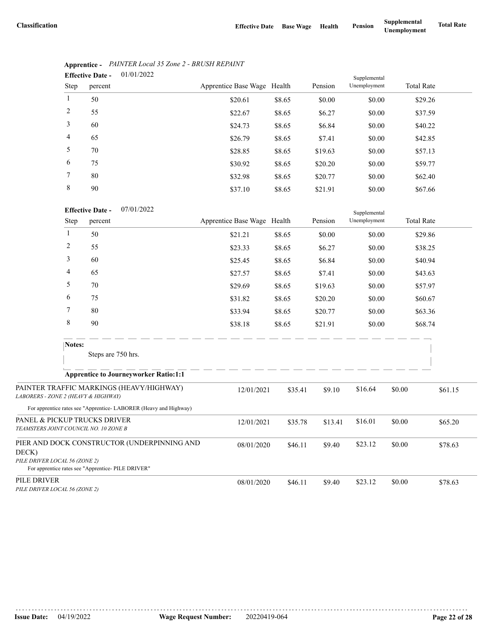Supplemental

|                | 01/01/2022<br><b>Effective Date -</b> |                             |        |         | Supplemental |                   |  |
|----------------|---------------------------------------|-----------------------------|--------|---------|--------------|-------------------|--|
| Step           | percent                               | Apprentice Base Wage Health |        | Pension | Unemployment | <b>Total Rate</b> |  |
| $\mathbf{1}$   | 50                                    | \$20.61                     | \$8.65 | \$0.00  | \$0.00       | \$29.26           |  |
| 2              | 55                                    | \$22.67                     | \$8.65 | \$6.27  | \$0.00       | \$37.59           |  |
| 3              | 60                                    | \$24.73                     | \$8.65 | \$6.84  | \$0.00       | \$40.22           |  |
| $\overline{4}$ | 65                                    | \$26.79                     | \$8.65 | \$7.41  | \$0.00       | \$42.85           |  |
| 5              | 70                                    | \$28.85                     | \$8.65 | \$19.63 | \$0.00       | \$57.13           |  |
| 6              | 75                                    | \$30.92                     | \$8.65 | \$20.20 | \$0.00       | \$59.77           |  |
| 7              | 80                                    | \$32.98                     | \$8.65 | \$20.77 | \$0.00       | \$62.40           |  |
| 8              | 90                                    | \$37.10                     | \$8.65 | \$21.91 | \$0.00       | \$67.66           |  |

# **Apprentice -** *PAINTER Local 35 Zone 2 - BRUSH REPAINT*

| <b>Effective Date -</b> | 07/01/2022 |
|-------------------------|------------|
|                         |            |

|                                                                       | Step<br>percent |                                                                                                   | Apprentice Base Wage Health |         | Pension | Unemployment |        | <b>Total Rate</b> |  |
|-----------------------------------------------------------------------|-----------------|---------------------------------------------------------------------------------------------------|-----------------------------|---------|---------|--------------|--------|-------------------|--|
|                                                                       | 1               | 50                                                                                                | \$21.21                     | \$8.65  | \$0.00  | \$0.00       |        | \$29.86           |  |
|                                                                       | 2               | 55                                                                                                | \$23.33                     | \$8.65  | \$6.27  | \$0.00       |        | \$38.25           |  |
|                                                                       | 3               | 60                                                                                                | \$25.45                     | \$8.65  | \$6.84  | \$0.00       |        | \$40.94           |  |
|                                                                       | 4               | 65                                                                                                | \$27.57                     | \$8.65  | \$7.41  | \$0.00       |        | \$43.63           |  |
|                                                                       | 5               | 70                                                                                                | \$29.69                     | \$8.65  | \$19.63 | \$0.00       |        | \$57.97           |  |
|                                                                       | 6               | 75                                                                                                | \$31.82                     | \$8.65  | \$20.20 | \$0.00       |        | \$60.67           |  |
|                                                                       | 7               | 80                                                                                                | \$33.94                     | \$8.65  | \$20.77 | \$0.00       |        | \$63.36           |  |
|                                                                       | 8               | 90                                                                                                | \$38.18                     | \$8.65  | \$21.91 | \$0.00       |        | \$68.74           |  |
|                                                                       | Notes:          | Steps are 750 hrs.                                                                                |                             |         |         |              |        |                   |  |
|                                                                       |                 | <b>Apprentice to Journeyworker Ratio:1:1</b>                                                      |                             |         |         |              |        |                   |  |
| LABORERS - ZONE 2 (HEAVY & HIGHWAY)                                   |                 | PAINTER TRAFFIC MARKINGS (HEAVY/HIGHWAY)                                                          | 12/01/2021                  | \$35.41 | \$9.10  | \$16.64      | \$0.00 | \$61.15           |  |
|                                                                       |                 | For apprentice rates see "Apprentice-LABORER (Heavy and Highway)                                  |                             |         |         |              |        |                   |  |
| PANEL & PICKUP TRUCKS DRIVER<br>TEAMSTERS JOINT COUNCIL NO. 10 ZONE B |                 |                                                                                                   | 12/01/2021                  | \$35.78 | \$13.41 | \$16.01      | \$0.00 | \$65.20           |  |
| DECK)<br>PILE DRIVER LOCAL 56 (ZONE 2)                                |                 | PIER AND DOCK CONSTRUCTOR (UNDERPINNING AND<br>For apprentice rates see "Apprentice- PILE DRIVER" | 08/01/2020                  | \$46.11 | \$9.40  | \$23.12      | \$0.00 | \$78.63           |  |
| PILE DRIVER<br>PILE DRIVER LOCAL 56 (ZONE 2)                          |                 |                                                                                                   | 08/01/2020                  | \$46.11 | \$9.40  | \$23.12      | \$0.00 | \$78.63           |  |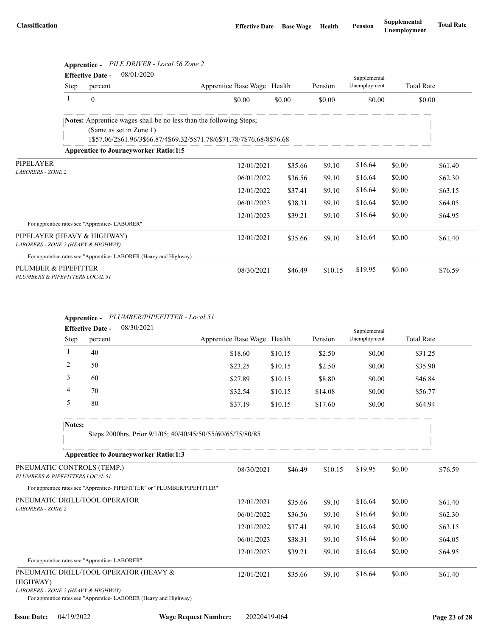|                                                                    |      | Apprentice - PILE DRIVER - Local 56 Zone 2                       |                                                                           |                             |         |         |              |         |                   |
|--------------------------------------------------------------------|------|------------------------------------------------------------------|---------------------------------------------------------------------------|-----------------------------|---------|---------|--------------|---------|-------------------|
|                                                                    |      | 08/01/2020<br><b>Effective Date -</b>                            |                                                                           |                             |         |         | Supplemental |         |                   |
|                                                                    | Step | percent                                                          |                                                                           | Apprentice Base Wage Health |         | Pension | Unemployment |         | <b>Total Rate</b> |
|                                                                    | 1    | $\theta$                                                         |                                                                           | \$0.00                      | \$0.00  | \$0.00  | \$0.00       |         | \$0.00            |
|                                                                    |      | (Same as set in Zone 1)                                          | <b>Notes:</b> Apprentice wages shall be no less than the following Steps; |                             |         |         |              |         |                   |
|                                                                    |      |                                                                  |                                                                           |                             |         |         |              |         |                   |
|                                                                    |      | <b>Apprentice to Journeyworker Ratio:1:5</b>                     |                                                                           |                             |         |         |              |         |                   |
| PIPELAYER                                                          |      |                                                                  | 12/01/2021                                                                | \$35.66                     | \$9.10  | \$16.64 | \$0.00       | \$61.40 |                   |
| <b>LABORERS - ZONE 2</b>                                           |      |                                                                  |                                                                           | 06/01/2022                  | \$36.56 | \$9.10  | \$16.64      | \$0.00  | \$62.30           |
|                                                                    |      |                                                                  |                                                                           | 12/01/2022                  | \$37.41 | \$9.10  | \$16.64      | \$0.00  | \$63.15           |
|                                                                    |      |                                                                  |                                                                           | 06/01/2023                  | \$38.31 | \$9.10  | \$16.64      | \$0.00  | \$64.05           |
|                                                                    |      |                                                                  |                                                                           | 12/01/2023                  | \$39.21 | \$9.10  | \$16.64      | \$0.00  | \$64.95           |
|                                                                    |      | For apprentice rates see "Apprentice-LABORER"                    |                                                                           |                             |         |         |              |         |                   |
| PIPELAYER (HEAVY & HIGHWAY)<br>LABORERS - ZONE 2 (HEAVY & HIGHWAY) |      |                                                                  |                                                                           | 12/01/2021                  | \$35.66 | \$9.10  | \$16.64      | \$0.00  | \$61.40           |
|                                                                    |      | For apprentice rates see "Apprentice-LABORER (Heavy and Highway) |                                                                           |                             |         |         |              |         |                   |
| PLUMBER & PIPEFITTER<br>PLUMBERS & PIPEFITTERS LOCAL 51            |      |                                                                  |                                                                           | 08/30/2021                  | \$46.49 | \$10.15 | \$19.95      | \$0.00  | \$76.59           |

### **Apprentice -** *PLUMBER/PIPEFITTER - Local 51* 08/20/2021

|                                                               | 08/30/2021<br><b>Effective Date -</b><br>Supplemental |                                                                                                            |                             |         |         |         |              |                   |         |
|---------------------------------------------------------------|-------------------------------------------------------|------------------------------------------------------------------------------------------------------------|-----------------------------|---------|---------|---------|--------------|-------------------|---------|
|                                                               | Step                                                  | percent                                                                                                    | Apprentice Base Wage Health |         |         | Pension | Unemployment | <b>Total Rate</b> |         |
|                                                               | 1                                                     | 40                                                                                                         | \$18.60                     | \$10.15 |         | \$2.50  | \$0.00       | \$31.25           |         |
|                                                               | 2                                                     | 50                                                                                                         | \$23.25                     | \$10.15 |         | \$2.50  | \$0.00       | \$35.90           |         |
|                                                               | 3                                                     | 60                                                                                                         | \$27.89                     | \$10.15 |         | \$8.80  | \$0.00       | \$46.84           |         |
|                                                               | 4                                                     | 70                                                                                                         | \$32.54                     | \$10.15 |         | \$14.08 | \$0.00       | \$56.77           |         |
|                                                               | 5                                                     | 80                                                                                                         | \$37.19                     | \$10.15 |         | \$17.60 | \$0.00       | \$64.94           |         |
|                                                               | Notes:                                                |                                                                                                            |                             |         |         |         |              |                   |         |
| Steps 2000hrs. Prior 9/1/05; 40/40/45/50/55/60/65/75/80/85    |                                                       |                                                                                                            |                             |         |         |         |              |                   |         |
|                                                               |                                                       | <b>Apprentice to Journeyworker Ratio:1:3</b>                                                               |                             |         |         |         |              |                   |         |
| PNEUMATIC CONTROLS (TEMP.)<br>PLUMBERS & PIPEFITTERS LOCAL 51 |                                                       |                                                                                                            | 08/30/2021                  |         | \$46.49 | \$10.15 | \$19.95      | \$0.00            | \$76.59 |
|                                                               |                                                       | For apprentice rates see "Apprentice- PIPEFITTER" or "PLUMBER/PIPEFITTER"                                  |                             |         |         |         |              |                   |         |
|                                                               |                                                       | PNEUMATIC DRILL/TOOL OPERATOR                                                                              | 12/01/2021                  |         | \$35.66 | \$9.10  | \$16.64      | \$0.00            | \$61.40 |
| <b>LABORERS - ZONE 2</b>                                      |                                                       |                                                                                                            | 06/01/2022                  |         | \$36.56 | \$9.10  | \$16.64      | \$0.00            | \$62.30 |
|                                                               |                                                       |                                                                                                            | 12/01/2022                  |         | \$37.41 | \$9.10  | \$16.64      | \$0.00            | \$63.15 |
|                                                               |                                                       |                                                                                                            | 06/01/2023                  |         | \$38.31 | \$9.10  | \$16.64      | \$0.00            | \$64.05 |
|                                                               |                                                       | For apprentice rates see "Apprentice-LABORER"                                                              | 12/01/2023                  |         | \$39.21 | \$9.10  | \$16.64      | \$0.00            | \$64.95 |
| HIGHWAY)<br>LABORERS - ZONE 2 (HEAVY & HIGHWAY)               |                                                       | PNEUMATIC DRILL/TOOL OPERATOR (HEAVY &<br>For apprentice rates see "Apprentice-LABORER (Heavy and Highway) | 12/01/2021                  |         | \$35.66 | \$9.10  | \$16.64      | \$0.00            | \$61.40 |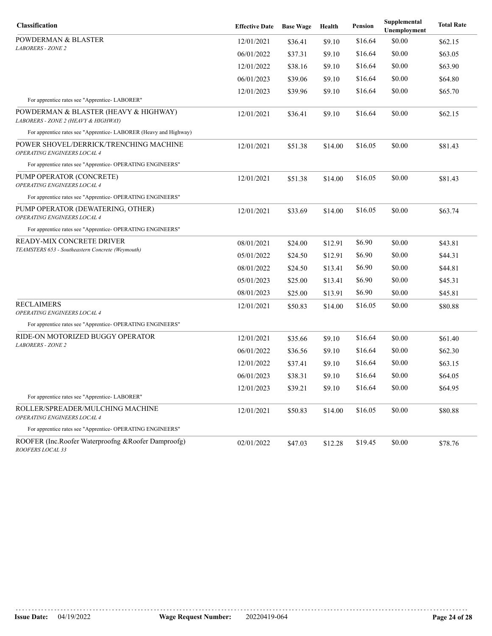| <b>Classification</b>                                                        | <b>Effective Date</b> | <b>Base Wage</b> | Health  | Pension | Supplemental<br>Unemployment | <b>Total Rate</b> |
|------------------------------------------------------------------------------|-----------------------|------------------|---------|---------|------------------------------|-------------------|
| <b>POWDERMAN &amp; BLASTER</b>                                               | 12/01/2021            | \$36.41          | \$9.10  | \$16.64 | \$0.00                       | \$62.15           |
| <b>LABORERS - ZONE 2</b>                                                     | 06/01/2022            | \$37.31          | \$9.10  | \$16.64 | \$0.00                       | \$63.05           |
|                                                                              | 12/01/2022            | \$38.16          | \$9.10  | \$16.64 | \$0.00                       | \$63.90           |
|                                                                              | 06/01/2023            | \$39.06          | \$9.10  | \$16.64 | \$0.00                       | \$64.80           |
|                                                                              | 12/01/2023            | \$39.96          | \$9.10  | \$16.64 | \$0.00                       | \$65.70           |
| For apprentice rates see "Apprentice-LABORER"                                |                       |                  |         |         |                              |                   |
| POWDERMAN & BLASTER (HEAVY & HIGHWAY)<br>LABORERS - ZONE 2 (HEAVY & HIGHWAY) | 12/01/2021            | \$36.41          | \$9.10  | \$16.64 | \$0.00                       | \$62.15           |
| For apprentice rates see "Apprentice-LABORER (Heavy and Highway)             |                       |                  |         |         |                              |                   |
| POWER SHOVEL/DERRICK/TRENCHING MACHINE<br>OPERATING ENGINEERS LOCAL 4        | 12/01/2021            | \$51.38          | \$14.00 | \$16.05 | \$0.00                       | \$81.43           |
| For apprentice rates see "Apprentice- OPERATING ENGINEERS"                   |                       |                  |         |         |                              |                   |
| PUMP OPERATOR (CONCRETE)<br>OPERATING ENGINEERS LOCAL 4                      | 12/01/2021            | \$51.38          | \$14.00 | \$16.05 | \$0.00                       | \$81.43           |
| For apprentice rates see "Apprentice- OPERATING ENGINEERS"                   |                       |                  |         |         |                              |                   |
| PUMP OPERATOR (DEWATERING, OTHER)<br>OPERATING ENGINEERS LOCAL 4             | 12/01/2021            | \$33.69          | \$14.00 | \$16.05 | \$0.00                       | \$63.74           |
| For apprentice rates see "Apprentice- OPERATING ENGINEERS"                   |                       |                  |         |         |                              |                   |
| READY-MIX CONCRETE DRIVER                                                    | 08/01/2021            | \$24.00          | \$12.91 | \$6.90  | \$0.00                       | \$43.81           |
| TEAMSTERS 653 - Southeastern Concrete (Weymouth)                             | 05/01/2022            | \$24.50          | \$12.91 | \$6.90  | \$0.00                       | \$44.31           |
|                                                                              | 08/01/2022            | \$24.50          | \$13.41 | \$6.90  | \$0.00                       | \$44.81           |
|                                                                              | 05/01/2023            | \$25.00          | \$13.41 | \$6.90  | \$0.00                       | \$45.31           |
|                                                                              | 08/01/2023            | \$25.00          | \$13.91 | \$6.90  | \$0.00                       | \$45.81           |
| <b>RECLAIMERS</b><br><b>OPERATING ENGINEERS LOCAL 4</b>                      | 12/01/2021            | \$50.83          | \$14.00 | \$16.05 | \$0.00                       | \$80.88           |
| For apprentice rates see "Apprentice- OPERATING ENGINEERS"                   |                       |                  |         |         |                              |                   |
| RIDE-ON MOTORIZED BUGGY OPERATOR                                             | 12/01/2021            | \$35.66          | \$9.10  | \$16.64 | \$0.00                       | \$61.40           |
| <b>LABORERS - ZONE 2</b>                                                     | 06/01/2022            | \$36.56          | \$9.10  | \$16.64 | \$0.00                       | \$62.30           |
|                                                                              | 12/01/2022            | \$37.41          | \$9.10  | \$16.64 | \$0.00                       | \$63.15           |
|                                                                              | 06/01/2023            | \$38.31          | \$9.10  | \$16.64 | \$0.00                       | \$64.05           |
|                                                                              | 12/01/2023            | \$39.21          | \$9.10  | \$16.64 | \$0.00                       | \$64.95           |
| For apprentice rates see "Apprentice-LABORER"                                |                       |                  |         |         |                              |                   |
| ROLLER/SPREADER/MULCHING MACHINE<br>OPERATING ENGINEERS LOCAL 4              | 12/01/2021            | \$50.83          | \$14.00 | \$16.05 | \$0.00                       | \$80.88           |
| For apprentice rates see "Apprentice- OPERATING ENGINEERS"                   |                       |                  |         |         |                              |                   |
| ROOFER (Inc.Roofer Waterproofng &Roofer Damproofg)<br>ROOFERS LOCAL 33       | 02/01/2022            | \$47.03          | \$12.28 | \$19.45 | \$0.00                       | \$78.76           |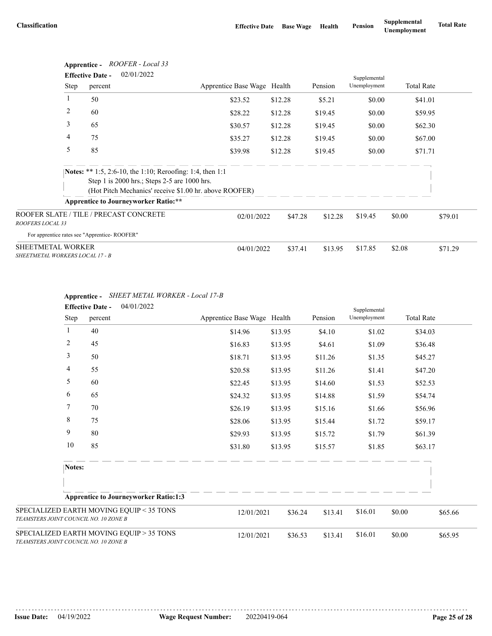|                                                      | ROOFER - Local 33<br>Apprentice -<br>02/01/2022<br><b>Effective Date -</b><br>Supplemental |                                                                                                                     |         |         |              |        |                   |  |  |
|------------------------------------------------------|--------------------------------------------------------------------------------------------|---------------------------------------------------------------------------------------------------------------------|---------|---------|--------------|--------|-------------------|--|--|
| Step                                                 | percent                                                                                    | Apprentice Base Wage Health                                                                                         |         | Pension | Unemployment |        | <b>Total Rate</b> |  |  |
|                                                      | 50                                                                                         | \$23.52                                                                                                             | \$12.28 | \$5.21  | \$0.00       |        | \$41.01           |  |  |
| 2                                                    | 60                                                                                         | \$28.22                                                                                                             | \$12.28 | \$19.45 | \$0.00       |        | \$59.95           |  |  |
| 3                                                    | 65                                                                                         | \$30.57                                                                                                             | \$12.28 | \$19.45 | \$0.00       |        | \$62.30           |  |  |
| 4                                                    | 75                                                                                         | \$35.27                                                                                                             | \$12.28 | \$19.45 | \$0.00       |        | \$67.00           |  |  |
| 5                                                    | 85                                                                                         | \$39.98                                                                                                             | \$12.28 | \$19.45 | \$0.00       |        | \$71.71           |  |  |
|                                                      | Step 1 is 2000 hrs.; Steps 2-5 are 1000 hrs.                                               | Notes: ** 1:5, 2:6-10, the 1:10; Reroofing: 1:4, then 1:1<br>(Hot Pitch Mechanics' receive \$1.00 hr. above ROOFER) |         |         |              |        |                   |  |  |
|                                                      | <b>Apprentice to Journeyworker Ratio:**</b>                                                |                                                                                                                     |         |         |              |        |                   |  |  |
| ROOFERS LOCAL 33                                     | ROOFER SLATE / TILE / PRECAST CONCRETE                                                     | 02/01/2022                                                                                                          | \$47.28 | \$12.28 | \$19.45      | \$0.00 | \$79.01           |  |  |
| For apprentice rates see "Apprentice-ROOFER"         |                                                                                            |                                                                                                                     |         |         |              |        |                   |  |  |
| SHEETMETAL WORKER<br>SHEETMETAL WORKERS LOCAL 17 - B |                                                                                            | 04/01/2022                                                                                                          | \$37.41 | \$13.95 | \$17.85      | \$2.08 | \$71.29           |  |  |

|                                       |                | <b>Effective Date -</b> | 04/01/2022                                   |                             |         |         | Supplemental |        |                   |
|---------------------------------------|----------------|-------------------------|----------------------------------------------|-----------------------------|---------|---------|--------------|--------|-------------------|
|                                       | Step           | percent                 |                                              | Apprentice Base Wage Health |         | Pension | Unemployment |        | <b>Total Rate</b> |
|                                       | $\mathbf{1}$   | 40                      |                                              | \$14.96                     | \$13.95 | \$4.10  | \$1.02       |        | \$34.03           |
|                                       | $\overline{c}$ | 45                      |                                              | \$16.83                     | \$13.95 | \$4.61  | \$1.09       |        | \$36.48           |
|                                       | 3              | 50                      |                                              | \$18.71                     | \$13.95 | \$11.26 | \$1.35       |        | \$45.27           |
|                                       | 4              | 55                      |                                              | \$20.58                     | \$13.95 | \$11.26 | \$1.41       |        | \$47.20           |
|                                       | 5              | 60                      |                                              | \$22.45                     | \$13.95 | \$14.60 | \$1.53       |        | \$52.53           |
|                                       | 6              | 65                      |                                              | \$24.32                     | \$13.95 | \$14.88 | \$1.59       |        | \$54.74           |
|                                       | 7              | 70                      |                                              | \$26.19                     | \$13.95 | \$15.16 | \$1.66       |        | \$56.96           |
|                                       | 8              | 75                      |                                              | \$28.06                     | \$13.95 | \$15.44 | \$1.72       |        | \$59.17           |
|                                       | 9              | 80                      |                                              | \$29.93                     | \$13.95 | \$15.72 | \$1.79       |        | \$61.39           |
|                                       | 10             | 85                      |                                              | \$31.80                     | \$13.95 | \$15.57 | \$1.85       |        | \$63.17           |
|                                       | Notes:         |                         |                                              |                             |         |         |              |        |                   |
|                                       |                |                         | <b>Apprentice to Journeyworker Ratio:1:3</b> |                             |         |         |              |        |                   |
| TEAMSTERS JOINT COUNCIL NO. 10 ZONE B |                |                         | SPECIALIZED EARTH MOVING EQUIP < 35 TONS     | 12/01/2021                  | \$36.24 | \$13.41 | \$16.01      | \$0.00 | \$65.66           |
| TEAMSTERS JOINT COUNCIL NO. 10 ZONE B |                |                         | SPECIALIZED EARTH MOVING EQUIP > 35 TONS     | 12/01/2021                  | \$36.53 | \$13.41 | \$16.01      | \$0.00 | \$65.95           |

### **Apprentice -** *SHEET METAL WORKER - Local 17-B*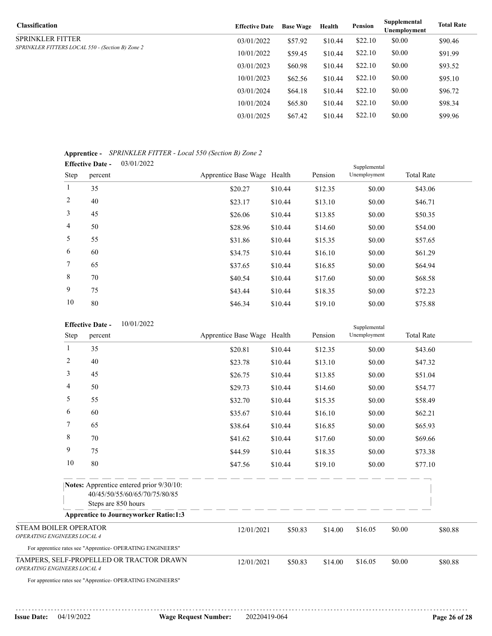| Classification                                   | <b>Effective Date</b> | <b>Base Wage</b> | Health  | <b>Pension</b> | Supplemental<br><b>Unemployment</b> | <b>Total Rate</b> |
|--------------------------------------------------|-----------------------|------------------|---------|----------------|-------------------------------------|-------------------|
| SPRINKLER FITTER                                 | 03/01/2022            | \$57.92          | \$10.44 | \$22.10        | \$0.00                              | \$90.46           |
| SPRINKLER FITTERS LOCAL 550 - (Section B) Zone 2 | 10/01/2022            | \$59.45          | \$10.44 | \$22.10        | \$0.00                              | \$91.99           |
|                                                  | 03/01/2023            | \$60.98          | \$10.44 | \$22.10        | \$0.00                              | \$93.52           |
|                                                  | 10/01/2023            | \$62.56          | \$10.44 | \$22.10        | \$0.00                              | \$95.10           |
|                                                  | 03/01/2024            | \$64.18          | \$10.44 | \$22.10        | \$0.00                              | \$96.72           |
|                                                  | 10/01/2024            | \$65.80          | \$10.44 | \$22.10        | \$0.00                              | \$98.34           |
|                                                  | 03/01/2025            | \$67.42          | \$10.44 | \$22.10        | \$0.00                              | \$99.96           |
|                                                  |                       |                  |         |                |                                     |                   |

### **Apprentice -** *SPRINKLER FITTER - Local 550 (Section B) Zone 2*

| 03/01/2022<br><b>Effective Date -</b><br>Supplemental |         |                             |         |         |              |                   |  |  |  |  |
|-------------------------------------------------------|---------|-----------------------------|---------|---------|--------------|-------------------|--|--|--|--|
| Step                                                  | percent | Apprentice Base Wage Health |         | Pension | Unemployment | <b>Total Rate</b> |  |  |  |  |
| 1                                                     | 35      | \$20.27                     | \$10.44 | \$12.35 | \$0.00       | \$43.06           |  |  |  |  |
| 2                                                     | 40      | \$23.17                     | \$10.44 | \$13.10 | \$0.00       | \$46.71           |  |  |  |  |
| 3                                                     | 45      | \$26.06                     | \$10.44 | \$13.85 | \$0.00       | \$50.35           |  |  |  |  |
| $\overline{4}$                                        | 50      | \$28.96                     | \$10.44 | \$14.60 | \$0.00       | \$54.00           |  |  |  |  |
| 5                                                     | 55      | \$31.86                     | \$10.44 | \$15.35 | \$0.00       | \$57.65           |  |  |  |  |
| 6                                                     | 60      | \$34.75                     | \$10.44 | \$16.10 | \$0.00       | \$61.29           |  |  |  |  |
| $7\phantom{.0}$                                       | 65      | \$37.65                     | \$10.44 | \$16.85 | \$0.00       | \$64.94           |  |  |  |  |
| 8                                                     | 70      | \$40.54                     | \$10.44 | \$17.60 | \$0.00       | \$68.58           |  |  |  |  |
| 9                                                     | 75      | \$43.44                     | \$10.44 | \$18.35 | \$0.00       | \$72.23           |  |  |  |  |
| 10                                                    | 80      | \$46.34                     | \$10.44 | \$19.10 | \$0.00       | \$75.88           |  |  |  |  |

|                                                             |      | 10/01/2022<br><b>Effective Date -</b>                                                                   |                             |         |         | Supplemental |        |                   |
|-------------------------------------------------------------|------|---------------------------------------------------------------------------------------------------------|-----------------------------|---------|---------|--------------|--------|-------------------|
|                                                             | Step | percent                                                                                                 | Apprentice Base Wage Health |         | Pension | Unemployment |        | <b>Total Rate</b> |
|                                                             | 1    | 35                                                                                                      | \$20.81                     | \$10.44 | \$12.35 | \$0.00       |        | \$43.60           |
|                                                             | 2    | 40                                                                                                      | \$23.78                     | \$10.44 | \$13.10 | \$0.00       |        | \$47.32           |
|                                                             | 3    | 45                                                                                                      | \$26.75                     | \$10.44 | \$13.85 | \$0.00       |        | \$51.04           |
|                                                             | 4    | 50                                                                                                      | \$29.73                     | \$10.44 | \$14.60 | \$0.00       |        | \$54.77           |
|                                                             | 5    | 55                                                                                                      | \$32.70                     | \$10.44 | \$15.35 | \$0.00       |        | \$58.49           |
|                                                             | 6    | 60                                                                                                      | \$35.67                     | \$10.44 | \$16.10 | \$0.00       |        | \$62.21           |
|                                                             | 7    | 65                                                                                                      | \$38.64                     | \$10.44 | \$16.85 | \$0.00       |        | \$65.93           |
|                                                             | 8    | 70                                                                                                      | \$41.62                     | \$10.44 | \$17.60 | \$0.00       |        | \$69.66           |
|                                                             | 9    | 75                                                                                                      | \$44.59                     | \$10.44 | \$18.35 | \$0.00       |        | \$73.38           |
|                                                             | 10   | 80                                                                                                      | \$47.56                     | \$10.44 | \$19.10 | \$0.00       |        | \$77.10           |
|                                                             |      | <b>Notes:</b> Apprentice entered prior 9/30/10:<br>40/45/50/55/60/65/70/75/80/85<br>Steps are 850 hours |                             |         |         |              |        |                   |
|                                                             |      | <b>Apprentice to Journeyworker Ratio:1:3</b>                                                            |                             |         |         |              |        |                   |
| <b>STEAM BOILER OPERATOR</b><br>OPERATING ENGINEERS LOCAL 4 |      |                                                                                                         | 12/01/2021                  | \$50.83 | \$14.00 | \$16.05      | \$0.00 | \$80.88           |
|                                                             |      | For apprentice rates see "Apprentice- OPERATING ENGINEERS"                                              |                             |         |         |              |        |                   |
| OPERATING ENGINEERS LOCAL 4                                 |      | TAMPERS, SELF-PROPELLED OR TRACTOR DRAWN                                                                | 12/01/2021                  | \$50.83 | \$14.00 | \$16.05      | \$0.00 | \$80.88           |
|                                                             |      | For apprentice rates see "Apprentice- OPERATING ENGINEERS"                                              |                             |         |         |              |        |                   |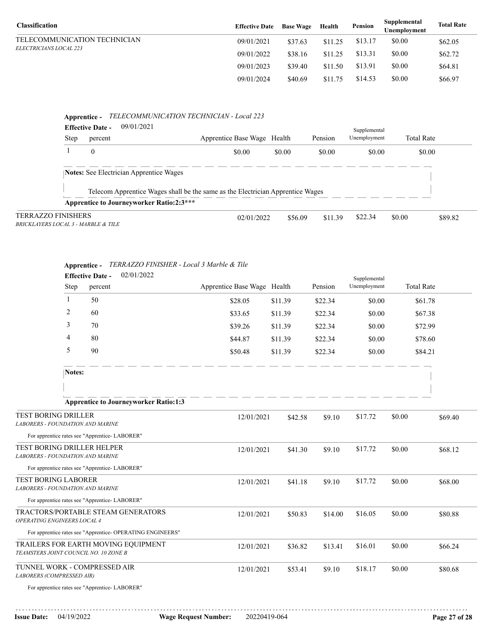| <b>Classification</b>         | <b>Effective Date</b> | <b>Base Wage</b> | Health  | Pension | Supplemental<br>Unemplovment | <b>Total Rate</b> |
|-------------------------------|-----------------------|------------------|---------|---------|------------------------------|-------------------|
| TELECOMMUNICATION TECHNICIAN  | 09/01/2021            | \$37.63          | \$11.25 | \$13.17 | \$0.00                       | \$62.05           |
| <i>ELECTRICIANS LOCAL 223</i> | 09/01/2022            | \$38.16          | \$11.25 | \$13.31 | \$0.00                       | \$62.72           |
|                               | 09/01/2023            | \$39.40          | \$11.50 | \$13.91 | \$0.00                       | \$64.81           |
|                               | 09/01/2024            | \$40.69          | \$11.75 | \$14.53 | \$0.00                       | \$66.97           |

# **Apprentice -** *TELECOMMUNICATION TECHNICIAN - Local 223*

|                                     | 09/01/2021<br><b>Effective Date -</b>           |                                                                                |        |                    | Supplemental |                   |         |
|-------------------------------------|-------------------------------------------------|--------------------------------------------------------------------------------|--------|--------------------|--------------|-------------------|---------|
| <b>Step</b>                         | percent                                         | Apprentice Base Wage Health                                                    |        | Pension            | Unemployment | <b>Total Rate</b> |         |
|                                     | $\mathbf{0}$                                    | \$0.00                                                                         | \$0.00 | \$0.00             | \$0.00       | \$0.00            |         |
|                                     | <b>Notes:</b> See Electrician Apprentice Wages  |                                                                                |        |                    |              |                   |         |
|                                     |                                                 | Telecom Apprentice Wages shall be the same as the Electrician Apprentice Wages |        |                    |              |                   |         |
|                                     | <b>Apprentice to Journeyworker Ratio:2:3***</b> |                                                                                |        |                    |              |                   |         |
| <b>TERRAZZO FINISHERS</b>           |                                                 | 02/01/2022                                                                     |        | \$11.39<br>\$56.09 | \$22.34      | \$0.00            | \$89.82 |
| BRICKLAYERS LOCAL 3 - MARBLE & TILE |                                                 |                                                                                |        |                    |              |                   |         |

|                                                                       | 02/01/2022<br><b>Effective Date -</b>                      |                             |         |         | Supplemental |        |                   |
|-----------------------------------------------------------------------|------------------------------------------------------------|-----------------------------|---------|---------|--------------|--------|-------------------|
| Step                                                                  | percent                                                    | Apprentice Base Wage Health |         | Pension | Unemployment |        | <b>Total Rate</b> |
| 1                                                                     | 50                                                         | \$28.05                     | \$11.39 | \$22.34 | \$0.00       |        | \$61.78           |
| 2                                                                     | 60                                                         | \$33.65                     | \$11.39 | \$22.34 | \$0.00       |        | \$67.38           |
| 3                                                                     | 70                                                         | \$39.26                     | \$11.39 | \$22.34 | \$0.00       |        | \$72.99           |
| 4                                                                     | 80                                                         | \$44.87                     | \$11.39 | \$22.34 | \$0.00       |        | \$78.60           |
| 5                                                                     | 90                                                         | \$50.48                     | \$11.39 | \$22.34 | \$0.00       |        | \$84.21           |
| Notes:                                                                |                                                            |                             |         |         |              |        |                   |
|                                                                       |                                                            |                             |         |         |              |        |                   |
|                                                                       | <b>Apprentice to Journeyworker Ratio:1:3</b>               |                             |         |         |              |        |                   |
| <b>TEST BORING DRILLER</b><br><b>LABORERS - FOUNDATION AND MARINE</b> |                                                            | 12/01/2021                  | \$42.58 | \$9.10  | \$17.72      | \$0.00 | \$69.40           |
|                                                                       | For apprentice rates see "Apprentice- LABORER"             |                             |         |         |              |        |                   |
| TEST BORING DRILLER HELPER<br><b>LABORERS - FOUNDATION AND MARINE</b> |                                                            | 12/01/2021                  | \$41.30 | \$9.10  | \$17.72      | \$0.00 | \$68.12           |
|                                                                       | For apprentice rates see "Apprentice- LABORER"             |                             |         |         |              |        |                   |
| <b>TEST BORING LABORER</b><br><b>LABORERS - FOUNDATION AND MARINE</b> |                                                            | 12/01/2021                  | \$41.18 | \$9.10  | \$17.72      | \$0.00 | \$68.00           |
|                                                                       | For apprentice rates see "Apprentice-LABORER"              |                             |         |         |              |        |                   |
| OPERATING ENGINEERS LOCAL 4                                           | TRACTORS/PORTABLE STEAM GENERATORS                         | 12/01/2021                  | \$50.83 | \$14.00 | \$16.05      | \$0.00 | \$80.88           |
|                                                                       | For apprentice rates see "Apprentice- OPERATING ENGINEERS" |                             |         |         |              |        |                   |
| TEAMSTERS JOINT COUNCIL NO. 10 ZONE B                                 | TRAILERS FOR EARTH MOVING EQUIPMENT                        | 12/01/2021                  | \$36.82 | \$13.41 | \$16.01      | \$0.00 | \$66.24           |
| TUNNEL WORK - COMPRESSED AIR<br>LABORERS (COMPRESSED AIR)             |                                                            | 12/01/2021                  | \$53.41 | \$9.10  | \$18.17      | \$0.00 | \$80.68           |
|                                                                       | For apprentice rates see "Apprentice-LABORER"              |                             |         |         |              |        |                   |